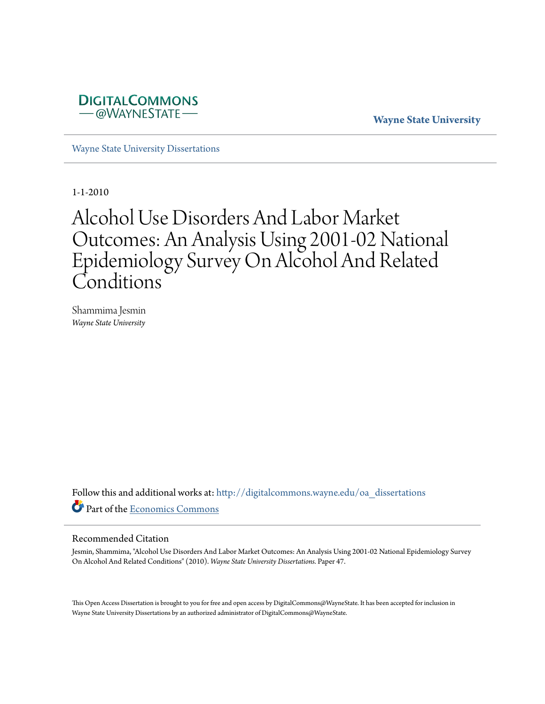

**Wayne State University**

[Wayne State University Dissertations](http://digitalcommons.wayne.edu/oa_dissertations?utm_source=digitalcommons.wayne.edu%2Foa_dissertations%2F47&utm_medium=PDF&utm_campaign=PDFCoverPages)

1-1-2010

# Alcohol Use Disorders And Labor Market Outcomes: An Analysis Using 2001-02 National Epidemiology Survey On Alcohol And Related Conditions

Shammima Jesmin *Wayne State University*

Follow this and additional works at: [http://digitalcommons.wayne.edu/oa\\_dissertations](http://digitalcommons.wayne.edu/oa_dissertations?utm_source=digitalcommons.wayne.edu%2Foa_dissertations%2F47&utm_medium=PDF&utm_campaign=PDFCoverPages) Part of the [Economics Commons](http://network.bepress.com/hgg/discipline/340?utm_source=digitalcommons.wayne.edu%2Foa_dissertations%2F47&utm_medium=PDF&utm_campaign=PDFCoverPages)

#### Recommended Citation

Jesmin, Shammima, "Alcohol Use Disorders And Labor Market Outcomes: An Analysis Using 2001-02 National Epidemiology Survey On Alcohol And Related Conditions" (2010). *Wayne State University Dissertations.* Paper 47.

This Open Access Dissertation is brought to you for free and open access by DigitalCommons@WayneState. It has been accepted for inclusion in Wayne State University Dissertations by an authorized administrator of DigitalCommons@WayneState.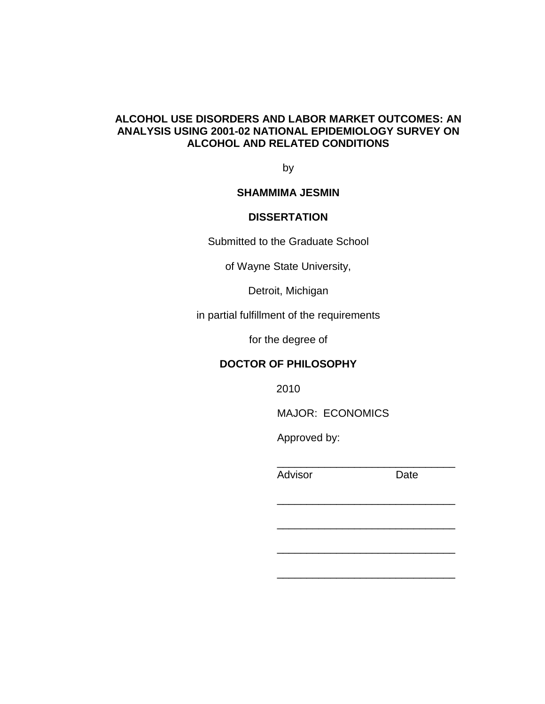# **ALCOHOL USE DISORDERS AND LABOR MARKET OUTCOMES: AN ANALYSIS USING 2001-02 NATIONAL EPIDEMIOLOGY SURVEY ON ALCOHOL AND RELATED CONDITIONS**

by

# **SHAMMIMA JESMIN**

# **DISSERTATION**

Submitted to the Graduate School

of Wayne State University,

Detroit, Michigan

in partial fulfillment of the requirements

for the degree of

### **DOCTOR OF PHILOSOPHY**

2010

MAJOR: ECONOMICS

\_\_\_\_\_\_\_\_\_\_\_\_\_\_\_\_\_\_\_\_\_\_\_\_\_\_\_\_\_\_

\_\_\_\_\_\_\_\_\_\_\_\_\_\_\_\_\_\_\_\_\_\_\_\_\_\_\_\_\_\_

\_\_\_\_\_\_\_\_\_\_\_\_\_\_\_\_\_\_\_\_\_\_\_\_\_\_\_\_\_\_

 $\frac{1}{\sqrt{2}}$  ,  $\frac{1}{\sqrt{2}}$  ,  $\frac{1}{\sqrt{2}}$  ,  $\frac{1}{\sqrt{2}}$  ,  $\frac{1}{\sqrt{2}}$  ,  $\frac{1}{\sqrt{2}}$  ,  $\frac{1}{\sqrt{2}}$  ,  $\frac{1}{\sqrt{2}}$  ,  $\frac{1}{\sqrt{2}}$  ,  $\frac{1}{\sqrt{2}}$  ,  $\frac{1}{\sqrt{2}}$  ,  $\frac{1}{\sqrt{2}}$  ,  $\frac{1}{\sqrt{2}}$  ,  $\frac{1}{\sqrt{2}}$  ,  $\frac{1}{\sqrt{2}}$ 

\_\_\_\_\_\_\_\_\_\_\_\_\_\_\_\_\_\_\_\_\_\_\_\_\_\_\_\_\_\_

Approved by:

Advisor Date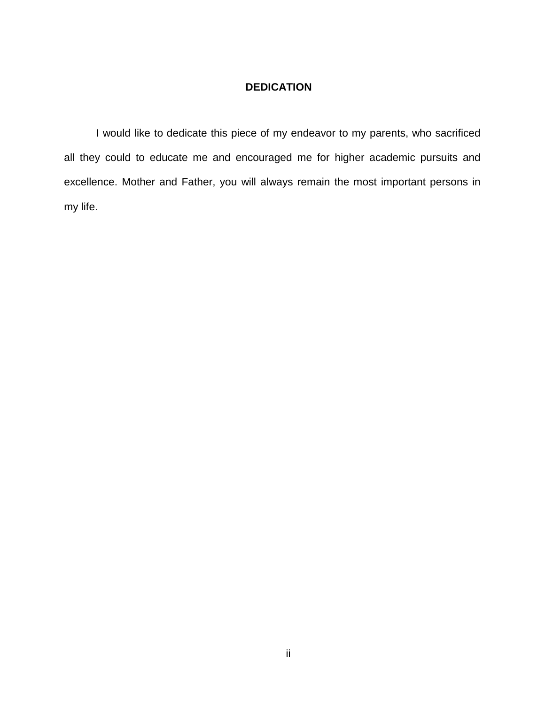# **DEDICATION**

I would like to dedicate this piece of my endeavor to my parents, who sacrificed all they could to educate me and encouraged me for higher academic pursuits and excellence. Mother and Father, you will always remain the most important persons in my life.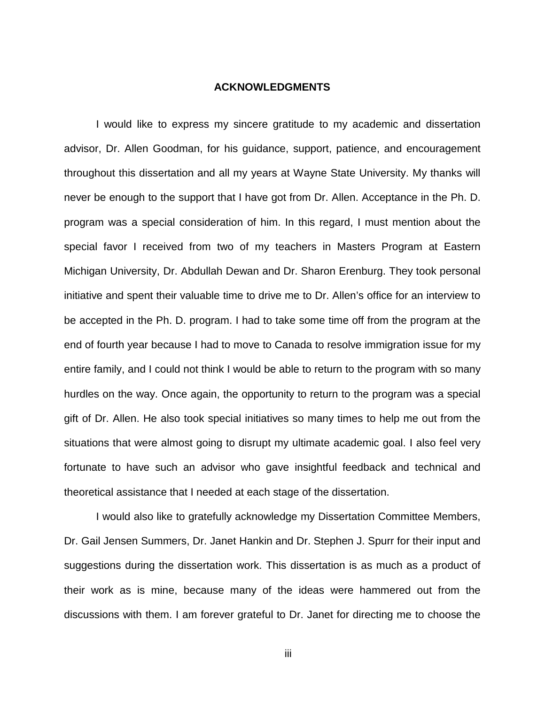#### **ACKNOWLEDGMENTS**

I would like to express my sincere gratitude to my academic and dissertation advisor, Dr. Allen Goodman, for his guidance, support, patience, and encouragement throughout this dissertation and all my years at Wayne State University. My thanks will never be enough to the support that I have got from Dr. Allen. Acceptance in the Ph. D. program was a special consideration of him. In this regard, I must mention about the special favor I received from two of my teachers in Masters Program at Eastern Michigan University, Dr. Abdullah Dewan and Dr. Sharon Erenburg. They took personal initiative and spent their valuable time to drive me to Dr. Allen's office for an interview to be accepted in the Ph. D. program. I had to take some time off from the program at the end of fourth year because I had to move to Canada to resolve immigration issue for my entire family, and I could not think I would be able to return to the program with so many hurdles on the way. Once again, the opportunity to return to the program was a special gift of Dr. Allen. He also took special initiatives so many times to help me out from the situations that were almost going to disrupt my ultimate academic goal. I also feel very fortunate to have such an advisor who gave insightful feedback and technical and theoretical assistance that I needed at each stage of the dissertation.

I would also like to gratefully acknowledge my Dissertation Committee Members, Dr. Gail Jensen Summers, Dr. Janet Hankin and Dr. Stephen J. Spurr for their input and suggestions during the dissertation work. This dissertation is as much as a product of their work as is mine, because many of the ideas were hammered out from the discussions with them. I am forever grateful to Dr. Janet for directing me to choose the

iii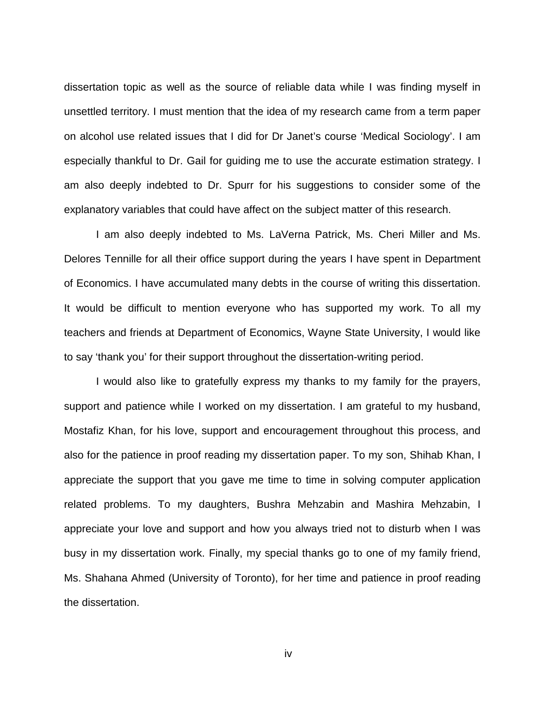dissertation topic as well as the source of reliable data while I was finding myself in unsettled territory. I must mention that the idea of my research came from a term paper on alcohol use related issues that I did for Dr Janet's course 'Medical Sociology'. I am especially thankful to Dr. Gail for guiding me to use the accurate estimation strategy. I am also deeply indebted to Dr. Spurr for his suggestions to consider some of the explanatory variables that could have affect on the subject matter of this research.

I am also deeply indebted to Ms. LaVerna Patrick, Ms. Cheri Miller and Ms. Delores Tennille for all their office support during the years I have spent in Department of Economics. I have accumulated many debts in the course of writing this dissertation. It would be difficult to mention everyone who has supported my work. To all my teachers and friends at Department of Economics, Wayne State University, I would like to say 'thank you' for their support throughout the dissertation-writing period.

I would also like to gratefully express my thanks to my family for the prayers, support and patience while I worked on my dissertation. I am grateful to my husband, Mostafiz Khan, for his love, support and encouragement throughout this process, and also for the patience in proof reading my dissertation paper. To my son, Shihab Khan, I appreciate the support that you gave me time to time in solving computer application related problems. To my daughters, Bushra Mehzabin and Mashira Mehzabin, I appreciate your love and support and how you always tried not to disturb when I was busy in my dissertation work. Finally, my special thanks go to one of my family friend, Ms. Shahana Ahmed (University of Toronto), for her time and patience in proof reading the dissertation.

iv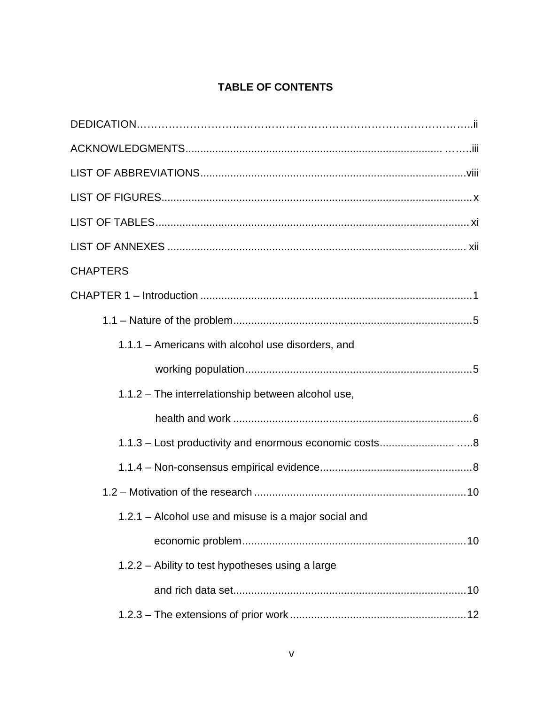# **TABLE OF CONTENTS**

| <b>CHAPTERS</b>                                      |
|------------------------------------------------------|
|                                                      |
|                                                      |
| 1.1.1 - Americans with alcohol use disorders, and    |
|                                                      |
| 1.1.2 - The interrelationship between alcohol use,   |
|                                                      |
|                                                      |
|                                                      |
|                                                      |
| 1.2.1 - Alcohol use and misuse is a major social and |
|                                                      |
| 1.2.2 – Ability to test hypotheses using a large     |
|                                                      |
|                                                      |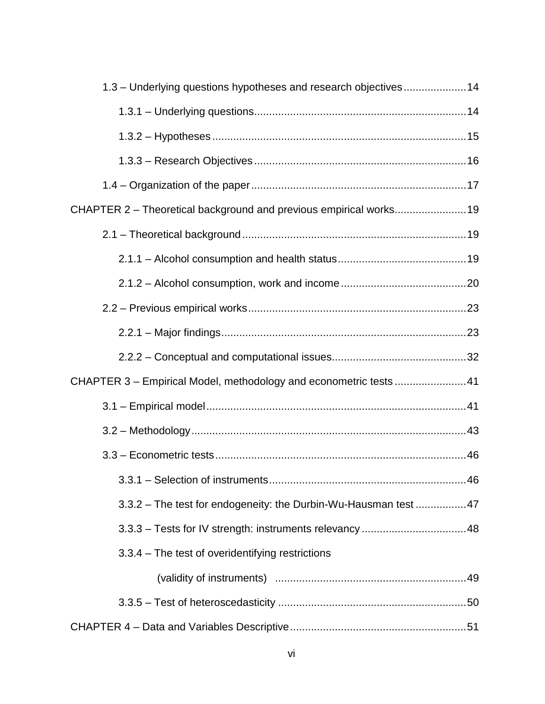| 1.3 – Underlying questions hypotheses and research objectives14    |  |
|--------------------------------------------------------------------|--|
|                                                                    |  |
|                                                                    |  |
|                                                                    |  |
|                                                                    |  |
| CHAPTER 2 - Theoretical background and previous empirical works 19 |  |
|                                                                    |  |
|                                                                    |  |
|                                                                    |  |
|                                                                    |  |
|                                                                    |  |
|                                                                    |  |
| CHAPTER 3 - Empirical Model, methodology and econometric tests 41  |  |
|                                                                    |  |
|                                                                    |  |
|                                                                    |  |
|                                                                    |  |
| 3.3.2 - The test for endogeneity: the Durbin-Wu-Hausman test47     |  |
|                                                                    |  |
| 3.3.4 – The test of overidentifying restrictions                   |  |
|                                                                    |  |
|                                                                    |  |
|                                                                    |  |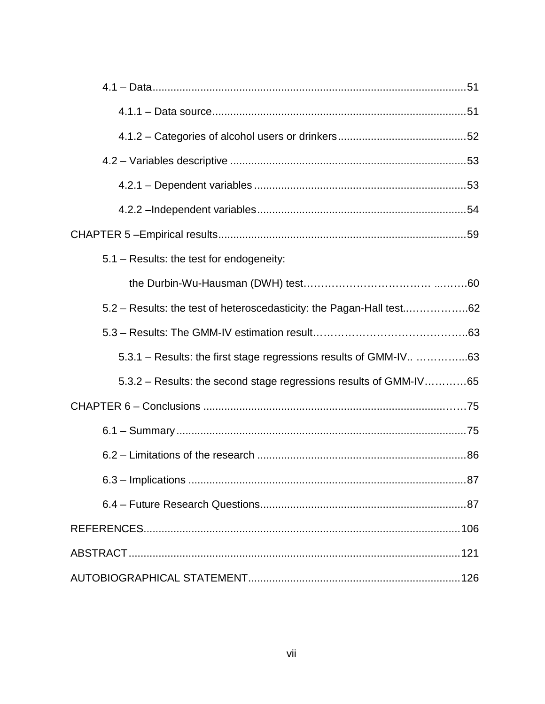| 5.1 - Results: the test for endogeneity:                             |
|----------------------------------------------------------------------|
|                                                                      |
| 5.2 - Results: the test of heteroscedasticity: the Pagan-Hall test62 |
|                                                                      |
| 5.3.1 – Results: the first stage regressions results of GMM-IV 63    |
| 5.3.2 – Results: the second stage regressions results of GMM-IV65    |
|                                                                      |
|                                                                      |
|                                                                      |
|                                                                      |
|                                                                      |
|                                                                      |
|                                                                      |
|                                                                      |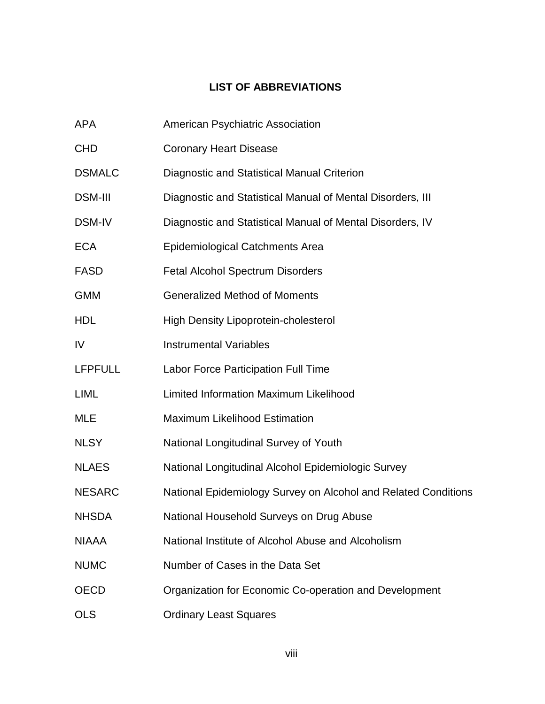# **LIST OF ABBREVIATIONS**

| APA            | American Psychiatric Association                               |
|----------------|----------------------------------------------------------------|
| CHD            | <b>Coronary Heart Disease</b>                                  |
| <b>DSMALC</b>  | Diagnostic and Statistical Manual Criterion                    |
| DSM-III        | Diagnostic and Statistical Manual of Mental Disorders, III     |
| <b>DSM-IV</b>  | Diagnostic and Statistical Manual of Mental Disorders, IV      |
| ECA            | <b>Epidemiological Catchments Area</b>                         |
| FASD           | <b>Fetal Alcohol Spectrum Disorders</b>                        |
| GMM            | <b>Generalized Method of Moments</b>                           |
| HDL            | <b>High Density Lipoprotein-cholesterol</b>                    |
| IV             | <b>Instrumental Variables</b>                                  |
| <b>LFPFULL</b> | Labor Force Participation Full Time                            |
| LIML           | Limited Information Maximum Likelihood                         |
| MLE            | <b>Maximum Likelihood Estimation</b>                           |
| NLSY           | National Longitudinal Survey of Youth                          |
| <b>NLAES</b>   | National Longitudinal Alcohol Epidemiologic Survey             |
| NESARC         | National Epidemiology Survey on Alcohol and Related Conditions |
| NHSDA          | National Household Surveys on Drug Abuse                       |
| NIAAA          | National Institute of Alcohol Abuse and Alcoholism             |
| <b>NUMC</b>    | Number of Cases in the Data Set                                |
| OECD           | Organization for Economic Co-operation and Development         |
| OLS            | <b>Ordinary Least Squares</b>                                  |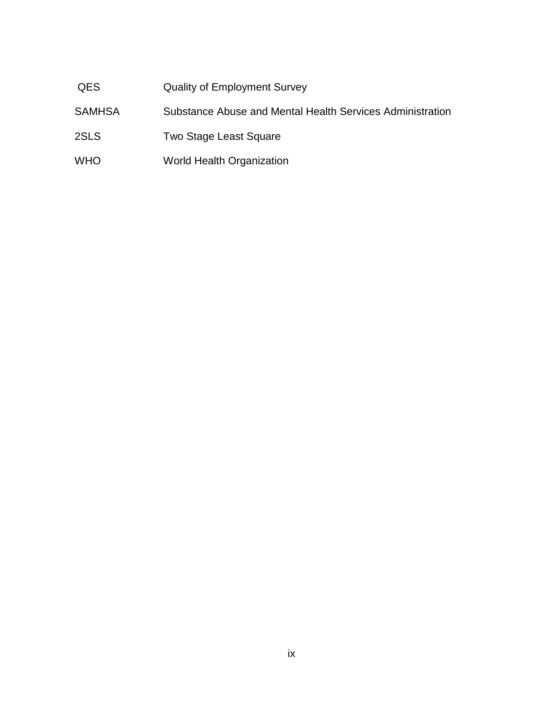# QES Quality of Employment Survey

- SAMHSA Substance Abuse and Mental Health Services Administration
- 2SLS Two Stage Least Square
- WHO World Health Organization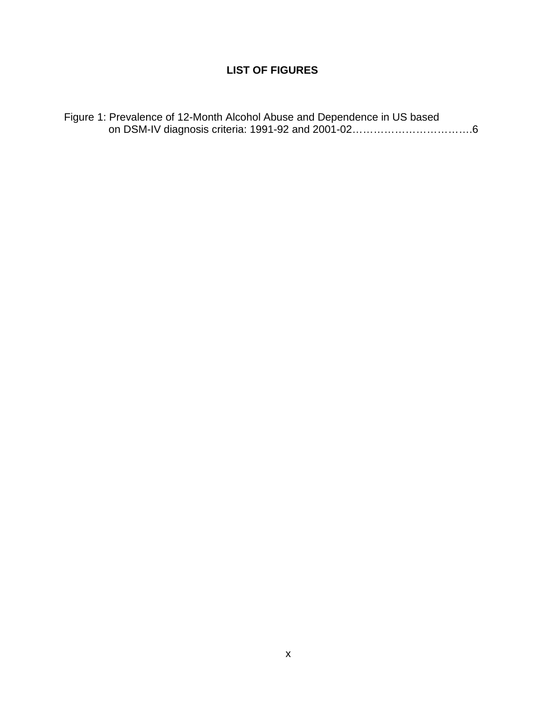# **LIST OF FIGURES**

|  | Figure 1: Prevalence of 12-Month Alcohol Abuse and Dependence in US based |  |  |
|--|---------------------------------------------------------------------------|--|--|
|  |                                                                           |  |  |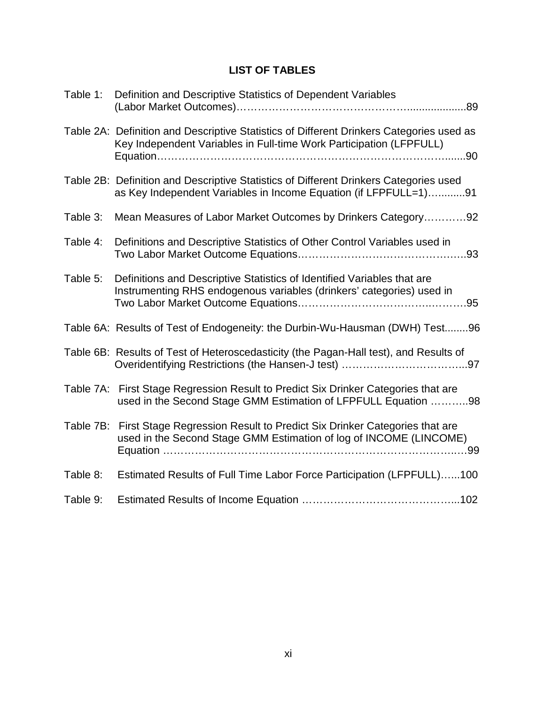# **LIST OF TABLES**

| Table 1:  | Definition and Descriptive Statistics of Dependent Variables                                                                                                    |
|-----------|-----------------------------------------------------------------------------------------------------------------------------------------------------------------|
|           | Table 2A: Definition and Descriptive Statistics of Different Drinkers Categories used as<br>Key Independent Variables in Full-time Work Participation (LFPFULL) |
|           | Table 2B: Definition and Descriptive Statistics of Different Drinkers Categories used<br>as Key Independent Variables in Income Equation (if LFPFULL=1)91       |
| Table 3:  | Mean Measures of Labor Market Outcomes by Drinkers Category92                                                                                                   |
| Table 4:  | Definitions and Descriptive Statistics of Other Control Variables used in                                                                                       |
| Table 5:  | Definitions and Descriptive Statistics of Identified Variables that are<br>Instrumenting RHS endogenous variables (drinkers' categories) used in                |
|           | Table 6A: Results of Test of Endogeneity: the Durbin-Wu-Hausman (DWH) Test96                                                                                    |
|           | Table 6B: Results of Test of Heteroscedasticity (the Pagan-Hall test), and Results of                                                                           |
|           | Table 7A: First Stage Regression Result to Predict Six Drinker Categories that are<br>used in the Second Stage GMM Estimation of LFPFULL Equation 98            |
| Table 7B: | First Stage Regression Result to Predict Six Drinker Categories that are<br>used in the Second Stage GMM Estimation of log of INCOME (LINCOME)                  |
| Table 8:  | Estimated Results of Full Time Labor Force Participation (LFPFULL)100                                                                                           |
| Table 9:  |                                                                                                                                                                 |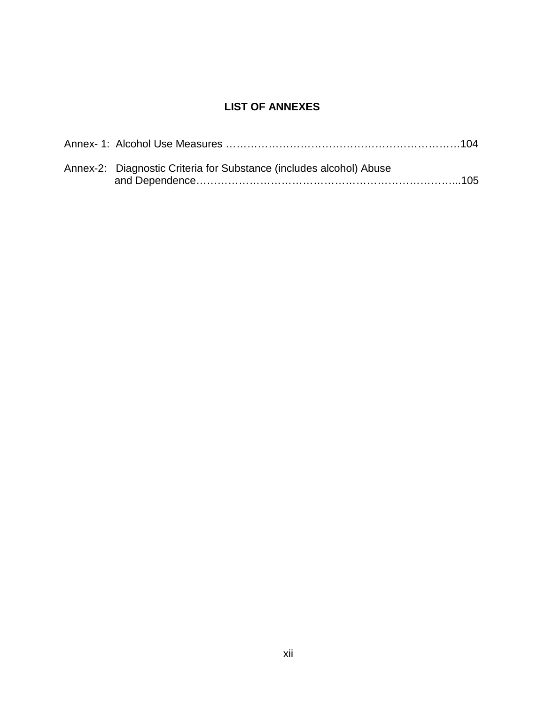# **LIST OF ANNEXES**

| Annex-2: Diagnostic Criteria for Substance (includes alcohol) Abuse |  |
|---------------------------------------------------------------------|--|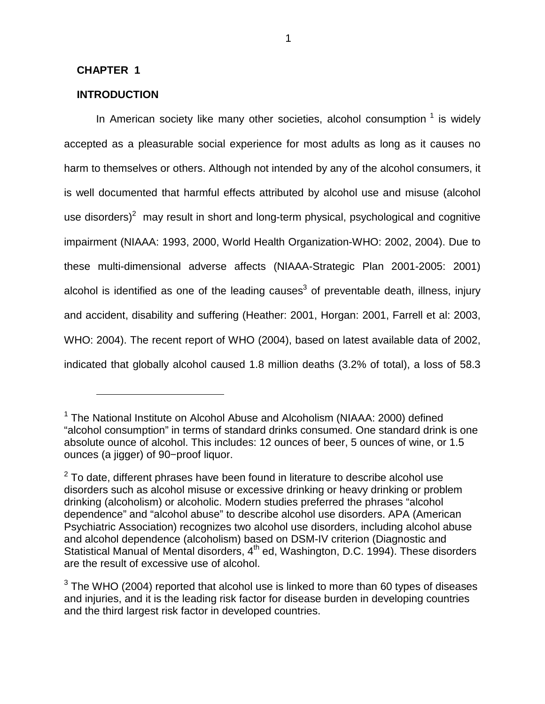### **CHAPTER 1**

 $\overline{a}$ 

### **INTRODUCTION**

In American society like many other societies, alcohol consumption  $1$  is widely accepted as a pleasurable social experience for most adults as long as it causes no harm to themselves or others. Although not intended by any of the alcohol consumers, it is well documented that harmful effects attributed by alcohol use and misuse (alcohol use disorders)<sup>2</sup> may result in short and long-term physical, psychological and cognitive impairment (NIAAA: 1993, 2000, World Health Organization-WHO: 2002, 2004). Due to these multi-dimensional adverse affects (NIAAA-Strategic Plan 2001-2005: 2001) alcohol is identified as one of the leading causes<sup>3</sup> of preventable death, illness, injury and accident, disability and suffering (Heather: 2001, Horgan: 2001, Farrell et al: 2003, WHO: 2004). The recent report of WHO (2004), based on latest available data of 2002, indicated that globally alcohol caused 1.8 million deaths (3.2% of total), a loss of 58.3

<sup>&</sup>lt;sup>1</sup> The National Institute on Alcohol Abuse and Alcoholism (NIAAA: 2000) defined "alcohol consumption" in terms of standard drinks consumed. One standard drink is one absolute ounce of alcohol. This includes: 12 ounces of beer, 5 ounces of wine, or 1.5 ounces (a jigger) of 90−proof liquor.

 $2$  To date, different phrases have been found in literature to describe alcohol use disorders such as alcohol misuse or excessive drinking or heavy drinking or problem drinking (alcoholism) or alcoholic. Modern studies preferred the phrases "alcohol dependence" and "alcohol abuse" to describe alcohol use disorders. APA (American Psychiatric Association) recognizes two alcohol use disorders, including alcohol abuse and alcohol dependence (alcoholism) based on DSM-IV criterion (Diagnostic and Statistical Manual of Mental disorders, 4<sup>th</sup> ed, Washington, D.C. 1994). These disorders are the result of excessive use of alcohol.

 $3$  The WHO (2004) reported that alcohol use is linked to more than 60 types of diseases and injuries, and it is the leading risk factor for disease burden in developing countries and the third largest risk factor in developed countries.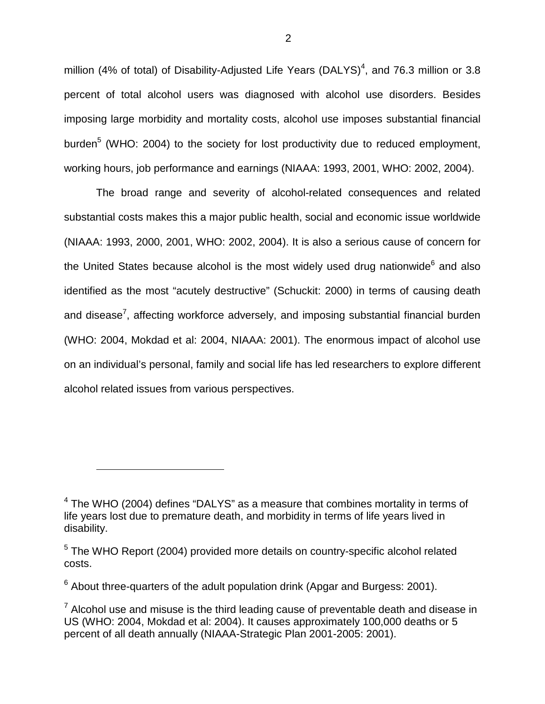million (4% of total) of Disability-Adjusted Life Years (DALYS)<sup>4</sup>, and 76.3 million or 3.8 percent of total alcohol users was diagnosed with alcohol use disorders. Besides imposing large morbidity and mortality costs, alcohol use imposes substantial financial burden<sup>5</sup> (WHO: 2004) to the society for lost productivity due to reduced employment, working hours, job performance and earnings (NIAAA: 1993, 2001, WHO: 2002, 2004).

The broad range and severity of alcohol-related consequences and related substantial costs makes this a major public health, social and economic issue worldwide (NIAAA: 1993, 2000, 2001, WHO: 2002, 2004). It is also a serious cause of concern for the United States because alcohol is the most widely used drug nationwide<sup>6</sup> and also identified as the most "acutely destructive" (Schuckit: 2000) in terms of causing death and disease<sup>7</sup>, affecting workforce adversely, and imposing substantial financial burden (WHO: 2004, Mokdad et al: 2004, NIAAA: 2001). The enormous impact of alcohol use on an individual's personal, family and social life has led researchers to explore different alcohol related issues from various perspectives.

 $4$  The WHO (2004) defines "DALYS" as a measure that combines mortality in terms of life years lost due to premature death, and morbidity in terms of life years lived in disability.

<sup>&</sup>lt;sup>5</sup> The WHO Report (2004) provided more details on country-specific alcohol related costs.

 $6$  About three-quarters of the adult population drink (Apgar and Burgess: 2001).

 $7$  Alcohol use and misuse is the third leading cause of preventable death and disease in US (WHO: 2004, Mokdad et al: 2004). It causes approximately 100,000 deaths or 5 percent of all death annually (NIAAA-Strategic Plan 2001-2005: 2001).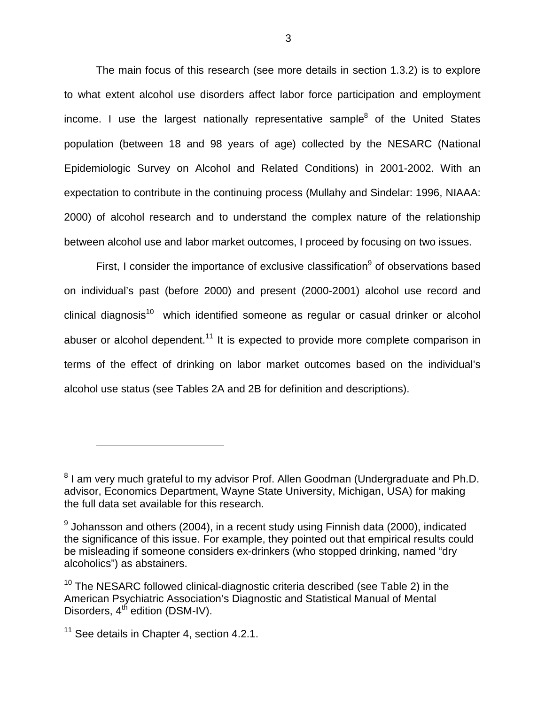The main focus of this research (see more details in section 1.3.2) is to explore to what extent alcohol use disorders affect labor force participation and employment income. I use the largest nationally representative sample $^8$  of the United States population (between 18 and 98 years of age) collected by the NESARC (National Epidemiologic Survey on Alcohol and Related Conditions) in 2001-2002. With an expectation to contribute in the continuing process (Mullahy and Sindelar: 1996, NIAAA: 2000) of alcohol research and to understand the complex nature of the relationship between alcohol use and labor market outcomes, I proceed by focusing on two issues.

First, I consider the importance of exclusive classification<sup>9</sup> of observations based on individual's past (before 2000) and present (2000-2001) alcohol use record and  $clinical$  diagnosis<sup>10</sup> which identified someone as regular or casual drinker or alcoholabuser or alcohol dependent.<sup>11</sup> It is expected to provide more complete comparison in terms of the effect of drinking on labor market outcomes based on the individual's alcohol use status (see Tables 2A and 2B for definition and descriptions).

<sup>&</sup>lt;sup>8</sup> I am very much grateful to my advisor Prof. Allen Goodman (Undergraduate and Ph.D. advisor, Economics Department, Wayne State University, Michigan, USA) for making the full data set available for this research.

 $^9$  Johansson and others (2004), in a recent study using Finnish data (2000), indicated the significance of this issue. For example, they pointed out that empirical results could be misleading if someone considers ex-drinkers (who stopped drinking, named "dry alcoholics") as abstainers.

 $10$  The NESARC followed clinical-diagnostic criteria described (see Table 2) in the American Psychiatric Association's Diagnostic and Statistical Manual of Mental Disorders,  $4<sup>th</sup>$  edition (DSM-IV).

<sup>&</sup>lt;sup>11</sup> See details in Chapter 4, section 4.2.1.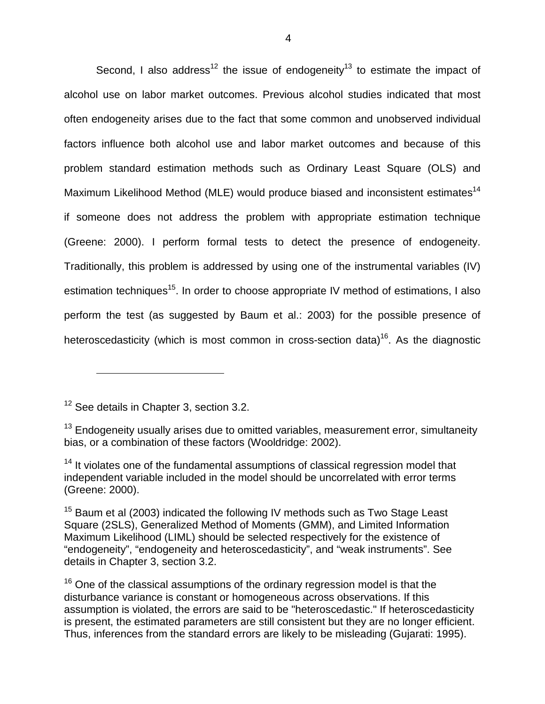Second, I also address<sup>12</sup> the issue of endogeneity<sup>13</sup> to estimate the impact of alcohol use on labor market outcomes. Previous alcohol studies indicated that most often endogeneity arises due to the fact that some common and unobserved individual factors influence both alcohol use and labor market outcomes and because of this problem standard estimation methods such as Ordinary Least Square (OLS) and Maximum Likelihood Method (MLE) would produce biased and inconsistent estimates<sup>14</sup> if someone does not address the problem with appropriate estimation technique (Greene: 2000). I perform formal tests to detect the presence of endogeneity. Traditionally, this problem is addressed by using one of the instrumental variables (IV) estimation techniques<sup>15</sup>. In order to choose appropriate IV method of estimations, I also perform the test (as suggested by Baum et al.: 2003) for the possible presence of heteroscedasticity (which is most common in cross-section data)<sup>16</sup>. As the diagnostic

<sup>12</sup> See details in Chapter 3, section 3.2.

 $\overline{a}$ 

 $13$  Endogeneity usually arises due to omitted variables, measurement error, simultaneity bias, or a combination of these factors (Wooldridge: 2002).

<sup>&</sup>lt;sup>14</sup> It violates one of the fundamental assumptions of classical regression model that independent variable included in the model should be uncorrelated with error terms (Greene: 2000).

 $15$  Baum et al (2003) indicated the following IV methods such as Two Stage Least Square (2SLS), Generalized Method of Moments (GMM), and Limited Information Maximum Likelihood (LIML) should be selected respectively for the existence of "endogeneity", "endogeneity and heteroscedasticity", and "weak instruments". See details in Chapter 3, section 3.2.

 $16$  One of the classical assumptions of the ordinary regression model is that the disturbance variance is constant or homogeneous across observations. If this assumption is violated, the errors are said to be "heteroscedastic." If heteroscedasticity is present, the estimated parameters are still consistent but they are no longer efficient. Thus, inferences from the standard errors are likely to be misleading (Gujarati: 1995).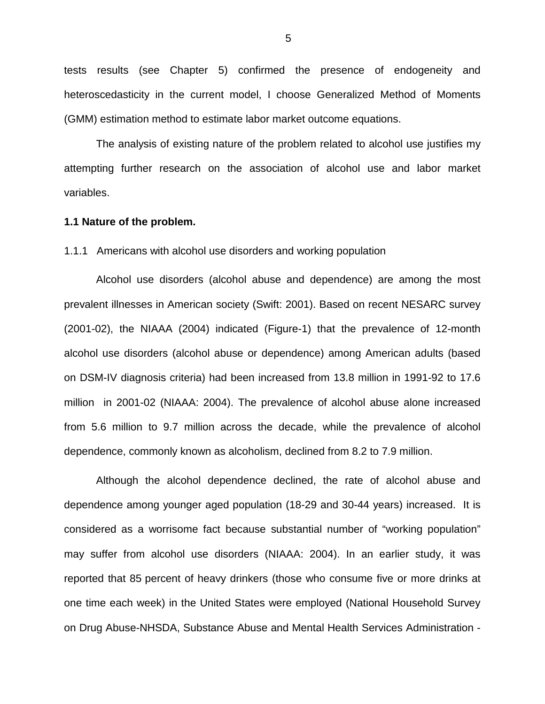tests results (see Chapter 5) confirmed the presence of endogeneity and heteroscedasticity in the current model, I choose Generalized Method of Moments (GMM) estimation method to estimate labor market outcome equations.

The analysis of existing nature of the problem related to alcohol use justifies my attempting further research on the association of alcohol use and labor market variables.

### **1.1 Nature of the problem.**

#### 1.1.1 Americans with alcohol use disorders and working population

Alcohol use disorders (alcohol abuse and dependence) are among the most prevalent illnesses in American society (Swift: 2001). Based on recent NESARC survey (2001-02), the NIAAA (2004) indicated (Figure-1) that the prevalence of 12-month alcohol use disorders (alcohol abuse or dependence) among American adults (based on DSM-IV diagnosis criteria) had been increased from 13.8 million in 1991-92 to 17.6 million in 2001-02 (NIAAA: 2004). The prevalence of alcohol abuse alone increased from 5.6 million to 9.7 million across the decade, while the prevalence of alcohol dependence, commonly known as alcoholism, declined from 8.2 to 7.9 million.

Although the alcohol dependence declined, the rate of alcohol abuse and dependence among younger aged population (18-29 and 30-44 years) increased. It is considered as a worrisome fact because substantial number of "working population" may suffer from alcohol use disorders (NIAAA: 2004). In an earlier study, it was reported that 85 percent of heavy drinkers (those who consume five or more drinks at one time each week) in the United States were employed (National Household Survey on Drug Abuse-NHSDA, Substance Abuse and Mental Health Services Administration -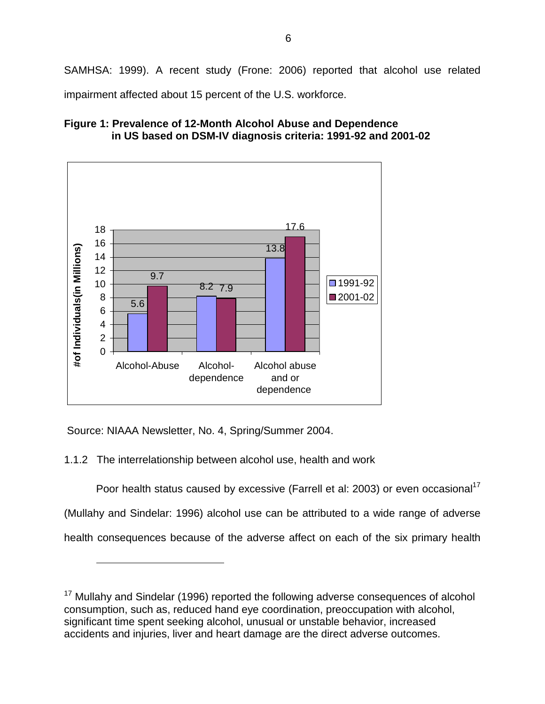SAMHSA: 1999). A recent study (Frone: 2006) reported that alcohol use related impairment affected about 15 percent of the U.S. workforce.





Source: NIAAA Newsletter, No. 4, Spring/Summer 2004.

1

1.1.2 The interrelationship between alcohol use, health and work

Poor health status caused by excessive (Farrell et al: 2003) or even occasional<sup>17</sup> (Mullahy and Sindelar: 1996) alcohol use can be attributed to a wide range of adverse health consequences because of the adverse affect on each of the six primary health

 $17$  Mullahy and Sindelar (1996) reported the following adverse consequences of alcohol consumption, such as, reduced hand eye coordination, preoccupation with alcohol, significant time spent seeking alcohol, unusual or unstable behavior, increased accidents and injuries, liver and heart damage are the direct adverse outcomes.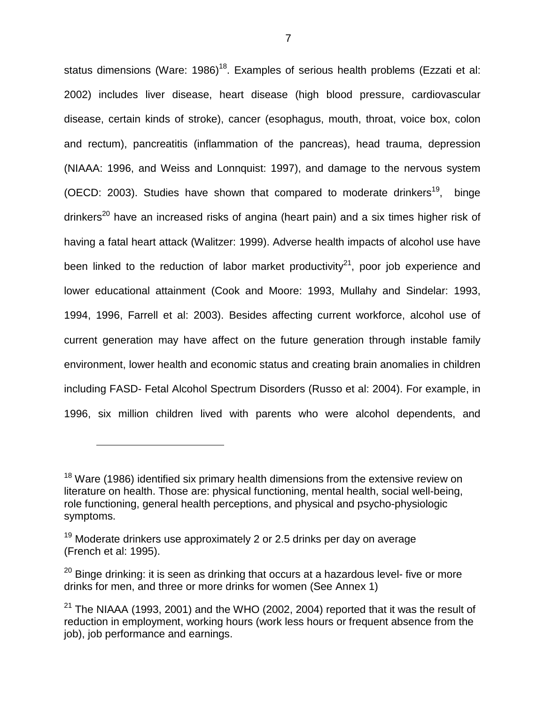status dimensions (Ware: 1986)<sup>18</sup>. Examples of serious health problems (Ezzati et al: 2002) includes liver disease, heart disease (high blood pressure, cardiovascular disease, certain kinds of stroke), cancer (esophagus, mouth, throat, voice box, colon and rectum), pancreatitis (inflammation of the pancreas), head trauma, depression (NIAAA: 1996, and Weiss and Lonnquist: 1997), and damage to the nervous system (OECD: 2003). Studies have shown that compared to moderate drinkers<sup>19</sup>, binge drinkers<sup>20</sup> have an increased risks of angina (heart pain) and a six times higher risk of having a fatal heart attack (Walitzer: 1999). Adverse health impacts of alcohol use have been linked to the reduction of labor market productivity<sup>21</sup>, poor job experience and lower educational attainment (Cook and Moore: 1993, Mullahy and Sindelar: 1993, 1994, 1996, Farrell et al: 2003). Besides affecting current workforce, alcohol use of current generation may have affect on the future generation through instable family environment, lower health and economic status and creating brain anomalies in children including FASD- Fetal Alcohol Spectrum Disorders (Russo et al: 2004). For example, in 1996, six million children lived with parents who were alcohol dependents, and

 $18$  Ware (1986) identified six primary health dimensions from the extensive review on literature on health. Those are: physical functioning, mental health, social well-being, role functioning, general health perceptions, and physical and psycho-physiologic symptoms.

 $19$  Moderate drinkers use approximately 2 or 2.5 drinks per day on average (French et al: 1995).

 $20$  Binge drinking: it is seen as drinking that occurs at a hazardous level- five or more drinks for men, and three or more drinks for women (See Annex 1)

 $21$  The NIAAA (1993, 2001) and the WHO (2002, 2004) reported that it was the result of reduction in employment, working hours (work less hours or frequent absence from the job), job performance and earnings.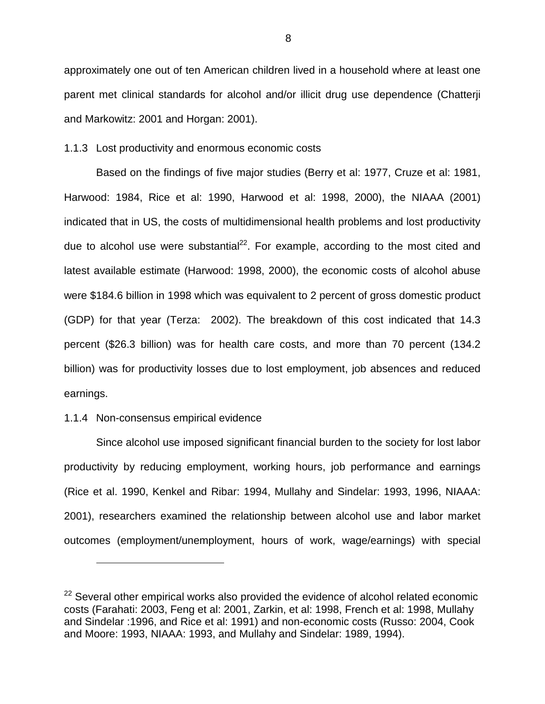approximately one out of ten American children lived in a household where at least one parent met clinical standards for alcohol and/or illicit drug use dependence (Chatterji and Markowitz: 2001 and Horgan: 2001).

#### 1.1.3 Lost productivity and enormous economic costs

Based on the findings of five major studies (Berry et al: 1977, Cruze et al: 1981, Harwood: 1984, Rice et al: 1990, Harwood et al: 1998, 2000), the NIAAA (2001) indicated that in US, the costs of multidimensional health problems and lost productivity due to alcohol use were substantial<sup>22</sup>. For example, according to the most cited and latest available estimate (Harwood: 1998, 2000), the economic costs of alcohol abuse were \$184.6 billion in 1998 which was equivalent to 2 percent of gross domestic product (GDP) for that year (Terza: 2002). The breakdown of this cost indicated that 14.3 percent (\$26.3 billion) was for health care costs, and more than 70 percent (134.2 billion) was for productivity losses due to lost employment, job absences and reduced earnings.

#### 1.1.4 Non-consensus empirical evidence

1

Since alcohol use imposed significant financial burden to the society for lost labor productivity by reducing employment, working hours, job performance and earnings (Rice et al. 1990, Kenkel and Ribar: 1994, Mullahy and Sindelar: 1993, 1996, NIAAA: 2001), researchers examined the relationship between alcohol use and labor market outcomes (employment/unemployment, hours of work, wage/earnings) with special

 $22$  Several other empirical works also provided the evidence of alcohol related economic costs (Farahati: 2003, Feng et al: 2001, Zarkin, et al: 1998, French et al: 1998, Mullahy and Sindelar :1996, and Rice et al: 1991) and non-economic costs (Russo: 2004, Cook and Moore: 1993, NIAAA: 1993, and Mullahy and Sindelar: 1989, 1994).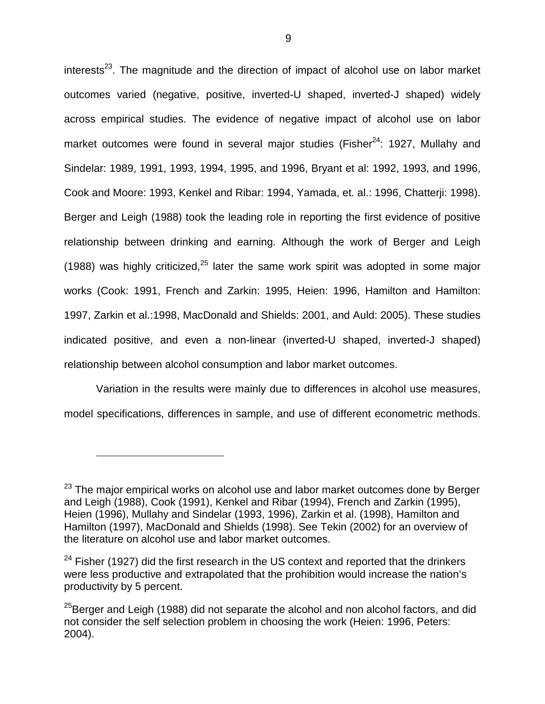$interests<sup>23</sup>$ . The magnitude and the direction of impact of alcohol use on labor market outcomes varied (negative, positive, inverted-U shaped, inverted-J shaped) widely across empirical studies. The evidence of negative impact of alcohol use on labor market outcomes were found in several major studies (Fisher $24$ : 1927, Mullahy and Sindelar: 1989, 1991, 1993, 1994, 1995, and 1996, Bryant et al: 1992, 1993, and 1996, Cook and Moore: 1993, Kenkel and Ribar: 1994, Yamada, et. al.: 1996, Chatterji: 1998). Berger and Leigh (1988) took the leading role in reporting the first evidence of positive relationship between drinking and earning. Although the work of Berger and Leigh (1988) was highly criticized, $25$  later the same work spirit was adopted in some major works (Cook: 1991, French and Zarkin: 1995, Heien: 1996, Hamilton and Hamilton: 1997, Zarkin et al.:1998, MacDonald and Shields: 2001, and Auld: 2005). These studies indicated positive, and even a non-linear (inverted-U shaped, inverted-J shaped) relationship between alcohol consumption and labor market outcomes.

Variation in the results were mainly due to differences in alcohol use measures, model specifications, differences in sample, and use of different econometric methods.

 $23$  The major empirical works on alcohol use and labor market outcomes done by Berger and Leigh (1988), Cook (1991), Kenkel and Ribar (1994), French and Zarkin (1995), Heien (1996), Mullahy and Sindelar (1993, 1996), Zarkin et al. (1998), Hamilton and Hamilton (1997), MacDonald and Shields (1998). See Tekin (2002) for an overview of the literature on alcohol use and labor market outcomes.

 $24$  Fisher (1927) did the first research in the US context and reported that the drinkers were less productive and extrapolated that the prohibition would increase the nation's productivity by 5 percent.

 $25$ Berger and Leigh (1988) did not separate the alcohol and non alcohol factors, and did not consider the self selection problem in choosing the work (Heien: 1996, Peters: 2004).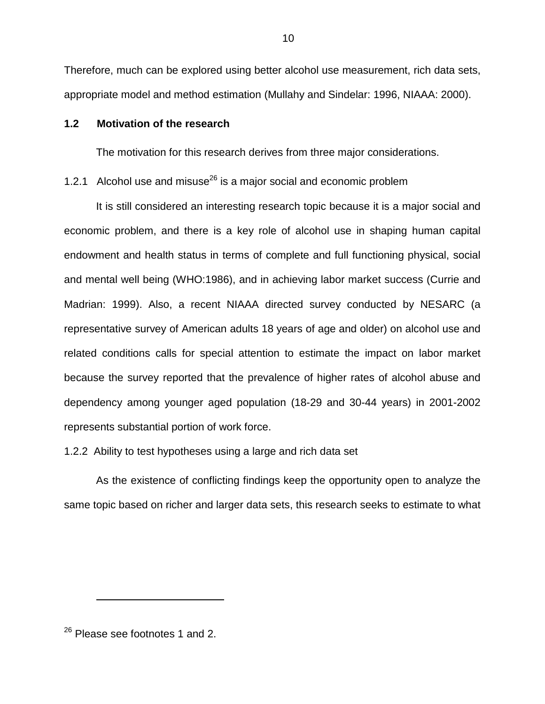Therefore, much can be explored using better alcohol use measurement, rich data sets, appropriate model and method estimation (Mullahy and Sindelar: 1996, NIAAA: 2000).

## **1.2 Motivation of the research**

The motivation for this research derives from three major considerations.

# 1.2.1 Alcohol use and misuse<sup>26</sup> is a major social and economic problem

It is still considered an interesting research topic because it is a major social and economic problem, and there is a key role of alcohol use in shaping human capital endowment and health status in terms of complete and full functioning physical, social and mental well being (WHO:1986), and in achieving labor market success (Currie and Madrian: 1999). Also, a recent NIAAA directed survey conducted by NESARC (a representative survey of American adults 18 years of age and older) on alcohol use and related conditions calls for special attention to estimate the impact on labor market because the survey reported that the prevalence of higher rates of alcohol abuse and dependency among younger aged population (18-29 and 30-44 years) in 2001-2002 represents substantial portion of work force.

1.2.2 Ability to test hypotheses using a large and rich data set

As the existence of conflicting findings keep the opportunity open to analyze the same topic based on richer and larger data sets, this research seeks to estimate to what

<sup>26</sup> Please see footnotes 1 and 2.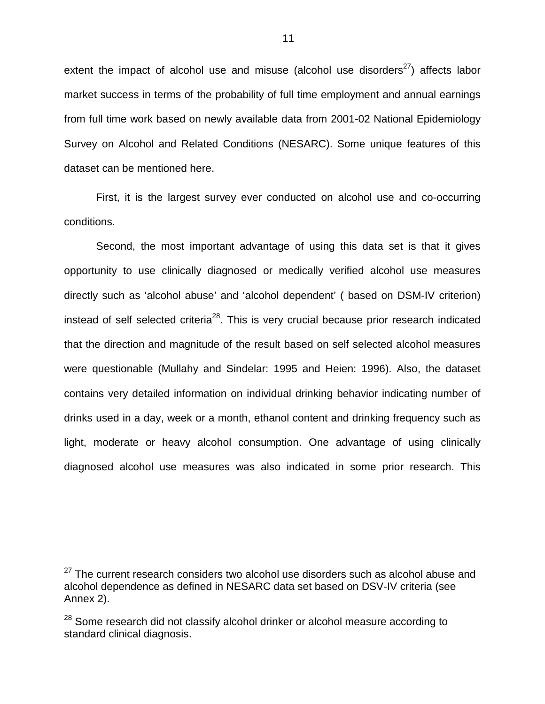extent the impact of alcohol use and misuse (alcohol use disorders<sup>27</sup>) affects labor market success in terms of the probability of full time employment and annual earnings from full time work based on newly available data from 2001-02 National Epidemiology Survey on Alcohol and Related Conditions (NESARC). Some unique features of this dataset can be mentioned here.

First, it is the largest survey ever conducted on alcohol use and co-occurring conditions.

Second, the most important advantage of using this data set is that it gives opportunity to use clinically diagnosed or medically verified alcohol use measures directly such as 'alcohol abuse' and 'alcohol dependent' ( based on DSM-IV criterion) instead of self selected criteria<sup>28</sup>. This is very crucial because prior research indicated that the direction and magnitude of the result based on self selected alcohol measures were questionable (Mullahy and Sindelar: 1995 and Heien: 1996). Also, the dataset contains very detailed information on individual drinking behavior indicating number of drinks used in a day, week or a month, ethanol content and drinking frequency such as light, moderate or heavy alcohol consumption. One advantage of using clinically diagnosed alcohol use measures was also indicated in some prior research. This

 $\overline{a}$ 

 $27$  The current research considers two alcohol use disorders such as alcohol abuse and alcohol dependence as defined in NESARC data set based on DSV-IV criteria (see Annex 2).

 $28$  Some research did not classify alcohol drinker or alcohol measure according to standard clinical diagnosis.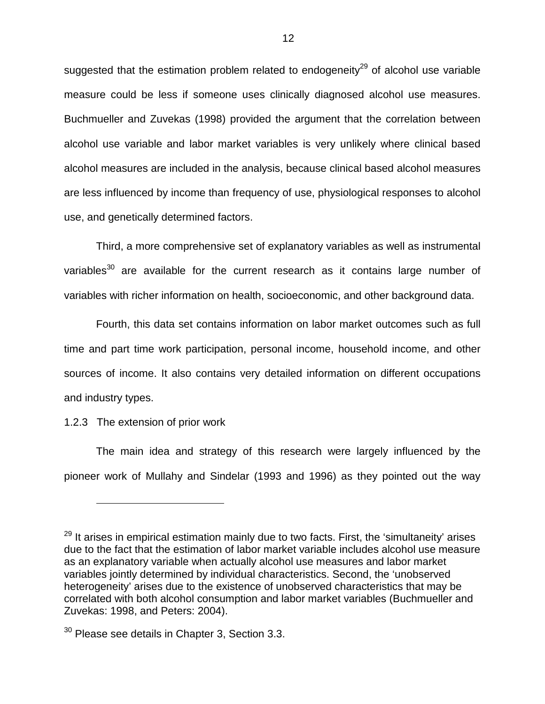suggested that the estimation problem related to endogeneity<sup>29</sup> of alcohol use variable measure could be less if someone uses clinically diagnosed alcohol use measures. Buchmueller and Zuvekas (1998) provided the argument that the correlation between alcohol use variable and labor market variables is very unlikely where clinical based alcohol measures are included in the analysis, because clinical based alcohol measures are less influenced by income than frequency of use, physiological responses to alcohol use, and genetically determined factors.

Third, a more comprehensive set of explanatory variables as well as instrumental variables<sup>30</sup> are available for the current research as it contains large number of variables with richer information on health, socioeconomic, and other background data.

Fourth, this data set contains information on labor market outcomes such as full time and part time work participation, personal income, household income, and other sources of income. It also contains very detailed information on different occupations and industry types.

1.2.3 The extension of prior work

 $\overline{a}$ 

The main idea and strategy of this research were largely influenced by the pioneer work of Mullahy and Sindelar (1993 and 1996) as they pointed out the way

 $29$  It arises in empirical estimation mainly due to two facts. First, the 'simultaneity' arises due to the fact that the estimation of labor market variable includes alcohol use measure as an explanatory variable when actually alcohol use measures and labor market variables jointly determined by individual characteristics. Second, the 'unobserved heterogeneity' arises due to the existence of unobserved characteristics that may be correlated with both alcohol consumption and labor market variables (Buchmueller and Zuvekas: 1998, and Peters: 2004).

 $30$  Please see details in Chapter 3, Section 3.3.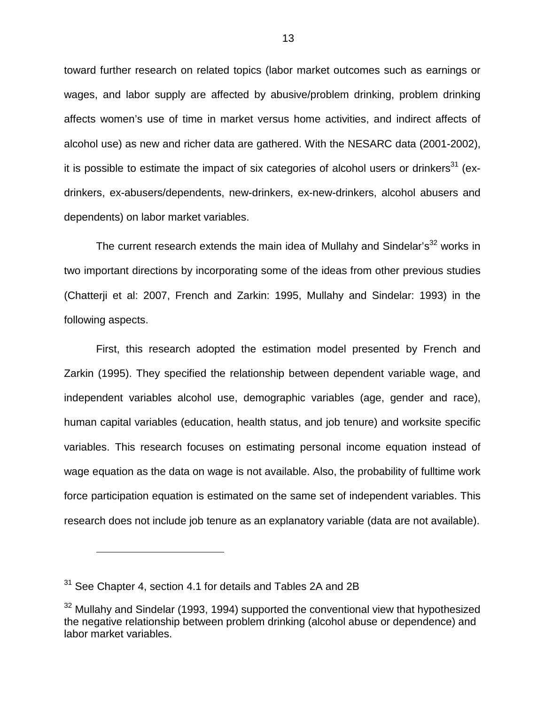toward further research on related topics (labor market outcomes such as earnings or wages, and labor supply are affected by abusive/problem drinking, problem drinking affects women's use of time in market versus home activities, and indirect affects of alcohol use) as new and richer data are gathered. With the NESARC data (2001-2002), it is possible to estimate the impact of six categories of alcohol users or drinkers<sup>31</sup> (exdrinkers, ex-abusers/dependents, new-drinkers, ex-new-drinkers, alcohol abusers and dependents) on labor market variables.

The current research extends the main idea of Mullahy and Sindelar's $32$  works in two important directions by incorporating some of the ideas from other previous studies (Chatterji et al: 2007, French and Zarkin: 1995, Mullahy and Sindelar: 1993) in the following aspects.

First, this research adopted the estimation model presented by French and Zarkin (1995). They specified the relationship between dependent variable wage, and independent variables alcohol use, demographic variables (age, gender and race), human capital variables (education, health status, and job tenure) and worksite specific variables. This research focuses on estimating personal income equation instead of wage equation as the data on wage is not available. Also, the probability of fulltime work force participation equation is estimated on the same set of independent variables. This research does not include job tenure as an explanatory variable (data are not available).

 $\overline{a}$ 

 $31$  See Chapter 4, section 4.1 for details and Tables 2A and 2B

 $32$  Mullahy and Sindelar (1993, 1994) supported the conventional view that hypothesized the negative relationship between problem drinking (alcohol abuse or dependence) and labor market variables.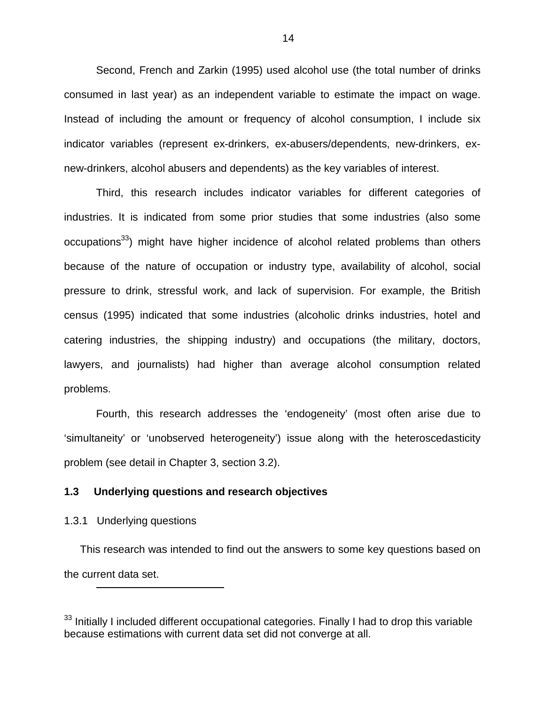Second, French and Zarkin (1995) used alcohol use (the total number of drinks consumed in last year) as an independent variable to estimate the impact on wage. Instead of including the amount or frequency of alcohol consumption, I include six indicator variables (represent ex-drinkers, ex-abusers/dependents, new-drinkers, exnew-drinkers, alcohol abusers and dependents) as the key variables of interest.

Third, this research includes indicator variables for different categories of industries. It is indicated from some prior studies that some industries (also some occupations<sup>33</sup>) might have higher incidence of alcohol related problems than others because of the nature of occupation or industry type, availability of alcohol, social pressure to drink, stressful work, and lack of supervision. For example, the British census (1995) indicated that some industries (alcoholic drinks industries, hotel and catering industries, the shipping industry) and occupations (the military, doctors, lawyers, and journalists) had higher than average alcohol consumption related problems.

Fourth, this research addresses the 'endogeneity' (most often arise due to 'simultaneity' or 'unobserved heterogeneity') issue along with the heteroscedasticity problem (see detail in Chapter 3, section 3.2).

# **1.3 Underlying questions and research objectives**

#### 1.3.1 Underlying questions

1

This research was intended to find out the answers to some key questions based on the current data set.

<sup>&</sup>lt;sup>33</sup> Initially I included different occupational categories. Finally I had to drop this variable because estimations with current data set did not converge at all.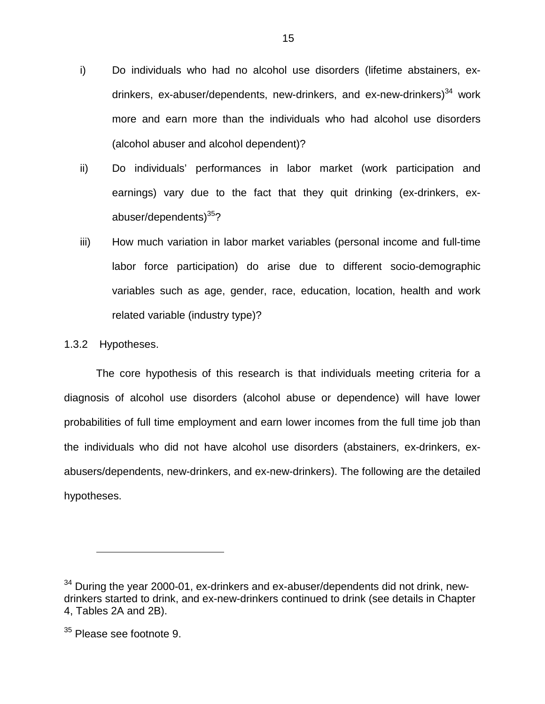- i) Do individuals who had no alcohol use disorders (lifetime abstainers, exdrinkers, ex-abuser/dependents, new-drinkers, and ex-new-drinkers) $34$  work more and earn more than the individuals who had alcohol use disorders (alcohol abuser and alcohol dependent)?
- ii) Do individuals' performances in labor market (work participation and earnings) vary due to the fact that they quit drinking (ex-drinkers, exabuser/dependents)<sup>35</sup>?
- iii) How much variation in labor market variables (personal income and full-time labor force participation) do arise due to different socio-demographic variables such as age, gender, race, education, location, health and work related variable (industry type)?

### 1.3.2 Hypotheses.

The core hypothesis of this research is that individuals meeting criteria for a diagnosis of alcohol use disorders (alcohol abuse or dependence) will have lower probabilities of full time employment and earn lower incomes from the full time job than the individuals who did not have alcohol use disorders (abstainers, ex-drinkers, exabusers/dependents, new-drinkers, and ex-new-drinkers). The following are the detailed hypotheses.

 $34$  During the year 2000-01, ex-drinkers and ex-abuser/dependents did not drink, newdrinkers started to drink, and ex-new-drinkers continued to drink (see details in Chapter 4, Tables 2A and 2B).

<sup>&</sup>lt;sup>35</sup> Please see footnote 9.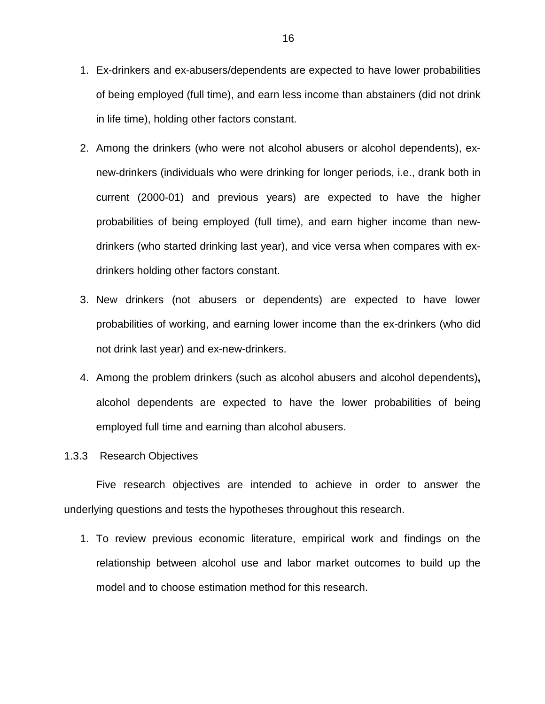- 1. Ex-drinkers and ex-abusers/dependents are expected to have lower probabilities of being employed (full time), and earn less income than abstainers (did not drink in life time), holding other factors constant.
- 2. Among the drinkers (who were not alcohol abusers or alcohol dependents), exnew-drinkers (individuals who were drinking for longer periods, i.e., drank both in current (2000-01) and previous years) are expected to have the higher probabilities of being employed (full time), and earn higher income than newdrinkers (who started drinking last year), and vice versa when compares with exdrinkers holding other factors constant.
- 3. New drinkers (not abusers or dependents) are expected to have lower probabilities of working, and earning lower income than the ex-drinkers (who did not drink last year) and ex-new-drinkers.
- 4. Among the problem drinkers (such as alcohol abusers and alcohol dependents)**,** alcohol dependents are expected to have the lower probabilities of being employed full time and earning than alcohol abusers.
- 1.3.3 Research Objectives

Five research objectives are intended to achieve in order to answer the underlying questions and tests the hypotheses throughout this research.

1. To review previous economic literature, empirical work and findings on the relationship between alcohol use and labor market outcomes to build up the model and to choose estimation method for this research.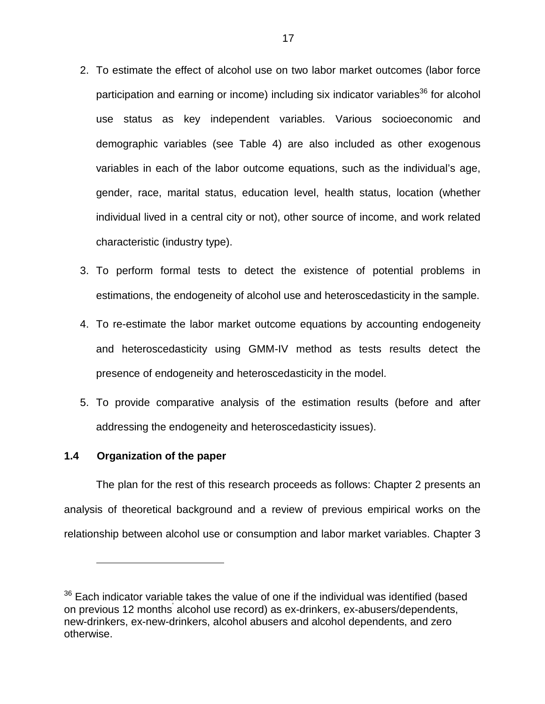- 2. To estimate the effect of alcohol use on two labor market outcomes (labor force participation and earning or income) including six indicator variables $36$  for alcohol use status as key independent variables. Various socioeconomic and demographic variables (see Table 4) are also included as other exogenous variables in each of the labor outcome equations, such as the individual's age, gender, race, marital status, education level, health status, location (whether individual lived in a central city or not), other source of income, and work related characteristic (industry type).
- 3. To perform formal tests to detect the existence of potential problems in estimations, the endogeneity of alcohol use and heteroscedasticity in the sample.
- 4. To re-estimate the labor market outcome equations by accounting endogeneity and heteroscedasticity using GMM-IV method as tests results detect the presence of endogeneity and heteroscedasticity in the model.
- 5. To provide comparative analysis of the estimation results (before and after addressing the endogeneity and heteroscedasticity issues).

### **1.4 Organization of the paper**

 $\overline{a}$ 

The plan for the rest of this research proceeds as follows: Chapter 2 presents an analysis of theoretical background and a review of previous empirical works on the relationship between alcohol use or consumption and labor market variables. Chapter 3

 $36$  Each indicator variable takes the value of one if the individual was identified (based on previous 12 months' alcohol use record) as ex-drinkers, ex-abusers/dependents, new-drinkers, ex-new-drinkers, alcohol abusers and alcohol dependents, and zero otherwise.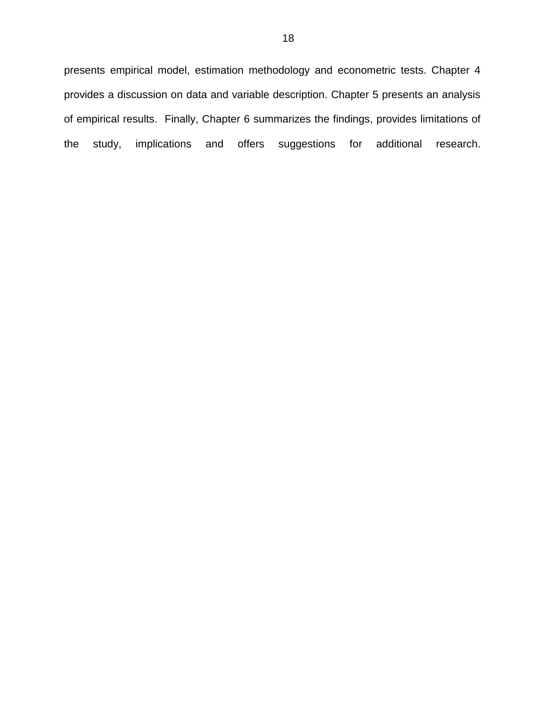presents empirical model, estimation methodology and econometric tests. Chapter 4 provides a discussion on data and variable description. Chapter 5 presents an analysis of empirical results. Finally, Chapter 6 summarizes the findings, provides limitations of the study, implications and offers suggestions for additional research.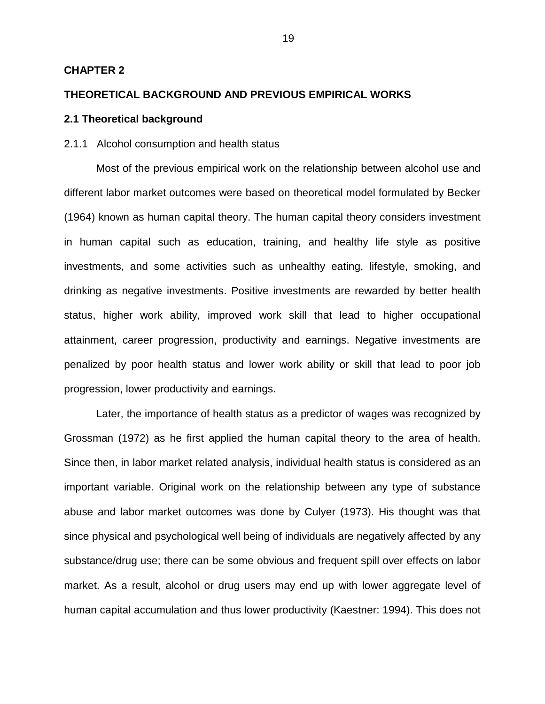#### **CHAPTER 2**

#### **THEORETICAL BACKGROUND AND PREVIOUS EMPIRICAL WORKS**

### **2.1 Theoretical background**

#### 2.1.1 Alcohol consumption and health status

Most of the previous empirical work on the relationship between alcohol use and different labor market outcomes were based on theoretical model formulated by Becker (1964) known as human capital theory. The human capital theory considers investment in human capital such as education, training, and healthy life style as positive investments, and some activities such as unhealthy eating, lifestyle, smoking, and drinking as negative investments. Positive investments are rewarded by better health status, higher work ability, improved work skill that lead to higher occupational attainment, career progression, productivity and earnings. Negative investments are penalized by poor health status and lower work ability or skill that lead to poor job progression, lower productivity and earnings.

Later, the importance of health status as a predictor of wages was recognized by Grossman (1972) as he first applied the human capital theory to the area of health. Since then, in labor market related analysis, individual health status is considered as an important variable. Original work on the relationship between any type of substance abuse and labor market outcomes was done by Culyer (1973). His thought was that since physical and psychological well being of individuals are negatively affected by any substance/drug use; there can be some obvious and frequent spill over effects on labor market. As a result, alcohol or drug users may end up with lower aggregate level of human capital accumulation and thus lower productivity (Kaestner: 1994). This does not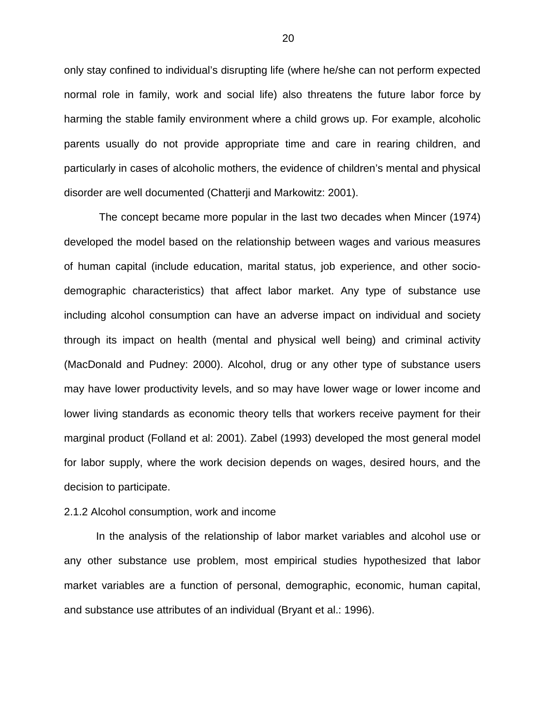only stay confined to individual's disrupting life (where he/she can not perform expected normal role in family, work and social life) also threatens the future labor force by harming the stable family environment where a child grows up. For example, alcoholic parents usually do not provide appropriate time and care in rearing children, and particularly in cases of alcoholic mothers, the evidence of children's mental and physical disorder are well documented (Chatterji and Markowitz: 2001).

 The concept became more popular in the last two decades when Mincer (1974) developed the model based on the relationship between wages and various measures of human capital (include education, marital status, job experience, and other sociodemographic characteristics) that affect labor market. Any type of substance use including alcohol consumption can have an adverse impact on individual and society through its impact on health (mental and physical well being) and criminal activity (MacDonald and Pudney: 2000). Alcohol, drug or any other type of substance users may have lower productivity levels, and so may have lower wage or lower income and lower living standards as economic theory tells that workers receive payment for their marginal product (Folland et al: 2001). Zabel (1993) developed the most general model for labor supply, where the work decision depends on wages, desired hours, and the decision to participate.

#### 2.1.2 Alcohol consumption, work and income

In the analysis of the relationship of labor market variables and alcohol use or any other substance use problem, most empirical studies hypothesized that labor market variables are a function of personal, demographic, economic, human capital, and substance use attributes of an individual (Bryant et al.: 1996).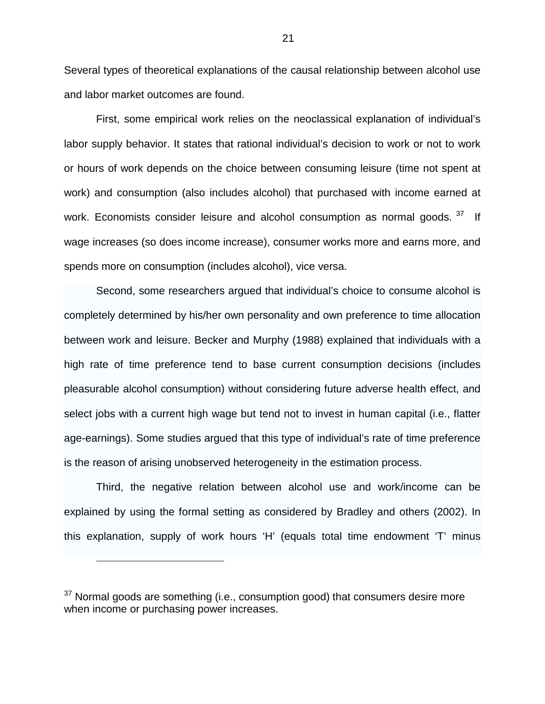Several types of theoretical explanations of the causal relationship between alcohol use and labor market outcomes are found.

First, some empirical work relies on the neoclassical explanation of individual's labor supply behavior. It states that rational individual's decision to work or not to work or hours of work depends on the choice between consuming leisure (time not spent at work) and consumption (also includes alcohol) that purchased with income earned at work. Economists consider leisure and alcohol consumption as normal goods.  $37$  If wage increases (so does income increase), consumer works more and earns more, and spends more on consumption (includes alcohol), vice versa.

Second, some researchers argued that individual's choice to consume alcohol is completely determined by his/her own personality and own preference to time allocation between work and leisure. Becker and Murphy (1988) explained that individuals with a high rate of time preference tend to base current consumption decisions (includes pleasurable alcohol consumption) without considering future adverse health effect, and select jobs with a current high wage but tend not to invest in human capital (i.e., flatter age-earnings). Some studies argued that this type of individual's rate of time preference is the reason of arising unobserved heterogeneity in the estimation process.

Third, the negative relation between alcohol use and work/income can be explained by using the formal setting as considered by Bradley and others (2002). In this explanation, supply of work hours 'H' (equals total time endowment 'T' minus

 $\overline{a}$ 

 $37$  Normal goods are something (i.e., consumption good) that consumers desire more when income or purchasing power increases.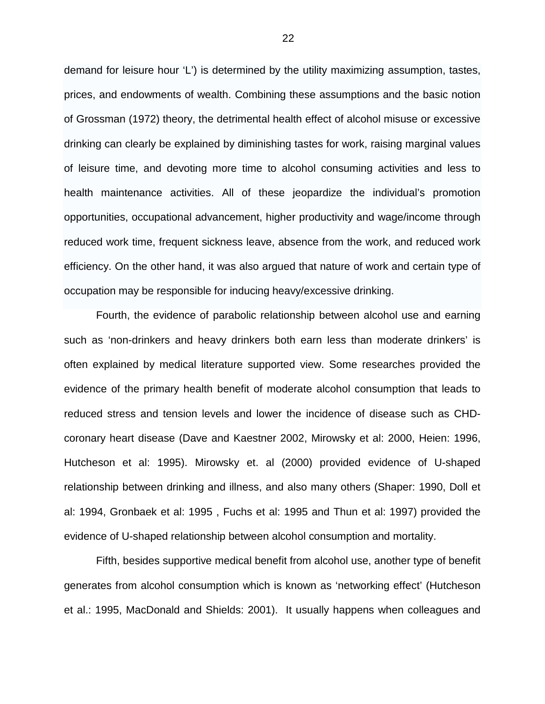demand for leisure hour 'L') is determined by the utility maximizing assumption, tastes, prices, and endowments of wealth. Combining these assumptions and the basic notion of Grossman (1972) theory, the detrimental health effect of alcohol misuse or excessive drinking can clearly be explained by diminishing tastes for work, raising marginal values of leisure time, and devoting more time to alcohol consuming activities and less to health maintenance activities. All of these jeopardize the individual's promotion opportunities, occupational advancement, higher productivity and wage/income through reduced work time, frequent sickness leave, absence from the work, and reduced work efficiency. On the other hand, it was also argued that nature of work and certain type of occupation may be responsible for inducing heavy/excessive drinking.

Fourth, the evidence of parabolic relationship between alcohol use and earning such as 'non-drinkers and heavy drinkers both earn less than moderate drinkers' is often explained by medical literature supported view. Some researches provided the evidence of the primary health benefit of moderate alcohol consumption that leads to reduced stress and tension levels and lower the incidence of disease such as CHDcoronary heart disease (Dave and Kaestner 2002, Mirowsky et al: 2000, Heien: 1996, Hutcheson et al: 1995). Mirowsky et. al (2000) provided evidence of U-shaped relationship between drinking and illness, and also many others (Shaper: 1990, Doll et al: 1994, Gronbaek et al: 1995 , Fuchs et al: 1995 and Thun et al: 1997) provided the evidence of U-shaped relationship between alcohol consumption and mortality.

Fifth, besides supportive medical benefit from alcohol use, another type of benefit generates from alcohol consumption which is known as 'networking effect' (Hutcheson et al.: 1995, MacDonald and Shields: 2001). It usually happens when colleagues and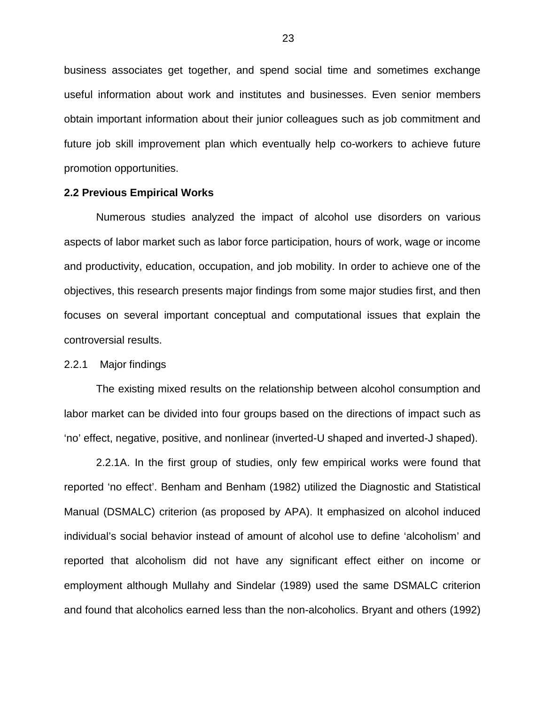business associates get together, and spend social time and sometimes exchange useful information about work and institutes and businesses. Even senior members obtain important information about their junior colleagues such as job commitment and future job skill improvement plan which eventually help co-workers to achieve future promotion opportunities.

#### **2.2 Previous Empirical Works**

 Numerous studies analyzed the impact of alcohol use disorders on various aspects of labor market such as labor force participation, hours of work, wage or income and productivity, education, occupation, and job mobility. In order to achieve one of the objectives, this research presents major findings from some major studies first, and then focuses on several important conceptual and computational issues that explain the controversial results.

2.2.1 Major findings

The existing mixed results on the relationship between alcohol consumption and labor market can be divided into four groups based on the directions of impact such as 'no' effect, negative, positive, and nonlinear (inverted-U shaped and inverted-J shaped).

2.2.1A. In the first group of studies, only few empirical works were found that reported 'no effect'. Benham and Benham (1982) utilized the Diagnostic and Statistical Manual (DSMALC) criterion (as proposed by APA). It emphasized on alcohol induced individual's social behavior instead of amount of alcohol use to define 'alcoholism' and reported that alcoholism did not have any significant effect either on income or employment although Mullahy and Sindelar (1989) used the same DSMALC criterion and found that alcoholics earned less than the non-alcoholics. Bryant and others (1992)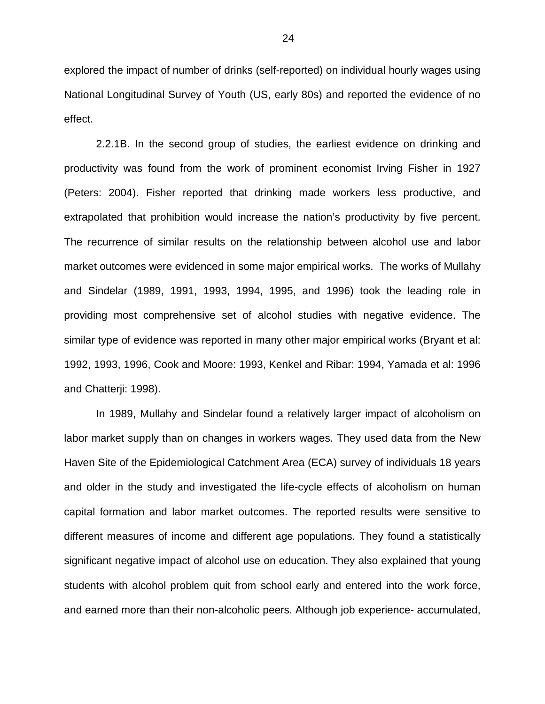explored the impact of number of drinks (self-reported) on individual hourly wages using National Longitudinal Survey of Youth (US, early 80s) and reported the evidence of no effect.

2.2.1B. In the second group of studies, the earliest evidence on drinking and productivity was found from the work of prominent economist Irving Fisher in 1927 (Peters: 2004). Fisher reported that drinking made workers less productive, and extrapolated that prohibition would increase the nation's productivity by five percent. The recurrence of similar results on the relationship between alcohol use and labor market outcomes were evidenced in some major empirical works. The works of Mullahy and Sindelar (1989, 1991, 1993, 1994, 1995, and 1996) took the leading role in providing most comprehensive set of alcohol studies with negative evidence. The similar type of evidence was reported in many other major empirical works (Bryant et al: 1992, 1993, 1996, Cook and Moore: 1993, Kenkel and Ribar: 1994, Yamada et al: 1996 and Chatterji: 1998).

In 1989, Mullahy and Sindelar found a relatively larger impact of alcoholism on labor market supply than on changes in workers wages. They used data from the New Haven Site of the Epidemiological Catchment Area (ECA) survey of individuals 18 years and older in the study and investigated the life-cycle effects of alcoholism on human capital formation and labor market outcomes. The reported results were sensitive to different measures of income and different age populations. They found a statistically significant negative impact of alcohol use on education. They also explained that young students with alcohol problem quit from school early and entered into the work force, and earned more than their non-alcoholic peers. Although job experience- accumulated,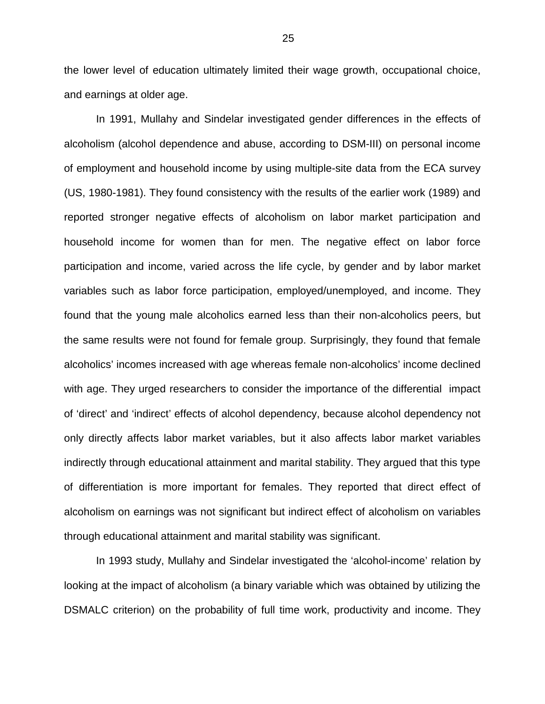the lower level of education ultimately limited their wage growth, occupational choice, and earnings at older age.

In 1991, Mullahy and Sindelar investigated gender differences in the effects of alcoholism (alcohol dependence and abuse, according to DSM-III) on personal income of employment and household income by using multiple-site data from the ECA survey (US, 1980-1981). They found consistency with the results of the earlier work (1989) and reported stronger negative effects of alcoholism on labor market participation and household income for women than for men. The negative effect on labor force participation and income, varied across the life cycle, by gender and by labor market variables such as labor force participation, employed/unemployed, and income. They found that the young male alcoholics earned less than their non-alcoholics peers, but the same results were not found for female group. Surprisingly, they found that female alcoholics' incomes increased with age whereas female non-alcoholics' income declined with age. They urged researchers to consider the importance of the differential impact of 'direct' and 'indirect' effects of alcohol dependency, because alcohol dependency not only directly affects labor market variables, but it also affects labor market variables indirectly through educational attainment and marital stability. They argued that this type of differentiation is more important for females. They reported that direct effect of alcoholism on earnings was not significant but indirect effect of alcoholism on variables through educational attainment and marital stability was significant.

In 1993 study, Mullahy and Sindelar investigated the 'alcohol-income' relation by looking at the impact of alcoholism (a binary variable which was obtained by utilizing the DSMALC criterion) on the probability of full time work, productivity and income. They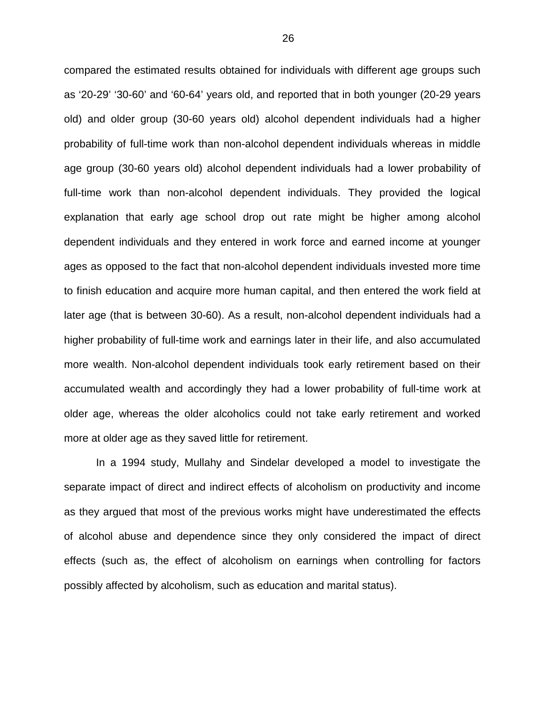compared the estimated results obtained for individuals with different age groups such as '20-29' '30-60' and '60-64' years old, and reported that in both younger (20-29 years old) and older group (30-60 years old) alcohol dependent individuals had a higher probability of full-time work than non-alcohol dependent individuals whereas in middle age group (30-60 years old) alcohol dependent individuals had a lower probability of full-time work than non-alcohol dependent individuals. They provided the logical explanation that early age school drop out rate might be higher among alcohol dependent individuals and they entered in work force and earned income at younger ages as opposed to the fact that non-alcohol dependent individuals invested more time to finish education and acquire more human capital, and then entered the work field at later age (that is between 30-60). As a result, non-alcohol dependent individuals had a higher probability of full-time work and earnings later in their life, and also accumulated more wealth. Non-alcohol dependent individuals took early retirement based on their accumulated wealth and accordingly they had a lower probability of full-time work at older age, whereas the older alcoholics could not take early retirement and worked more at older age as they saved little for retirement.

In a 1994 study, Mullahy and Sindelar developed a model to investigate the separate impact of direct and indirect effects of alcoholism on productivity and income as they argued that most of the previous works might have underestimated the effects of alcohol abuse and dependence since they only considered the impact of direct effects (such as, the effect of alcoholism on earnings when controlling for factors possibly affected by alcoholism, such as education and marital status).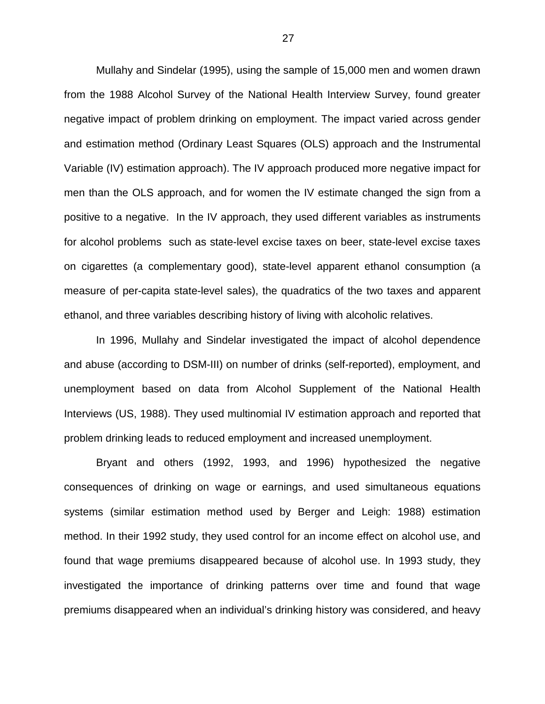Mullahy and Sindelar (1995), using the sample of 15,000 men and women drawn from the 1988 Alcohol Survey of the National Health Interview Survey, found greater negative impact of problem drinking on employment. The impact varied across gender and estimation method (Ordinary Least Squares (OLS) approach and the Instrumental Variable (IV) estimation approach). The IV approach produced more negative impact for men than the OLS approach, and for women the IV estimate changed the sign from a positive to a negative. In the IV approach, they used different variables as instruments for alcohol problems such as state-level excise taxes on beer, state-level excise taxes on cigarettes (a complementary good), state-level apparent ethanol consumption (a measure of per-capita state-level sales), the quadratics of the two taxes and apparent ethanol, and three variables describing history of living with alcoholic relatives.

In 1996, Mullahy and Sindelar investigated the impact of alcohol dependence and abuse (according to DSM-III) on number of drinks (self-reported), employment, and unemployment based on data from Alcohol Supplement of the National Health Interviews (US, 1988). They used multinomial IV estimation approach and reported that problem drinking leads to reduced employment and increased unemployment.

Bryant and others (1992, 1993, and 1996) hypothesized the negative consequences of drinking on wage or earnings, and used simultaneous equations systems (similar estimation method used by Berger and Leigh: 1988) estimation method. In their 1992 study, they used control for an income effect on alcohol use, and found that wage premiums disappeared because of alcohol use. In 1993 study, they investigated the importance of drinking patterns over time and found that wage premiums disappeared when an individual's drinking history was considered, and heavy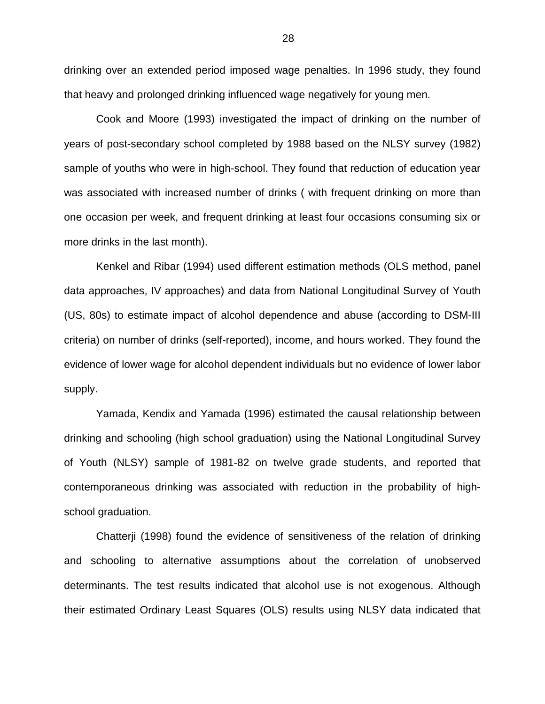drinking over an extended period imposed wage penalties. In 1996 study, they found that heavy and prolonged drinking influenced wage negatively for young men.

Cook and Moore (1993) investigated the impact of drinking on the number of years of post-secondary school completed by 1988 based on the NLSY survey (1982) sample of youths who were in high-school. They found that reduction of education year was associated with increased number of drinks ( with frequent drinking on more than one occasion per week, and frequent drinking at least four occasions consuming six or more drinks in the last month).

Kenkel and Ribar (1994) used different estimation methods (OLS method, panel data approaches, IV approaches) and data from National Longitudinal Survey of Youth (US, 80s) to estimate impact of alcohol dependence and abuse (according to DSM-III criteria) on number of drinks (self-reported), income, and hours worked. They found the evidence of lower wage for alcohol dependent individuals but no evidence of lower labor supply.

Yamada, Kendix and Yamada (1996) estimated the causal relationship between drinking and schooling (high school graduation) using the National Longitudinal Survey of Youth (NLSY) sample of 1981-82 on twelve grade students, and reported that contemporaneous drinking was associated with reduction in the probability of highschool graduation.

Chatterji (1998) found the evidence of sensitiveness of the relation of drinking and schooling to alternative assumptions about the correlation of unobserved determinants. The test results indicated that alcohol use is not exogenous. Although their estimated Ordinary Least Squares (OLS) results using NLSY data indicated that

28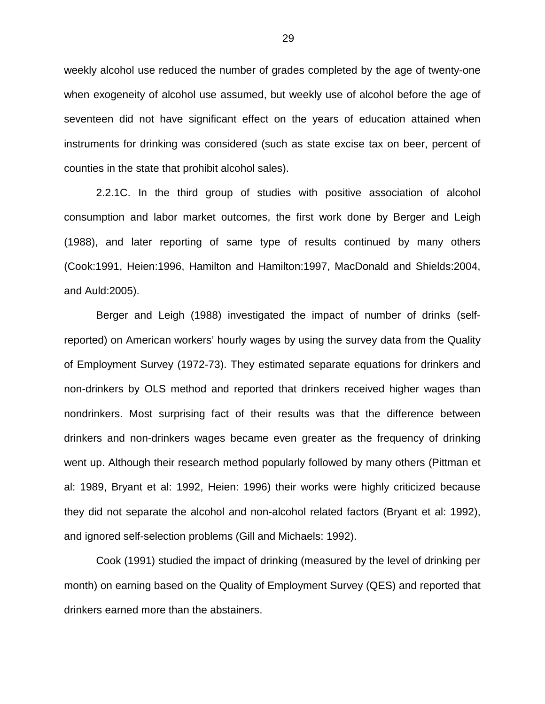weekly alcohol use reduced the number of grades completed by the age of twenty-one when exogeneity of alcohol use assumed, but weekly use of alcohol before the age of seventeen did not have significant effect on the years of education attained when instruments for drinking was considered (such as state excise tax on beer, percent of counties in the state that prohibit alcohol sales).

2.2.1C. In the third group of studies with positive association of alcohol consumption and labor market outcomes, the first work done by Berger and Leigh (1988), and later reporting of same type of results continued by many others (Cook:1991, Heien:1996, Hamilton and Hamilton:1997, MacDonald and Shields:2004, and Auld:2005).

Berger and Leigh (1988) investigated the impact of number of drinks (selfreported) on American workers' hourly wages by using the survey data from the Quality of Employment Survey (1972-73). They estimated separate equations for drinkers and non-drinkers by OLS method and reported that drinkers received higher wages than nondrinkers. Most surprising fact of their results was that the difference between drinkers and non-drinkers wages became even greater as the frequency of drinking went up. Although their research method popularly followed by many others (Pittman et al: 1989, Bryant et al: 1992, Heien: 1996) their works were highly criticized because they did not separate the alcohol and non-alcohol related factors (Bryant et al: 1992), and ignored self-selection problems (Gill and Michaels: 1992).

Cook (1991) studied the impact of drinking (measured by the level of drinking per month) on earning based on the Quality of Employment Survey (QES) and reported that drinkers earned more than the abstainers.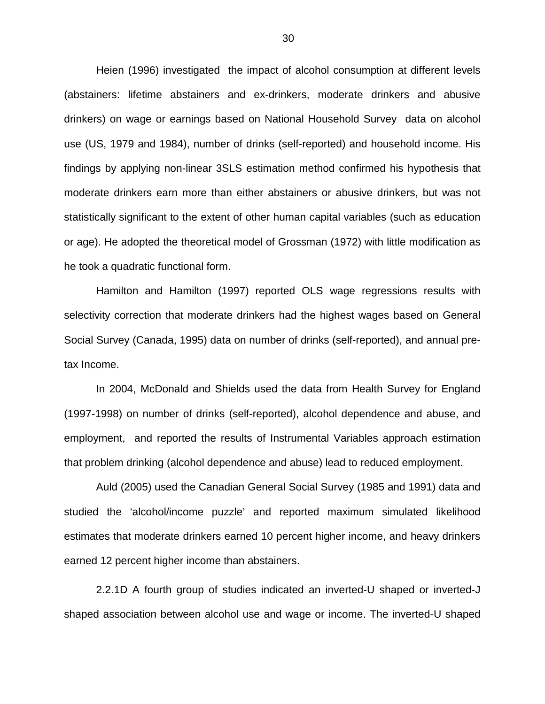Heien (1996) investigated the impact of alcohol consumption at different levels (abstainers: lifetime abstainers and ex-drinkers, moderate drinkers and abusive drinkers) on wage or earnings based on National Household Survey data on alcohol use (US, 1979 and 1984), number of drinks (self-reported) and household income. His findings by applying non-linear 3SLS estimation method confirmed his hypothesis that moderate drinkers earn more than either abstainers or abusive drinkers, but was not statistically significant to the extent of other human capital variables (such as education or age). He adopted the theoretical model of Grossman (1972) with little modification as he took a quadratic functional form.

Hamilton and Hamilton (1997) reported OLS wage regressions results with selectivity correction that moderate drinkers had the highest wages based on General Social Survey (Canada, 1995) data on number of drinks (self-reported), and annual pretax Income.

In 2004, McDonald and Shields used the data from Health Survey for England (1997-1998) on number of drinks (self-reported), alcohol dependence and abuse, and employment, and reported the results of Instrumental Variables approach estimation that problem drinking (alcohol dependence and abuse) lead to reduced employment.

Auld (2005) used the Canadian General Social Survey (1985 and 1991) data and studied the 'alcohol/income puzzle' and reported maximum simulated likelihood estimates that moderate drinkers earned 10 percent higher income, and heavy drinkers earned 12 percent higher income than abstainers.

2.2.1D A fourth group of studies indicated an inverted-U shaped or inverted-J shaped association between alcohol use and wage or income. The inverted-U shaped

30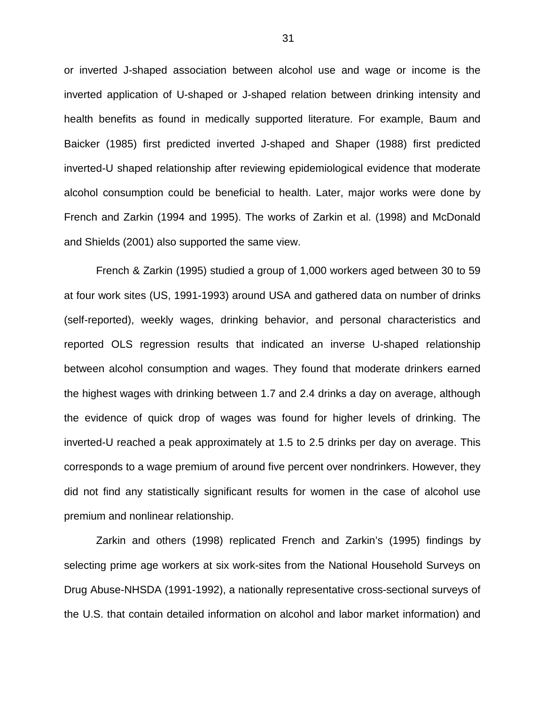or inverted J-shaped association between alcohol use and wage or income is the inverted application of U-shaped or J-shaped relation between drinking intensity and health benefits as found in medically supported literature. For example, Baum and Baicker (1985) first predicted inverted J-shaped and Shaper (1988) first predicted inverted-U shaped relationship after reviewing epidemiological evidence that moderate alcohol consumption could be beneficial to health. Later, major works were done by French and Zarkin (1994 and 1995). The works of Zarkin et al. (1998) and McDonald and Shields (2001) also supported the same view.

French & Zarkin (1995) studied a group of 1,000 workers aged between 30 to 59 at four work sites (US, 1991-1993) around USA and gathered data on number of drinks (self-reported), weekly wages, drinking behavior, and personal characteristics and reported OLS regression results that indicated an inverse U-shaped relationship between alcohol consumption and wages. They found that moderate drinkers earned the highest wages with drinking between 1.7 and 2.4 drinks a day on average, although the evidence of quick drop of wages was found for higher levels of drinking. The inverted-U reached a peak approximately at 1.5 to 2.5 drinks per day on average. This corresponds to a wage premium of around five percent over nondrinkers. However, they did not find any statistically significant results for women in the case of alcohol use premium and nonlinear relationship.

Zarkin and others (1998) replicated French and Zarkin's (1995) findings by selecting prime age workers at six work-sites from the National Household Surveys on Drug Abuse-NHSDA (1991-1992), a nationally representative cross-sectional surveys of the U.S. that contain detailed information on alcohol and labor market information) and

31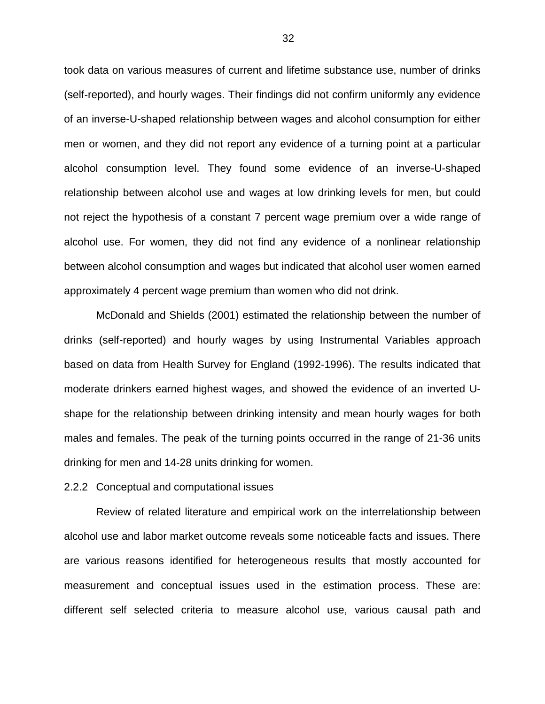took data on various measures of current and lifetime substance use, number of drinks (self-reported), and hourly wages. Their findings did not confirm uniformly any evidence of an inverse-U-shaped relationship between wages and alcohol consumption for either men or women, and they did not report any evidence of a turning point at a particular alcohol consumption level. They found some evidence of an inverse-U-shaped relationship between alcohol use and wages at low drinking levels for men, but could not reject the hypothesis of a constant 7 percent wage premium over a wide range of alcohol use. For women, they did not find any evidence of a nonlinear relationship between alcohol consumption and wages but indicated that alcohol user women earned approximately 4 percent wage premium than women who did not drink.

McDonald and Shields (2001) estimated the relationship between the number of drinks (self-reported) and hourly wages by using Instrumental Variables approach based on data from Health Survey for England (1992-1996). The results indicated that moderate drinkers earned highest wages, and showed the evidence of an inverted Ushape for the relationship between drinking intensity and mean hourly wages for both males and females. The peak of the turning points occurred in the range of 21-36 units drinking for men and 14-28 units drinking for women.

#### 2.2.2 Conceptual and computational issues

Review of related literature and empirical work on the interrelationship between alcohol use and labor market outcome reveals some noticeable facts and issues. There are various reasons identified for heterogeneous results that mostly accounted for measurement and conceptual issues used in the estimation process. These are: different self selected criteria to measure alcohol use, various causal path and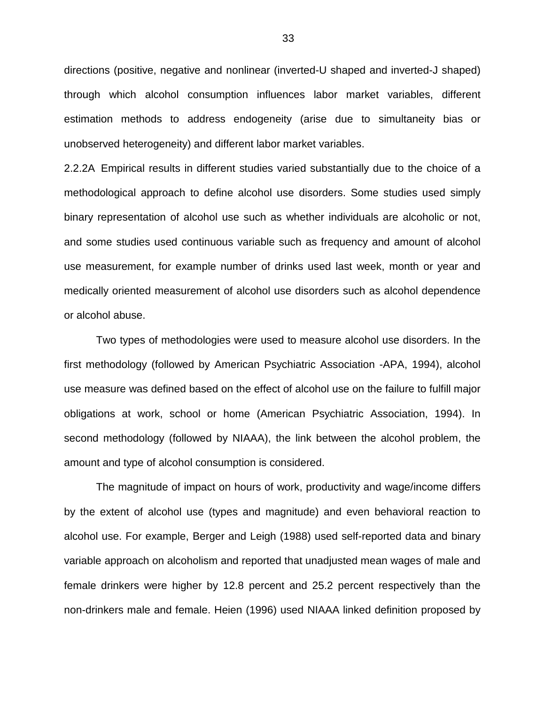directions (positive, negative and nonlinear (inverted-U shaped and inverted-J shaped) through which alcohol consumption influences labor market variables, different estimation methods to address endogeneity (arise due to simultaneity bias or unobserved heterogeneity) and different labor market variables.

2.2.2A Empirical results in different studies varied substantially due to the choice of a methodological approach to define alcohol use disorders. Some studies used simply binary representation of alcohol use such as whether individuals are alcoholic or not, and some studies used continuous variable such as frequency and amount of alcohol use measurement, for example number of drinks used last week, month or year and medically oriented measurement of alcohol use disorders such as alcohol dependence or alcohol abuse.

Two types of methodologies were used to measure alcohol use disorders. In the first methodology (followed by American Psychiatric Association -APA, 1994), alcohol use measure was defined based on the effect of alcohol use on the failure to fulfill major obligations at work, school or home (American Psychiatric Association, 1994). In second methodology (followed by NIAAA), the link between the alcohol problem, the amount and type of alcohol consumption is considered.

The magnitude of impact on hours of work, productivity and wage/income differs by the extent of alcohol use (types and magnitude) and even behavioral reaction to alcohol use. For example, Berger and Leigh (1988) used self-reported data and binary variable approach on alcoholism and reported that unadjusted mean wages of male and female drinkers were higher by 12.8 percent and 25.2 percent respectively than the non-drinkers male and female. Heien (1996) used NIAAA linked definition proposed by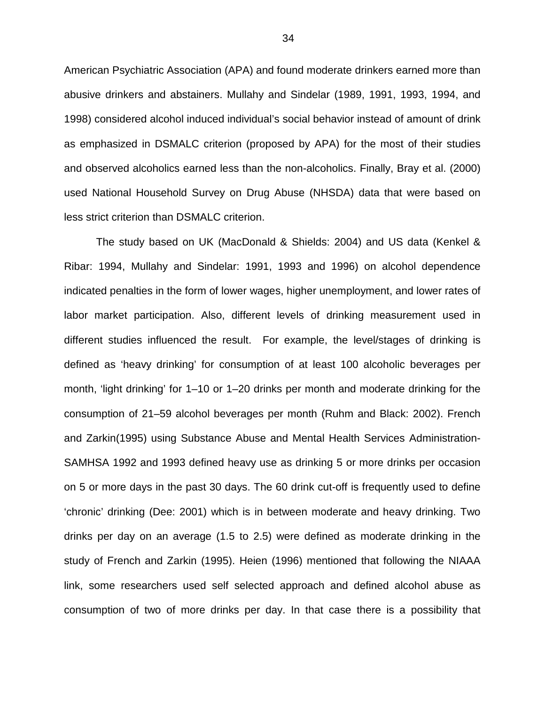American Psychiatric Association (APA) and found moderate drinkers earned more than abusive drinkers and abstainers. Mullahy and Sindelar (1989, 1991, 1993, 1994, and 1998) considered alcohol induced individual's social behavior instead of amount of drink as emphasized in DSMALC criterion (proposed by APA) for the most of their studies and observed alcoholics earned less than the non-alcoholics. Finally, Bray et al. (2000) used National Household Survey on Drug Abuse (NHSDA) data that were based on less strict criterion than DSMALC criterion.

The study based on UK (MacDonald & Shields: 2004) and US data (Kenkel & Ribar: 1994, Mullahy and Sindelar: 1991, 1993 and 1996) on alcohol dependence indicated penalties in the form of lower wages, higher unemployment, and lower rates of labor market participation. Also, different levels of drinking measurement used in different studies influenced the result. For example, the level/stages of drinking is defined as 'heavy drinking' for consumption of at least 100 alcoholic beverages per month, 'light drinking' for 1–10 or 1–20 drinks per month and moderate drinking for the consumption of 21–59 alcohol beverages per month (Ruhm and Black: 2002). French and Zarkin(1995) using Substance Abuse and Mental Health Services Administration-SAMHSA 1992 and 1993 defined heavy use as drinking 5 or more drinks per occasion on 5 or more days in the past 30 days. The 60 drink cut-off is frequently used to define 'chronic' drinking (Dee: 2001) which is in between moderate and heavy drinking. Two drinks per day on an average (1.5 to 2.5) were defined as moderate drinking in the study of French and Zarkin (1995). Heien (1996) mentioned that following the NIAAA link, some researchers used self selected approach and defined alcohol abuse as consumption of two of more drinks per day. In that case there is a possibility that

34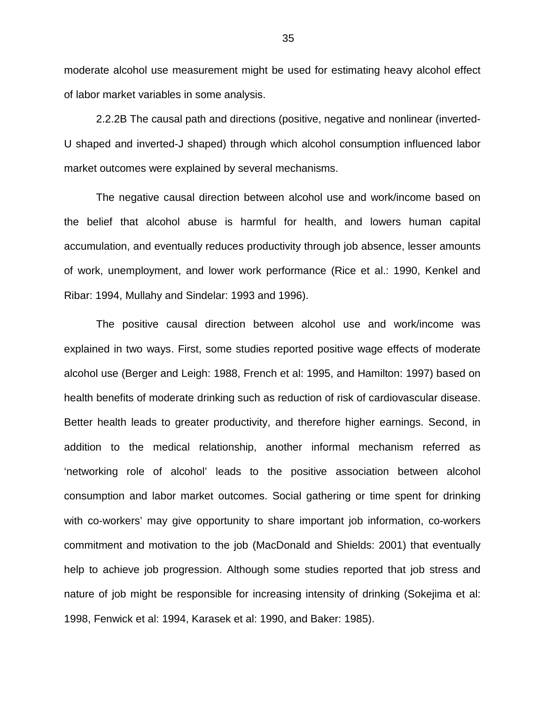moderate alcohol use measurement might be used for estimating heavy alcohol effect of labor market variables in some analysis.

2.2.2B The causal path and directions (positive, negative and nonlinear (inverted-U shaped and inverted-J shaped) through which alcohol consumption influenced labor market outcomes were explained by several mechanisms.

The negative causal direction between alcohol use and work/income based on the belief that alcohol abuse is harmful for health, and lowers human capital accumulation, and eventually reduces productivity through job absence, lesser amounts of work, unemployment, and lower work performance (Rice et al.: 1990, Kenkel and Ribar: 1994, Mullahy and Sindelar: 1993 and 1996).

The positive causal direction between alcohol use and work/income was explained in two ways. First, some studies reported positive wage effects of moderate alcohol use (Berger and Leigh: 1988, French et al: 1995, and Hamilton: 1997) based on health benefits of moderate drinking such as reduction of risk of cardiovascular disease. Better health leads to greater productivity, and therefore higher earnings. Second, in addition to the medical relationship, another informal mechanism referred as 'networking role of alcohol' leads to the positive association between alcohol consumption and labor market outcomes. Social gathering or time spent for drinking with co-workers' may give opportunity to share important job information, co-workers commitment and motivation to the job (MacDonald and Shields: 2001) that eventually help to achieve job progression. Although some studies reported that job stress and nature of job might be responsible for increasing intensity of drinking (Sokejima et al: 1998, Fenwick et al: 1994, Karasek et al: 1990, and Baker: 1985).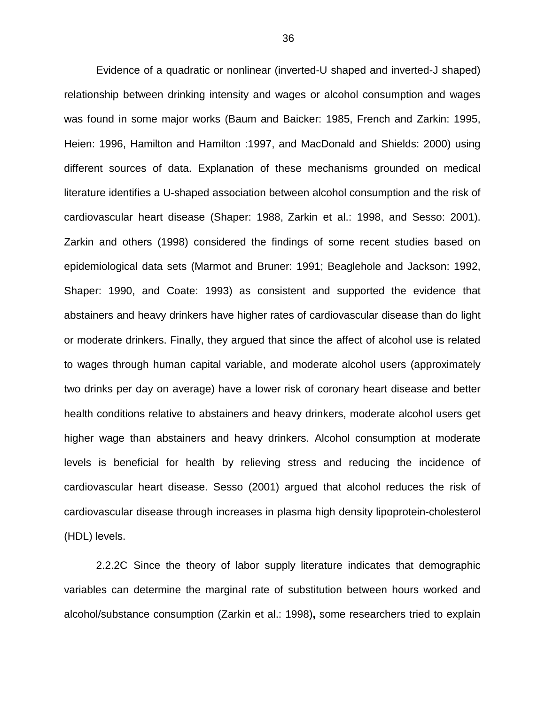Evidence of a quadratic or nonlinear (inverted-U shaped and inverted-J shaped) relationship between drinking intensity and wages or alcohol consumption and wages was found in some major works (Baum and Baicker: 1985, French and Zarkin: 1995, Heien: 1996, Hamilton and Hamilton :1997, and MacDonald and Shields: 2000) using different sources of data. Explanation of these mechanisms grounded on medical literature identifies a U-shaped association between alcohol consumption and the risk of cardiovascular heart disease (Shaper: 1988, Zarkin et al.: 1998, and Sesso: 2001). Zarkin and others (1998) considered the findings of some recent studies based on epidemiological data sets (Marmot and Bruner: 1991; Beaglehole and Jackson: 1992, Shaper: 1990, and Coate: 1993) as consistent and supported the evidence that abstainers and heavy drinkers have higher rates of cardiovascular disease than do light or moderate drinkers. Finally, they argued that since the affect of alcohol use is related to wages through human capital variable, and moderate alcohol users (approximately two drinks per day on average) have a lower risk of coronary heart disease and better health conditions relative to abstainers and heavy drinkers, moderate alcohol users get higher wage than abstainers and heavy drinkers. Alcohol consumption at moderate levels is beneficial for health by relieving stress and reducing the incidence of cardiovascular heart disease. Sesso (2001) argued that alcohol reduces the risk of cardiovascular disease through increases in plasma high density lipoprotein-cholesterol (HDL) levels.

2.2.2C Since the theory of labor supply literature indicates that demographic variables can determine the marginal rate of substitution between hours worked and alcohol/substance consumption (Zarkin et al.: 1998)**,** some researchers tried to explain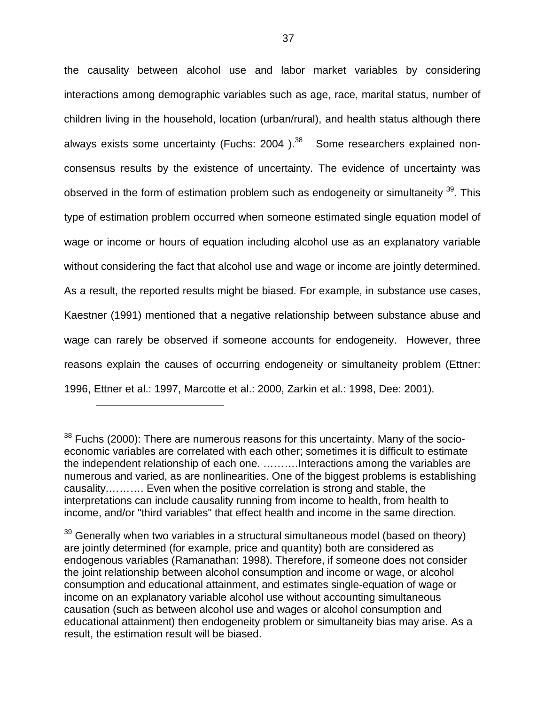the causality between alcohol use and labor market variables by considering interactions among demographic variables such as age, race, marital status, number of children living in the household, location (urban/rural), and health status although there always exists some uncertainty (Fuchs:  $2004$ ).<sup>38</sup> Some researchers explained nonconsensus results by the existence of uncertainty. The evidence of uncertainty was observed in the form of estimation problem such as endogeneity or simultaneity <sup>39</sup>. This type of estimation problem occurred when someone estimated single equation model of wage or income or hours of equation including alcohol use as an explanatory variable without considering the fact that alcohol use and wage or income are jointly determined. As a result, the reported results might be biased. For example, in substance use cases, Kaestner (1991) mentioned that a negative relationship between substance abuse and wage can rarely be observed if someone accounts for endogeneity. However, three reasons explain the causes of occurring endogeneity or simultaneity problem (Ettner: 1996, Ettner et al.: 1997, Marcotte et al.: 2000, Zarkin et al.: 1998, Dee: 2001).

 $\overline{a}$ 

 $38$  Fuchs (2000): There are numerous reasons for this uncertainty. Many of the socioeconomic variables are correlated with each other; sometimes it is difficult to estimate the independent relationship of each one. ……….Interactions among the variables are numerous and varied, as are nonlinearities. One of the biggest problems is establishing causality.………. Even when the positive correlation is strong and stable, the interpretations can include causality running from income to health, from health to income, and/or "third variables" that effect health and income in the same direction.

 $39$  Generally when two variables in a structural simultaneous model (based on theory) are jointly determined (for example, price and quantity) both are considered as endogenous variables (Ramanathan: 1998). Therefore, if someone does not consider the joint relationship between alcohol consumption and income or wage, or alcohol consumption and educational attainment, and estimates single-equation of wage or income on an explanatory variable alcohol use without accounting simultaneous causation (such as between alcohol use and wages or alcohol consumption and educational attainment) then endogeneity problem or simultaneity bias may arise. As a result, the estimation result will be biased.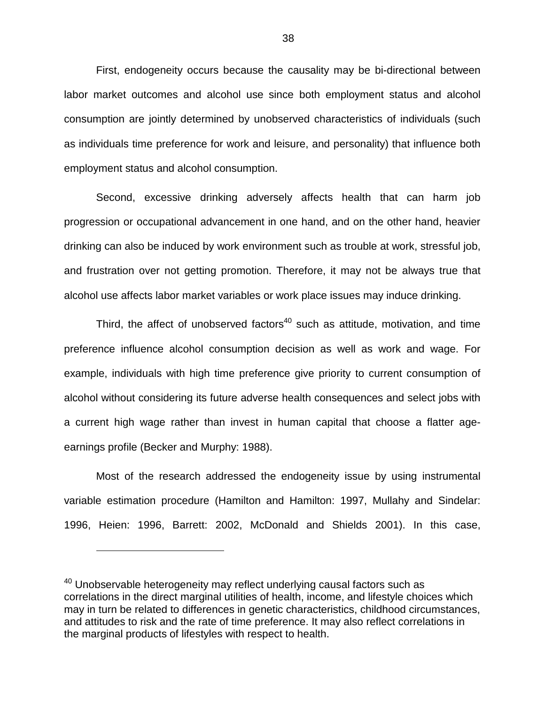First, endogeneity occurs because the causality may be bi-directional between labor market outcomes and alcohol use since both employment status and alcohol consumption are jointly determined by unobserved characteristics of individuals (such as individuals time preference for work and leisure, and personality) that influence both employment status and alcohol consumption.

Second, excessive drinking adversely affects health that can harm job progression or occupational advancement in one hand, and on the other hand, heavier drinking can also be induced by work environment such as trouble at work, stressful job, and frustration over not getting promotion. Therefore, it may not be always true that alcohol use affects labor market variables or work place issues may induce drinking.

Third, the affect of unobserved factors<sup>40</sup> such as attitude, motivation, and time preference influence alcohol consumption decision as well as work and wage. For example, individuals with high time preference give priority to current consumption of alcohol without considering its future adverse health consequences and select jobs with a current high wage rather than invest in human capital that choose a flatter ageearnings profile (Becker and Murphy: 1988).

Most of the research addressed the endogeneity issue by using instrumental variable estimation procedure (Hamilton and Hamilton: 1997, Mullahy and Sindelar: 1996, Heien: 1996, Barrett: 2002, McDonald and Shields 2001). In this case,

1

 $40$  Unobservable heterogeneity may reflect underlying causal factors such as correlations in the direct marginal utilities of health, income, and lifestyle choices which may in turn be related to differences in genetic characteristics, childhood circumstances, and attitudes to risk and the rate of time preference. It may also reflect correlations in the marginal products of lifestyles with respect to health.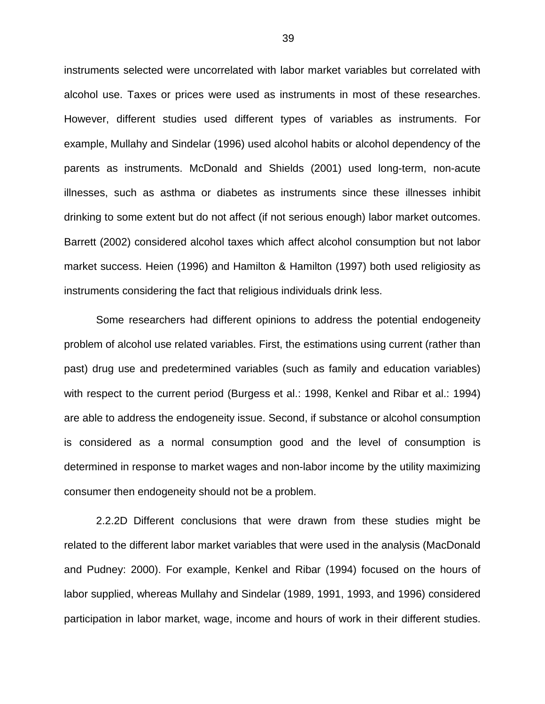instruments selected were uncorrelated with labor market variables but correlated with alcohol use. Taxes or prices were used as instruments in most of these researches. However, different studies used different types of variables as instruments. For example, Mullahy and Sindelar (1996) used alcohol habits or alcohol dependency of the parents as instruments. McDonald and Shields (2001) used long-term, non-acute illnesses, such as asthma or diabetes as instruments since these illnesses inhibit drinking to some extent but do not affect (if not serious enough) labor market outcomes. Barrett (2002) considered alcohol taxes which affect alcohol consumption but not labor market success. Heien (1996) and Hamilton & Hamilton (1997) both used religiosity as instruments considering the fact that religious individuals drink less.

Some researchers had different opinions to address the potential endogeneity problem of alcohol use related variables. First, the estimations using current (rather than past) drug use and predetermined variables (such as family and education variables) with respect to the current period (Burgess et al.: 1998, Kenkel and Ribar et al.: 1994) are able to address the endogeneity issue. Second, if substance or alcohol consumption is considered as a normal consumption good and the level of consumption is determined in response to market wages and non-labor income by the utility maximizing consumer then endogeneity should not be a problem.

2.2.2D Different conclusions that were drawn from these studies might be related to the different labor market variables that were used in the analysis (MacDonald and Pudney: 2000). For example, Kenkel and Ribar (1994) focused on the hours of labor supplied, whereas Mullahy and Sindelar (1989, 1991, 1993, and 1996) considered participation in labor market, wage, income and hours of work in their different studies.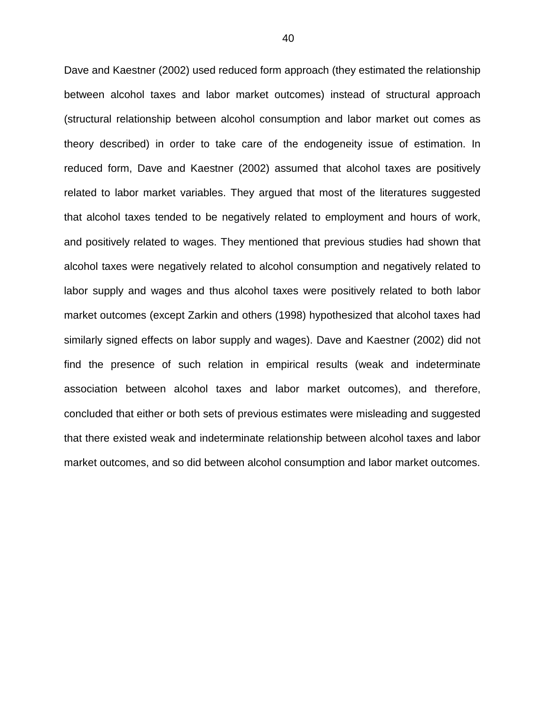Dave and Kaestner (2002) used reduced form approach (they estimated the relationship between alcohol taxes and labor market outcomes) instead of structural approach (structural relationship between alcohol consumption and labor market out comes as theory described) in order to take care of the endogeneity issue of estimation. In reduced form, Dave and Kaestner (2002) assumed that alcohol taxes are positively related to labor market variables. They argued that most of the literatures suggested that alcohol taxes tended to be negatively related to employment and hours of work, and positively related to wages. They mentioned that previous studies had shown that alcohol taxes were negatively related to alcohol consumption and negatively related to labor supply and wages and thus alcohol taxes were positively related to both labor market outcomes (except Zarkin and others (1998) hypothesized that alcohol taxes had similarly signed effects on labor supply and wages). Dave and Kaestner (2002) did not find the presence of such relation in empirical results (weak and indeterminate association between alcohol taxes and labor market outcomes), and therefore, concluded that either or both sets of previous estimates were misleading and suggested that there existed weak and indeterminate relationship between alcohol taxes and labor market outcomes, and so did between alcohol consumption and labor market outcomes.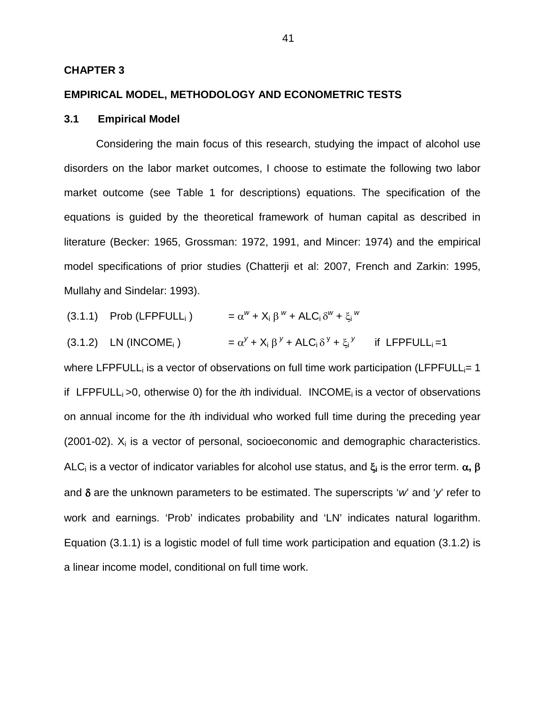## **CHAPTER 3**

## **EMPIRICAL MODEL, METHODOLOGY AND ECONOMETRIC TESTS**

### **3.1 Empirical Model**

Considering the main focus of this research, studying the impact of alcohol use disorders on the labor market outcomes, I choose to estimate the following two labor market outcome (see Table 1 for descriptions) equations. The specification of the equations is guided by the theoretical framework of human capital as described in literature (Becker: 1965, Grossman: 1972, 1991, and Mincer: 1974) and the empirical model specifications of prior studies (Chatterji et al: 2007, French and Zarkin: 1995, Mullahy and Sindelar: 1993).

(3.1.1) Prob (LFPFULL<sub>i</sub>) 
$$
= \alpha^{w} + X_{i} \beta^{w} + ALC_{i} \delta^{w} + \xi_{i}^{w}
$$

$$
(3.1.2) LN (INCOMEi) = \alpha^{y} + X_{i} \beta^{y} + ALC_{i} \delta^{y} + \xi_{i}^{y} \text{ if LFPFULLi = 1}
$$

where LFPFULL; is a vector of observations on full time work participation (LFPFULL $= 1$ if LFPFULL; >0, otherwise 0) for the *i*th individual. INCOME; is a vector of observations on annual income for the ith individual who worked full time during the preceding year  $(2001-02)$ .  $X_i$  is a vector of personal, socioeconomic and demographic characteristics. ALCi is a vector of indicator variables for alcohol use status, and ξ**i** is the error term. α**,** β and  $\delta$  are the unknown parameters to be estimated. The superscripts 'w' and 'y' refer to work and earnings. 'Prob' indicates probability and 'LN' indicates natural logarithm. Equation (3.1.1) is a logistic model of full time work participation and equation (3.1.2) is a linear income model, conditional on full time work.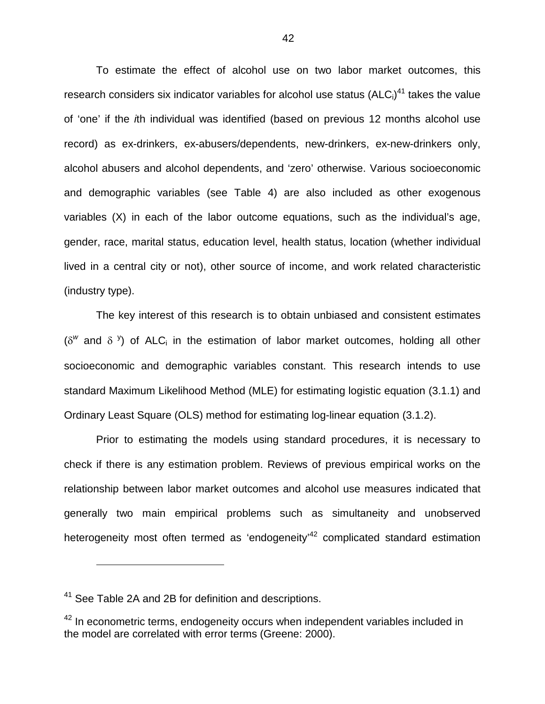To estimate the effect of alcohol use on two labor market outcomes, this research considers six indicator variables for alcohol use status  $(ALC_i)^{41}$  takes the value of 'one' if the ith individual was identified (based on previous 12 months alcohol use record) as ex-drinkers, ex-abusers/dependents, new-drinkers, ex-new-drinkers only, alcohol abusers and alcohol dependents, and 'zero' otherwise. Various socioeconomic and demographic variables (see Table 4) are also included as other exogenous variables (X) in each of the labor outcome equations, such as the individual's age, gender, race, marital status, education level, health status, location (whether individual lived in a central city or not), other source of income, and work related characteristic (industry type).

The key interest of this research is to obtain unbiased and consistent estimates ( $\delta^w$  and  $\delta^y$ ) of ALC<sub>i</sub> in the estimation of labor market outcomes, holding all other socioeconomic and demographic variables constant. This research intends to use standard Maximum Likelihood Method (MLE) for estimating logistic equation (3.1.1) and Ordinary Least Square (OLS) method for estimating log-linear equation (3.1.2).

Prior to estimating the models using standard procedures, it is necessary to check if there is any estimation problem. Reviews of previous empirical works on the relationship between labor market outcomes and alcohol use measures indicated that generally two main empirical problems such as simultaneity and unobserved heterogeneity most often termed as 'endogeneity'<sup>42</sup> complicated standard estimation

 $\overline{a}$ 

<sup>&</sup>lt;sup>41</sup> See Table 2A and 2B for definition and descriptions.

 $42$  In econometric terms, endogeneity occurs when independent variables included in the model are correlated with error terms (Greene: 2000).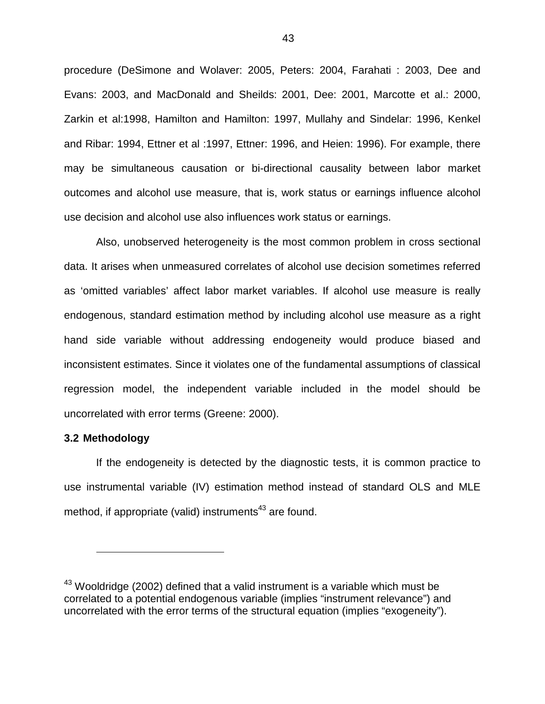procedure (DeSimone and Wolaver: 2005, Peters: 2004, Farahati : 2003, Dee and Evans: 2003, and MacDonald and Sheilds: 2001, Dee: 2001, Marcotte et al.: 2000, Zarkin et al:1998, Hamilton and Hamilton: 1997, Mullahy and Sindelar: 1996, Kenkel and Ribar: 1994, Ettner et al :1997, Ettner: 1996, and Heien: 1996). For example, there may be simultaneous causation or bi-directional causality between labor market outcomes and alcohol use measure, that is, work status or earnings influence alcohol use decision and alcohol use also influences work status or earnings.

Also, unobserved heterogeneity is the most common problem in cross sectional data. It arises when unmeasured correlates of alcohol use decision sometimes referred as 'omitted variables' affect labor market variables. If alcohol use measure is really endogenous, standard estimation method by including alcohol use measure as a right hand side variable without addressing endogeneity would produce biased and inconsistent estimates. Since it violates one of the fundamental assumptions of classical regression model, the independent variable included in the model should be uncorrelated with error terms (Greene: 2000).

## **3.2 Methodology**

1

If the endogeneity is detected by the diagnostic tests, it is common practice to use instrumental variable (IV) estimation method instead of standard OLS and MLE method, if appropriate (valid) instruments<sup>43</sup> are found.

 $43$  Wooldridge (2002) defined that a valid instrument is a variable which must be correlated to a potential endogenous variable (implies "instrument relevance") and uncorrelated with the error terms of the structural equation (implies "exogeneity").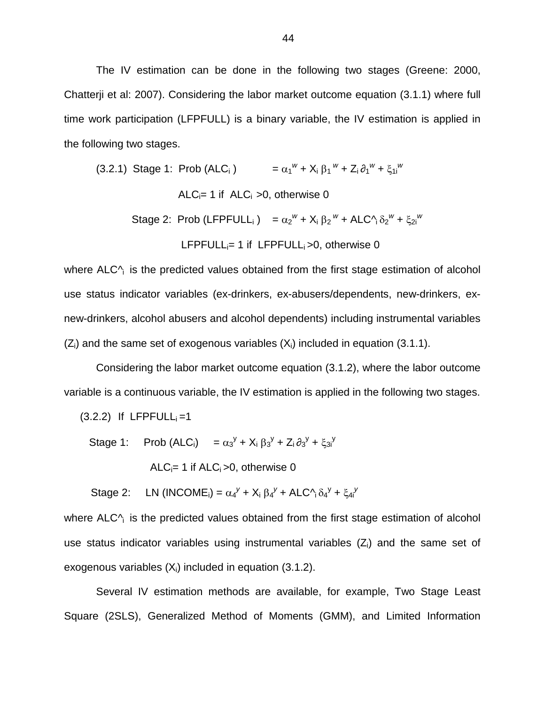The IV estimation can be done in the following two stages (Greene: 2000, Chatterji et al: 2007). Considering the labor market outcome equation (3.1.1) where full time work participation (LFPFULL) is a binary variable, the IV estimation is applied in the following two stages.

(3.2.1) Stage 1: Prob (ALC<sub>i</sub>) 
$$
= \alpha_1^w + X_i \beta_1^w + Z_i \partial_1^w + \xi_{1i}^w
$$
 
$$
ALC_i = 1 \text{ if } ALC_i > 0 \text{, otherwise } 0
$$
 
$$
Stage 2: \text{ Prob (LFPFLULL}_i) = \alpha_2^w + X_i \beta_2^w + ALC \gamma_i \delta_2^w + \xi_{2i}^w
$$
 
$$
LFPFLULL_i = 1 \text{ if } LFPFLULL}_i > 0 \text{, otherwise } 0
$$

where  $ALC^{\wedge}$  is the predicted values obtained from the first stage estimation of alcohol use status indicator variables (ex-drinkers, ex-abusers/dependents, new-drinkers, exnew-drinkers, alcohol abusers and alcohol dependents) including instrumental variables  $(Z_i)$  and the same set of exogenous variables  $(X_i)$  included in equation (3.1.1).

Considering the labor market outcome equation (3.1.2), where the labor outcome variable is a continuous variable, the IV estimation is applied in the following two stages.

 $(3.2.2)$  If LFPFULL $_i = 1$ 

Stage 1: Prob (ALC<sub>i</sub>) =  $\alpha_3^y$  + X<sub>i</sub>  $\beta_3^y$  + Z<sub>i</sub>  $\partial_3^y$  +  $\xi_{3i}^y$ 

ALC $_i$ = 1 if ALC $_i$  > 0, otherwise 0

Stage 2: LN (INCOME<sub>i</sub>) =  $\alpha_4^y$  +  $X_i$   $\beta_4^y$  + ALC $\gamma_i \delta_4^y$  +  $\xi_4^y$ 

where  $ALC<sub>1</sub>$  is the predicted values obtained from the first stage estimation of alcohol use status indicator variables using instrumental variables  $(Z<sub>i</sub>)$  and the same set of exogenous variables  $(X_i)$  included in equation (3.1.2).

Several IV estimation methods are available, for example, Two Stage Least Square (2SLS), Generalized Method of Moments (GMM), and Limited Information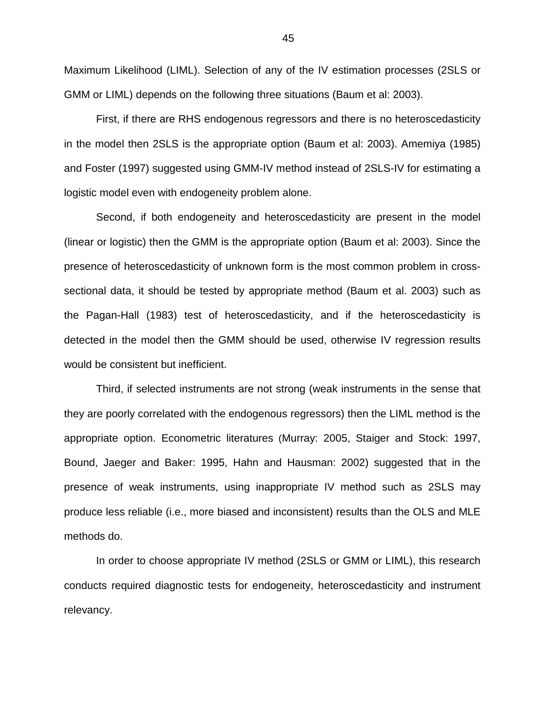Maximum Likelihood (LIML). Selection of any of the IV estimation processes (2SLS or GMM or LIML) depends on the following three situations (Baum et al: 2003).

First, if there are RHS endogenous regressors and there is no heteroscedasticity in the model then 2SLS is the appropriate option (Baum et al: 2003). Amemiya (1985) and Foster (1997) suggested using GMM-IV method instead of 2SLS-IV for estimating a logistic model even with endogeneity problem alone.

Second, if both endogeneity and heteroscedasticity are present in the model (linear or logistic) then the GMM is the appropriate option (Baum et al: 2003). Since the presence of heteroscedasticity of unknown form is the most common problem in crosssectional data, it should be tested by appropriate method (Baum et al. 2003) such as the Pagan-Hall (1983) test of heteroscedasticity, and if the heteroscedasticity is detected in the model then the GMM should be used, otherwise IV regression results would be consistent but inefficient.

Third, if selected instruments are not strong (weak instruments in the sense that they are poorly correlated with the endogenous regressors) then the LIML method is the appropriate option. Econometric literatures (Murray: 2005, Staiger and Stock: 1997, Bound, Jaeger and Baker: 1995, Hahn and Hausman: 2002) suggested that in the presence of weak instruments, using inappropriate IV method such as 2SLS may produce less reliable (i.e., more biased and inconsistent) results than the OLS and MLE methods do.

In order to choose appropriate IV method (2SLS or GMM or LIML), this research conducts required diagnostic tests for endogeneity, heteroscedasticity and instrument relevancy.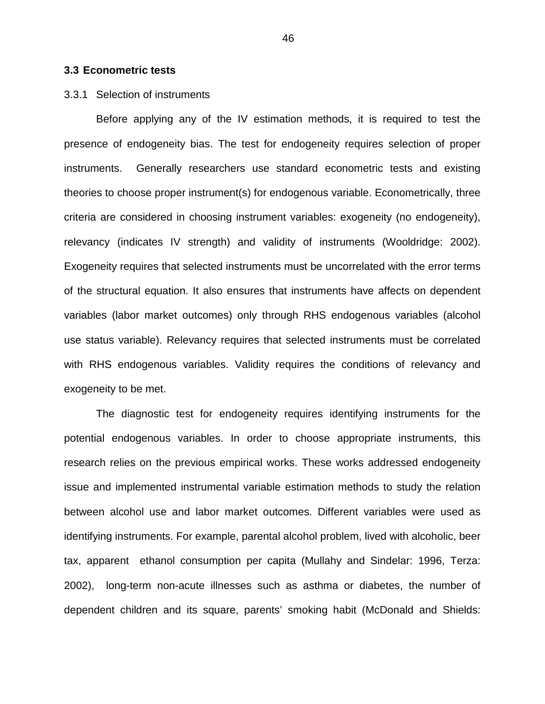#### **3.3 Econometric tests**

## 3.3.1 Selection of instruments

Before applying any of the IV estimation methods, it is required to test the presence of endogeneity bias. The test for endogeneity requires selection of proper instruments. Generally researchers use standard econometric tests and existing theories to choose proper instrument(s) for endogenous variable. Econometrically, three criteria are considered in choosing instrument variables: exogeneity (no endogeneity), relevancy (indicates IV strength) and validity of instruments (Wooldridge: 2002). Exogeneity requires that selected instruments must be uncorrelated with the error terms of the structural equation. It also ensures that instruments have affects on dependent variables (labor market outcomes) only through RHS endogenous variables (alcohol use status variable). Relevancy requires that selected instruments must be correlated with RHS endogenous variables. Validity requires the conditions of relevancy and exogeneity to be met.

The diagnostic test for endogeneity requires identifying instruments for the potential endogenous variables. In order to choose appropriate instruments, this research relies on the previous empirical works. These works addressed endogeneity issue and implemented instrumental variable estimation methods to study the relation between alcohol use and labor market outcomes. Different variables were used as identifying instruments. For example, parental alcohol problem, lived with alcoholic, beer tax, apparent ethanol consumption per capita (Mullahy and Sindelar: 1996, Terza: 2002), long-term non-acute illnesses such as asthma or diabetes, the number of dependent children and its square, parents' smoking habit (McDonald and Shields: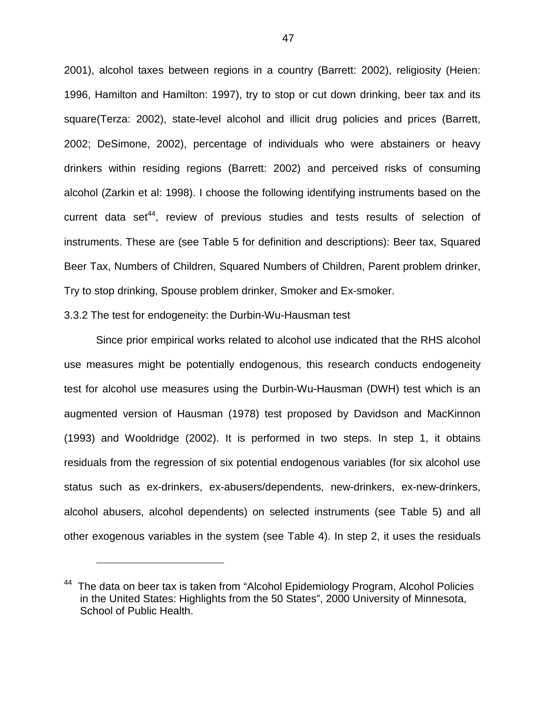2001), alcohol taxes between regions in a country (Barrett: 2002), religiosity (Heien: 1996, Hamilton and Hamilton: 1997), try to stop or cut down drinking, beer tax and its square(Terza: 2002), state-level alcohol and illicit drug policies and prices (Barrett, 2002; DeSimone, 2002), percentage of individuals who were abstainers or heavy drinkers within residing regions (Barrett: 2002) and perceived risks of consuming alcohol (Zarkin et al: 1998). I choose the following identifying instruments based on the current data set<sup>44</sup>, review of previous studies and tests results of selection of instruments. These are (see Table 5 for definition and descriptions): Beer tax, Squared Beer Tax, Numbers of Children, Squared Numbers of Children, Parent problem drinker, Try to stop drinking, Spouse problem drinker, Smoker and Ex-smoker.

3.3.2 The test for endogeneity: the Durbin-Wu-Hausman test

1

Since prior empirical works related to alcohol use indicated that the RHS alcohol use measures might be potentially endogenous, this research conducts endogeneity test for alcohol use measures using the Durbin-Wu-Hausman (DWH) test which is an augmented version of Hausman (1978) test proposed by Davidson and MacKinnon (1993) and Wooldridge (2002). It is performed in two steps. In step 1, it obtains residuals from the regression of six potential endogenous variables (for six alcohol use status such as ex-drinkers, ex-abusers/dependents, new-drinkers, ex-new-drinkers, alcohol abusers, alcohol dependents) on selected instruments (see Table 5) and all other exogenous variables in the system (see Table 4). In step 2, it uses the residuals

<sup>&</sup>lt;sup>44</sup> The data on beer tax is taken from "Alcohol Epidemiology Program, Alcohol Policies in the United States: Highlights from the 50 States", 2000 University of Minnesota, School of Public Health.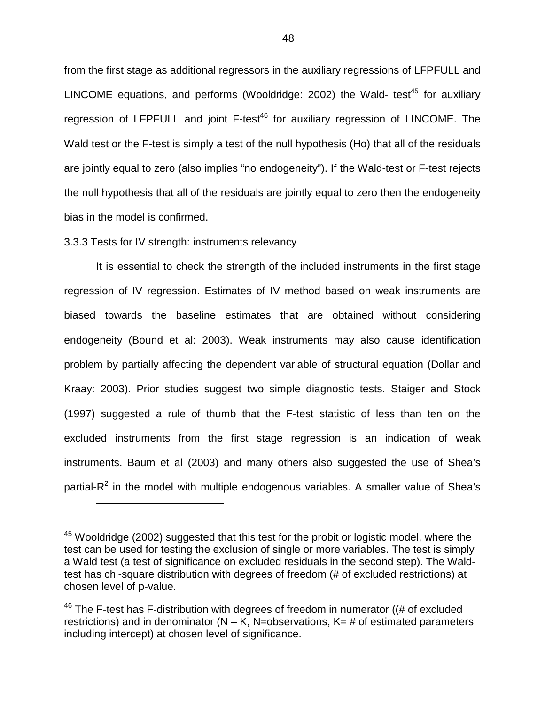from the first stage as additional regressors in the auxiliary regressions of LFPFULL and LINCOME equations, and performs (Wooldridge: 2002) the Wald- test<sup>45</sup> for auxiliary regression of LFPFULL and joint  $F-test^{46}$  for auxiliary regression of LINCOME. The Wald test or the F-test is simply a test of the null hypothesis (Ho) that all of the residuals are jointly equal to zero (also implies "no endogeneity"). If the Wald-test or F-test rejects the null hypothesis that all of the residuals are jointly equal to zero then the endogeneity bias in the model is confirmed.

## 3.3.3 Tests for IV strength: instruments relevancy

 $\overline{a}$ 

It is essential to check the strength of the included instruments in the first stage regression of IV regression. Estimates of IV method based on weak instruments are biased towards the baseline estimates that are obtained without considering endogeneity (Bound et al: 2003). Weak instruments may also cause identification problem by partially affecting the dependent variable of structural equation (Dollar and Kraay: 2003). Prior studies suggest two simple diagnostic tests. Staiger and Stock (1997) suggested a rule of thumb that the F-test statistic of less than ten on the excluded instruments from the first stage regression is an indication of weak instruments. Baum et al (2003) and many others also suggested the use of Shea's partial-R<sup>2</sup> in the model with multiple endogenous variables. A smaller value of Shea's

<sup>&</sup>lt;sup>45</sup> Wooldridge (2002) suggested that this test for the probit or logistic model, where the test can be used for testing the exclusion of single or more variables. The test is simply a Wald test (a test of significance on excluded residuals in the second step). The Waldtest has chi-square distribution with degrees of freedom (# of excluded restrictions) at chosen level of p-value.

 $46$  The F-test has F-distribution with degrees of freedom in numerator ((# of excluded restrictions) and in denominator ( $N - K$ , N=observations,  $K = #$  of estimated parameters including intercept) at chosen level of significance.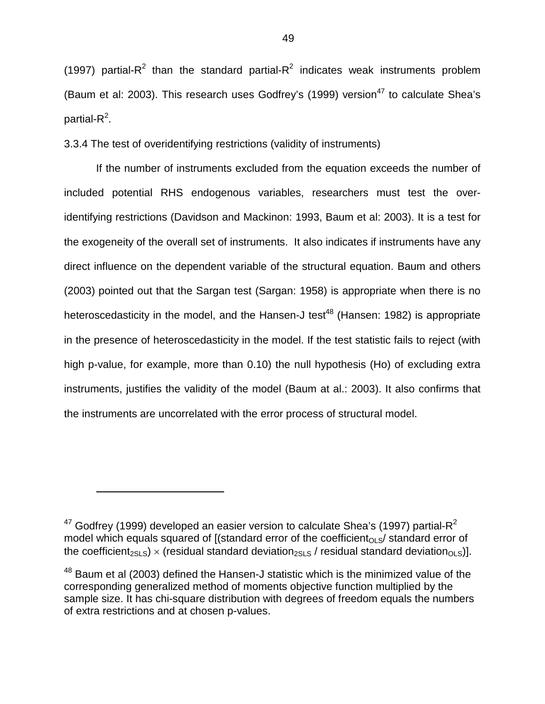(1997) partial-R<sup>2</sup> than the standard partial-R<sup>2</sup> indicates weak instruments problem (Baum et al: 2003). This research uses Godfrey's (1999) version<sup>47</sup> to calculate Shea's partial- $R^2$ .

3.3.4 The test of overidentifying restrictions (validity of instruments)

If the number of instruments excluded from the equation exceeds the number of included potential RHS endogenous variables, researchers must test the overidentifying restrictions (Davidson and Mackinon: 1993, Baum et al: 2003). It is a test for the exogeneity of the overall set of instruments. It also indicates if instruments have any direct influence on the dependent variable of the structural equation. Baum and others (2003) pointed out that the Sargan test (Sargan: 1958) is appropriate when there is no heteroscedasticity in the model, and the Hansen-J test<sup>48</sup> (Hansen: 1982) is appropriate in the presence of heteroscedasticity in the model. If the test statistic fails to reject (with high p-value, for example, more than 0.10) the null hypothesis (Ho) of excluding extra instruments, justifies the validity of the model (Baum at al.: 2003). It also confirms that the instruments are uncorrelated with the error process of structural model.

1

 $47$  Godfrey (1999) developed an easier version to calculate Shea's (1997) partial- $R^2$ model which equals squared of  $[(standard error of the coefficient<sub>OLS</sub>]$  standard error of the coefficient<sub>2SLS</sub>) × (residual standard deviation<sub>2SLS</sub> / residual standard deviation<sub>OLS</sub>)].

<sup>&</sup>lt;sup>48</sup> Baum et al (2003) defined the Hansen-J statistic which is the minimized value of the corresponding generalized method of moments objective function multiplied by the sample size. It has chi-square distribution with degrees of freedom equals the numbers of extra restrictions and at chosen p-values.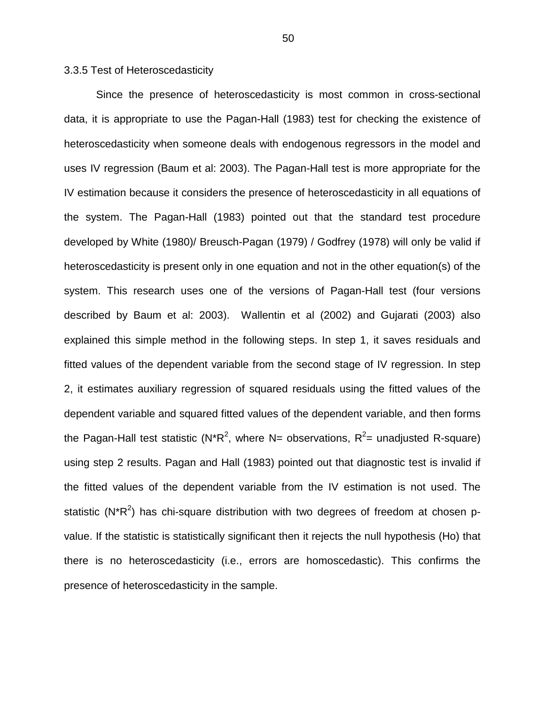3.3.5 Test of Heteroscedasticity

Since the presence of heteroscedasticity is most common in cross-sectional data, it is appropriate to use the Pagan-Hall (1983) test for checking the existence of heteroscedasticity when someone deals with endogenous regressors in the model and uses IV regression (Baum et al: 2003). The Pagan-Hall test is more appropriate for the IV estimation because it considers the presence of heteroscedasticity in all equations of the system. The Pagan-Hall (1983) pointed out that the standard test procedure developed by White (1980)/ Breusch-Pagan (1979) / Godfrey (1978) will only be valid if heteroscedasticity is present only in one equation and not in the other equation(s) of the system. This research uses one of the versions of Pagan-Hall test (four versions described by Baum et al: 2003). Wallentin et al (2002) and Gujarati (2003) also explained this simple method in the following steps. In step 1, it saves residuals and fitted values of the dependent variable from the second stage of IV regression. In step 2, it estimates auxiliary regression of squared residuals using the fitted values of the dependent variable and squared fitted values of the dependent variable, and then forms the Pagan-Hall test statistic (N\*R<sup>2</sup>, where N= observations, R<sup>2</sup>= unadjusted R-square) using step 2 results. Pagan and Hall (1983) pointed out that diagnostic test is invalid if the fitted values of the dependent variable from the IV estimation is not used. The statistic (N\*R<sup>2</sup>) has chi-square distribution with two degrees of freedom at chosen pvalue. If the statistic is statistically significant then it rejects the null hypothesis (Ho) that there is no heteroscedasticity (i.e., errors are homoscedastic). This confirms the presence of heteroscedasticity in the sample.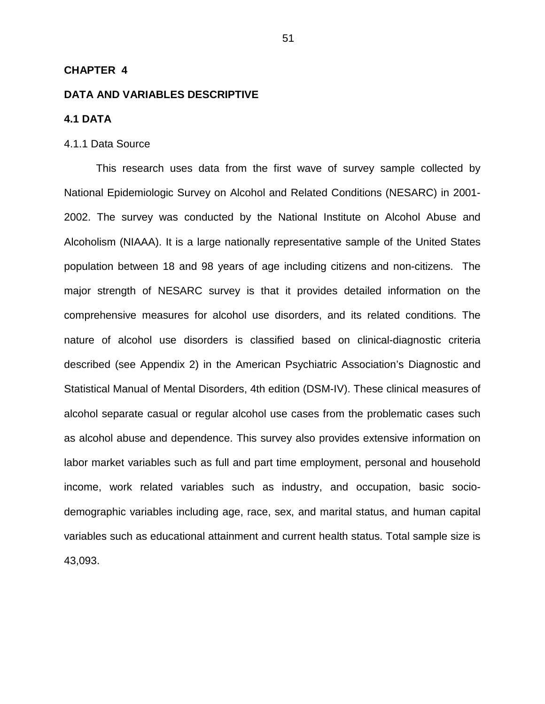## **CHAPTER 4**

### **DATA AND VARIABLES DESCRIPTIVE**

# **4.1 DATA**

### 4.1.1 Data Source

This research uses data from the first wave of survey sample collected by National Epidemiologic Survey on Alcohol and Related Conditions (NESARC) in 2001- 2002. The survey was conducted by the National Institute on Alcohol Abuse and Alcoholism (NIAAA). It is a large nationally representative sample of the United States population between 18 and 98 years of age including citizens and non-citizens. The major strength of NESARC survey is that it provides detailed information on the comprehensive measures for alcohol use disorders, and its related conditions. The nature of alcohol use disorders is classified based on clinical-diagnostic criteria described (see Appendix 2) in the American Psychiatric Association's Diagnostic and Statistical Manual of Mental Disorders, 4th edition (DSM-IV). These clinical measures of alcohol separate casual or regular alcohol use cases from the problematic cases such as alcohol abuse and dependence. This survey also provides extensive information on labor market variables such as full and part time employment, personal and household income, work related variables such as industry, and occupation, basic sociodemographic variables including age, race, sex, and marital status, and human capital variables such as educational attainment and current health status. Total sample size is 43,093.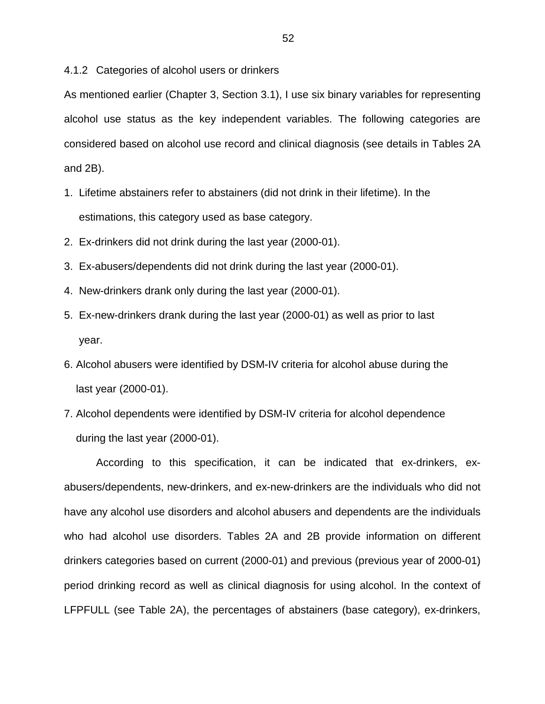4.1.2 Categories of alcohol users or drinkers

As mentioned earlier (Chapter 3, Section 3.1), I use six binary variables for representing alcohol use status as the key independent variables. The following categories are considered based on alcohol use record and clinical diagnosis (see details in Tables 2A and 2B).

- 1. Lifetime abstainers refer to abstainers (did not drink in their lifetime). In the estimations, this category used as base category.
- 2. Ex-drinkers did not drink during the last year (2000-01).
- 3. Ex-abusers/dependents did not drink during the last year (2000-01).
- 4. New-drinkers drank only during the last year (2000-01).
- 5. Ex-new-drinkers drank during the last year (2000-01) as well as prior to last year.
- 6. Alcohol abusers were identified by DSM-IV criteria for alcohol abuse during the last year (2000-01).
- 7. Alcohol dependents were identified by DSM-IV criteria for alcohol dependence during the last year (2000-01).

According to this specification, it can be indicated that ex-drinkers, exabusers/dependents, new-drinkers, and ex-new-drinkers are the individuals who did not have any alcohol use disorders and alcohol abusers and dependents are the individuals who had alcohol use disorders. Tables 2A and 2B provide information on different drinkers categories based on current (2000-01) and previous (previous year of 2000-01) period drinking record as well as clinical diagnosis for using alcohol. In the context of LFPFULL (see Table 2A), the percentages of abstainers (base category), ex-drinkers,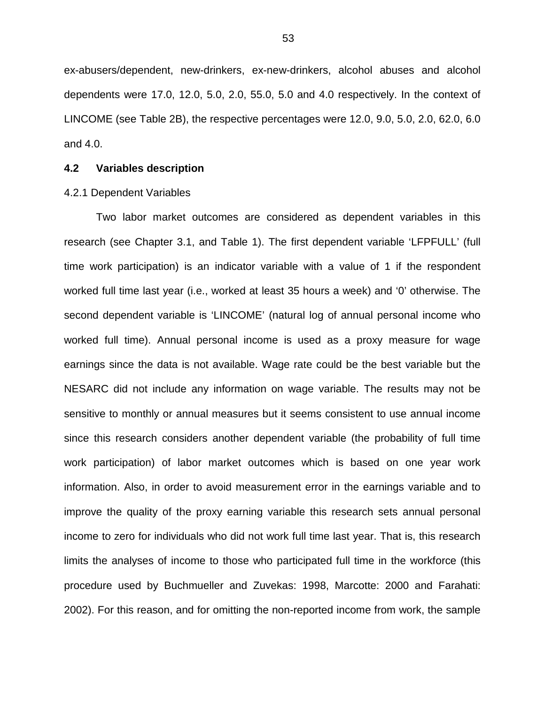ex-abusers/dependent, new-drinkers, ex-new-drinkers, alcohol abuses and alcohol dependents were 17.0, 12.0, 5.0, 2.0, 55.0, 5.0 and 4.0 respectively. In the context of LINCOME (see Table 2B), the respective percentages were 12.0, 9.0, 5.0, 2.0, 62.0, 6.0 and 4.0.

# **4.2 Variables description**

#### 4.2.1 Dependent Variables

Two labor market outcomes are considered as dependent variables in this research (see Chapter 3.1, and Table 1). The first dependent variable 'LFPFULL' (full time work participation) is an indicator variable with a value of 1 if the respondent worked full time last year (i.e., worked at least 35 hours a week) and '0' otherwise. The second dependent variable is 'LINCOME' (natural log of annual personal income who worked full time). Annual personal income is used as a proxy measure for wage earnings since the data is not available. Wage rate could be the best variable but the NESARC did not include any information on wage variable. The results may not be sensitive to monthly or annual measures but it seems consistent to use annual income since this research considers another dependent variable (the probability of full time work participation) of labor market outcomes which is based on one year work information. Also, in order to avoid measurement error in the earnings variable and to improve the quality of the proxy earning variable this research sets annual personal income to zero for individuals who did not work full time last year. That is, this research limits the analyses of income to those who participated full time in the workforce (this procedure used by Buchmueller and Zuvekas: 1998, Marcotte: 2000 and Farahati: 2002). For this reason, and for omitting the non-reported income from work, the sample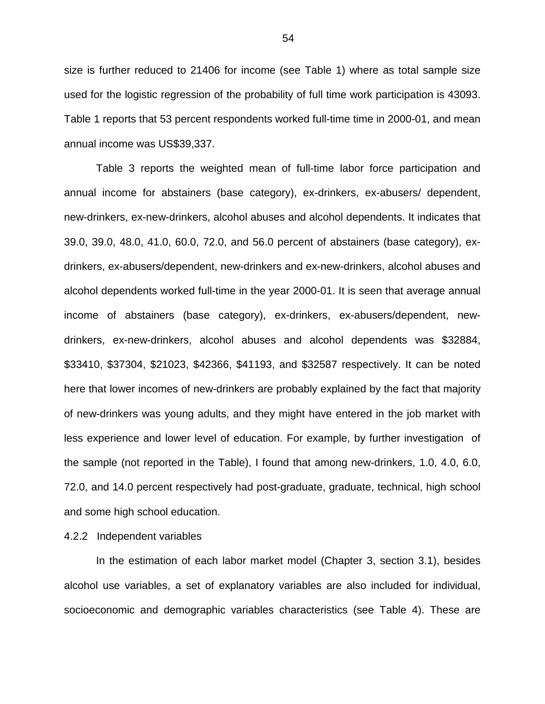size is further reduced to 21406 for income (see Table 1) where as total sample size used for the logistic regression of the probability of full time work participation is 43093. Table 1 reports that 53 percent respondents worked full-time time in 2000-01, and mean annual income was US\$39,337.

Table 3 reports the weighted mean of full-time labor force participation and annual income for abstainers (base category), ex-drinkers, ex-abusers/ dependent, new-drinkers, ex-new-drinkers, alcohol abuses and alcohol dependents. It indicates that 39.0, 39.0, 48.0, 41.0, 60.0, 72.0, and 56.0 percent of abstainers (base category), exdrinkers, ex-abusers/dependent, new-drinkers and ex-new-drinkers, alcohol abuses and alcohol dependents worked full-time in the year 2000-01. It is seen that average annual income of abstainers (base category), ex-drinkers, ex-abusers/dependent, newdrinkers, ex-new-drinkers, alcohol abuses and alcohol dependents was \$32884, \$33410, \$37304, \$21023, \$42366, \$41193, and \$32587 respectively. It can be noted here that lower incomes of new-drinkers are probably explained by the fact that majority of new-drinkers was young adults, and they might have entered in the job market with less experience and lower level of education. For example, by further investigation of the sample (not reported in the Table), I found that among new-drinkers, 1.0, 4.0, 6.0, 72.0, and 14.0 percent respectively had post-graduate, graduate, technical, high school and some high school education.

## 4.2.2 Independent variables

In the estimation of each labor market model (Chapter 3, section 3.1), besides alcohol use variables, a set of explanatory variables are also included for individual, socioeconomic and demographic variables characteristics (see Table 4). These are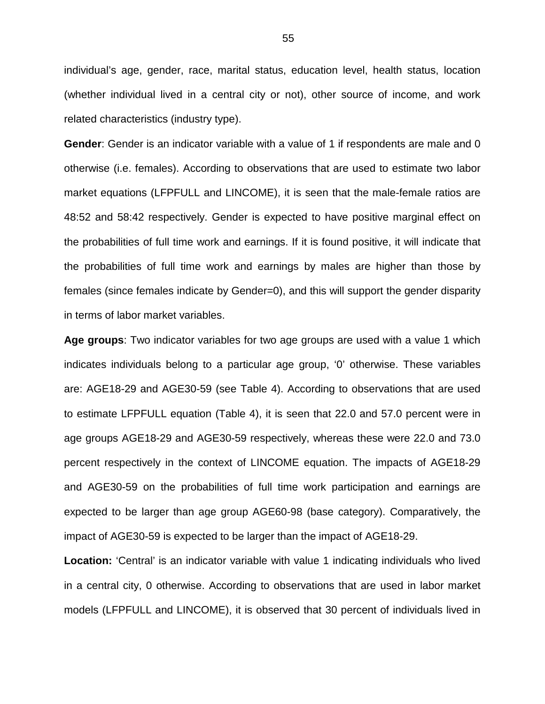individual's age, gender, race, marital status, education level, health status, location (whether individual lived in a central city or not), other source of income, and work related characteristics (industry type).

**Gender**: Gender is an indicator variable with a value of 1 if respondents are male and 0 otherwise (i.e. females). According to observations that are used to estimate two labor market equations (LFPFULL and LINCOME), it is seen that the male-female ratios are 48:52 and 58:42 respectively. Gender is expected to have positive marginal effect on the probabilities of full time work and earnings. If it is found positive, it will indicate that the probabilities of full time work and earnings by males are higher than those by females (since females indicate by Gender=0), and this will support the gender disparity in terms of labor market variables.

**Age groups**: Two indicator variables for two age groups are used with a value 1 which indicates individuals belong to a particular age group, '0' otherwise. These variables are: AGE18-29 and AGE30-59 (see Table 4). According to observations that are used to estimate LFPFULL equation (Table 4), it is seen that 22.0 and 57.0 percent were in age groups AGE18-29 and AGE30-59 respectively, whereas these were 22.0 and 73.0 percent respectively in the context of LINCOME equation. The impacts of AGE18-29 and AGE30-59 on the probabilities of full time work participation and earnings are expected to be larger than age group AGE60-98 (base category). Comparatively, the impact of AGE30-59 is expected to be larger than the impact of AGE18-29.

**Location:** 'Central' is an indicator variable with value 1 indicating individuals who lived in a central city, 0 otherwise. According to observations that are used in labor market models (LFPFULL and LINCOME), it is observed that 30 percent of individuals lived in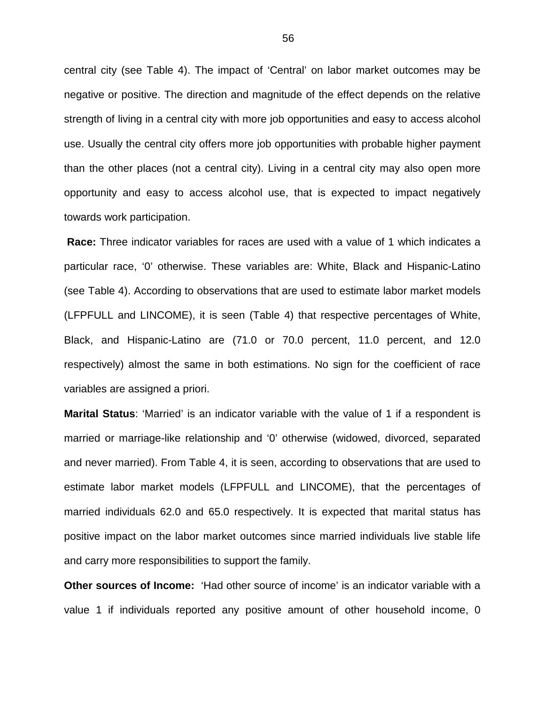central city (see Table 4). The impact of 'Central' on labor market outcomes may be negative or positive. The direction and magnitude of the effect depends on the relative strength of living in a central city with more job opportunities and easy to access alcohol use. Usually the central city offers more job opportunities with probable higher payment than the other places (not a central city). Living in a central city may also open more opportunity and easy to access alcohol use, that is expected to impact negatively towards work participation.

**Race:** Three indicator variables for races are used with a value of 1 which indicates a particular race, '0' otherwise. These variables are: White, Black and Hispanic-Latino (see Table 4). According to observations that are used to estimate labor market models (LFPFULL and LINCOME), it is seen (Table 4) that respective percentages of White, Black, and Hispanic-Latino are (71.0 or 70.0 percent, 11.0 percent, and 12.0 respectively) almost the same in both estimations. No sign for the coefficient of race variables are assigned a priori.

**Marital Status**: 'Married' is an indicator variable with the value of 1 if a respondent is married or marriage-like relationship and '0' otherwise (widowed, divorced, separated and never married). From Table 4, it is seen, according to observations that are used to estimate labor market models (LFPFULL and LINCOME), that the percentages of married individuals 62.0 and 65.0 respectively. It is expected that marital status has positive impact on the labor market outcomes since married individuals live stable life and carry more responsibilities to support the family.

**Other sources of Income:** 'Had other source of income' is an indicator variable with a value 1 if individuals reported any positive amount of other household income, 0

56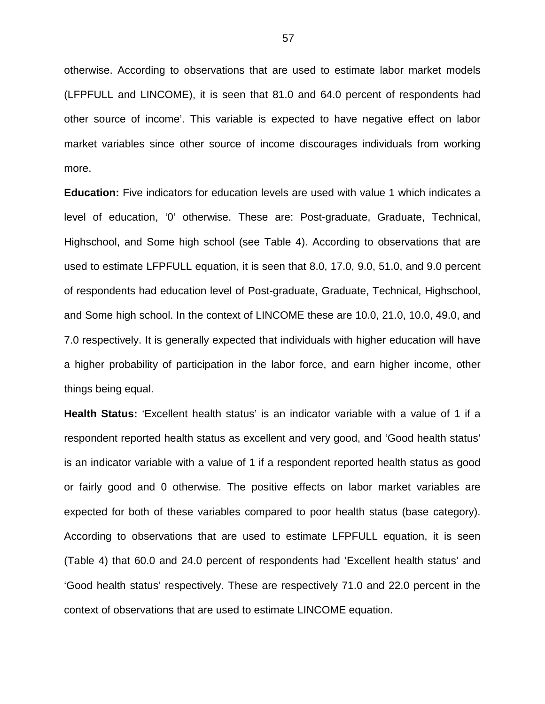otherwise. According to observations that are used to estimate labor market models (LFPFULL and LINCOME), it is seen that 81.0 and 64.0 percent of respondents had other source of income'. This variable is expected to have negative effect on labor market variables since other source of income discourages individuals from working more.

**Education:** Five indicators for education levels are used with value 1 which indicates a level of education, '0' otherwise. These are: Post-graduate, Graduate, Technical, Highschool, and Some high school (see Table 4). According to observations that are used to estimate LFPFULL equation, it is seen that 8.0, 17.0, 9.0, 51.0, and 9.0 percent of respondents had education level of Post-graduate, Graduate, Technical, Highschool, and Some high school. In the context of LINCOME these are 10.0, 21.0, 10.0, 49.0, and 7.0 respectively. It is generally expected that individuals with higher education will have a higher probability of participation in the labor force, and earn higher income, other things being equal.

**Health Status:** 'Excellent health status' is an indicator variable with a value of 1 if a respondent reported health status as excellent and very good, and 'Good health status' is an indicator variable with a value of 1 if a respondent reported health status as good or fairly good and 0 otherwise. The positive effects on labor market variables are expected for both of these variables compared to poor health status (base category). According to observations that are used to estimate LFPFULL equation, it is seen (Table 4) that 60.0 and 24.0 percent of respondents had 'Excellent health status' and 'Good health status' respectively. These are respectively 71.0 and 22.0 percent in the context of observations that are used to estimate LINCOME equation.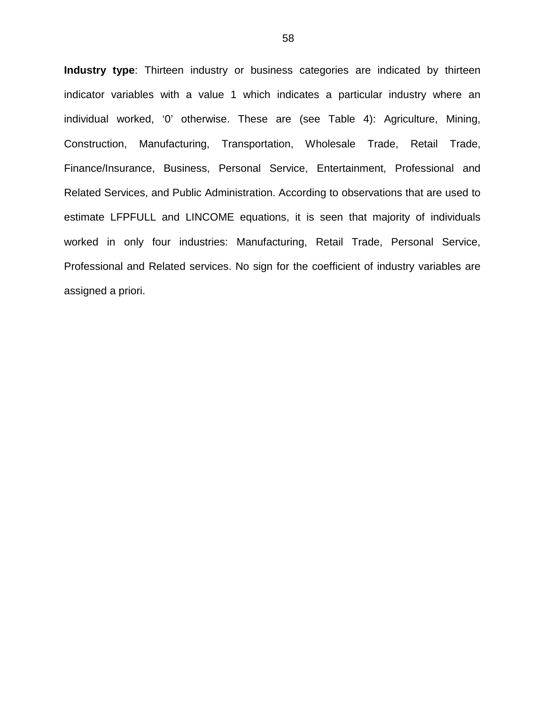**Industry type**: Thirteen industry or business categories are indicated by thirteen indicator variables with a value 1 which indicates a particular industry where an individual worked, '0' otherwise. These are (see Table 4): Agriculture, Mining, Construction, Manufacturing, Transportation, Wholesale Trade, Retail Trade, Finance/Insurance, Business, Personal Service, Entertainment, Professional and Related Services, and Public Administration. According to observations that are used to estimate LFPFULL and LINCOME equations, it is seen that majority of individuals worked in only four industries: Manufacturing, Retail Trade, Personal Service, Professional and Related services. No sign for the coefficient of industry variables are assigned a priori.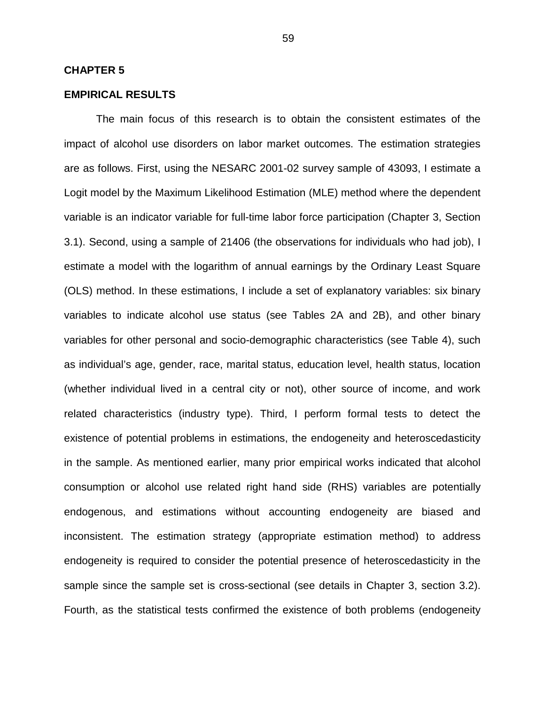### **CHAPTER 5**

# **EMPIRICAL RESULTS**

The main focus of this research is to obtain the consistent estimates of the impact of alcohol use disorders on labor market outcomes. The estimation strategies are as follows. First, using the NESARC 2001-02 survey sample of 43093, I estimate a Logit model by the Maximum Likelihood Estimation (MLE) method where the dependent variable is an indicator variable for full-time labor force participation (Chapter 3, Section 3.1). Second, using a sample of 21406 (the observations for individuals who had job), I estimate a model with the logarithm of annual earnings by the Ordinary Least Square (OLS) method. In these estimations, I include a set of explanatory variables: six binary variables to indicate alcohol use status (see Tables 2A and 2B), and other binary variables for other personal and socio-demographic characteristics (see Table 4), such as individual's age, gender, race, marital status, education level, health status, location (whether individual lived in a central city or not), other source of income, and work related characteristics (industry type). Third, I perform formal tests to detect the existence of potential problems in estimations, the endogeneity and heteroscedasticity in the sample. As mentioned earlier, many prior empirical works indicated that alcohol consumption or alcohol use related right hand side (RHS) variables are potentially endogenous, and estimations without accounting endogeneity are biased and inconsistent. The estimation strategy (appropriate estimation method) to address endogeneity is required to consider the potential presence of heteroscedasticity in the sample since the sample set is cross-sectional (see details in Chapter 3, section 3.2). Fourth, as the statistical tests confirmed the existence of both problems (endogeneity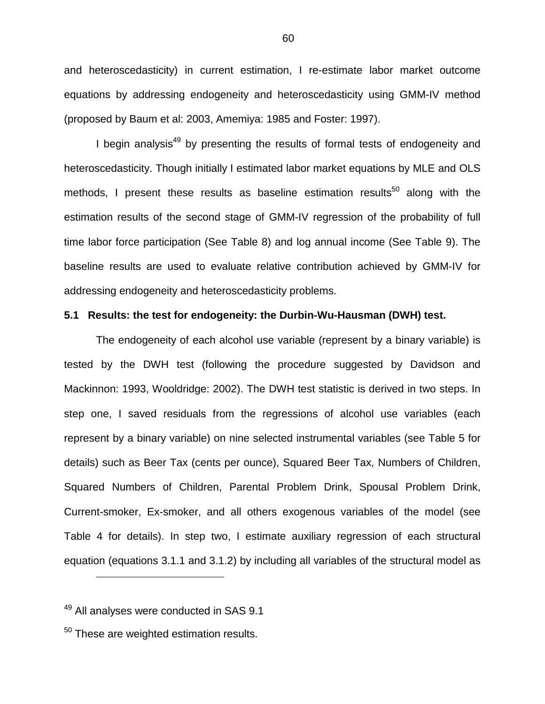and heteroscedasticity) in current estimation, I re-estimate labor market outcome equations by addressing endogeneity and heteroscedasticity using GMM-IV method (proposed by Baum et al: 2003, Amemiya: 1985 and Foster: 1997).

I begin analysis<sup>49</sup> by presenting the results of formal tests of endogeneity and heteroscedasticity. Though initially I estimated labor market equations by MLE and OLS methods, I present these results as baseline estimation results<sup>50</sup> along with the estimation results of the second stage of GMM-IV regression of the probability of full time labor force participation (See Table 8) and log annual income (See Table 9). The baseline results are used to evaluate relative contribution achieved by GMM-IV for addressing endogeneity and heteroscedasticity problems.

### **5.1 Results: the test for endogeneity: the Durbin-Wu-Hausman (DWH) test.**

The endogeneity of each alcohol use variable (represent by a binary variable) is tested by the DWH test (following the procedure suggested by Davidson and Mackinnon: 1993, Wooldridge: 2002). The DWH test statistic is derived in two steps. In step one, I saved residuals from the regressions of alcohol use variables (each represent by a binary variable) on nine selected instrumental variables (see Table 5 for details) such as Beer Tax (cents per ounce), Squared Beer Tax, Numbers of Children, Squared Numbers of Children, Parental Problem Drink, Spousal Problem Drink, Current-smoker, Ex-smoker, and all others exogenous variables of the model (see Table 4 for details). In step two, I estimate auxiliary regression of each structural equation (equations 3.1.1 and 3.1.2) by including all variables of the structural model as

 $\overline{a}$ 

 $49$  All analyses were conducted in SAS 9.1

 $50$  These are weighted estimation results.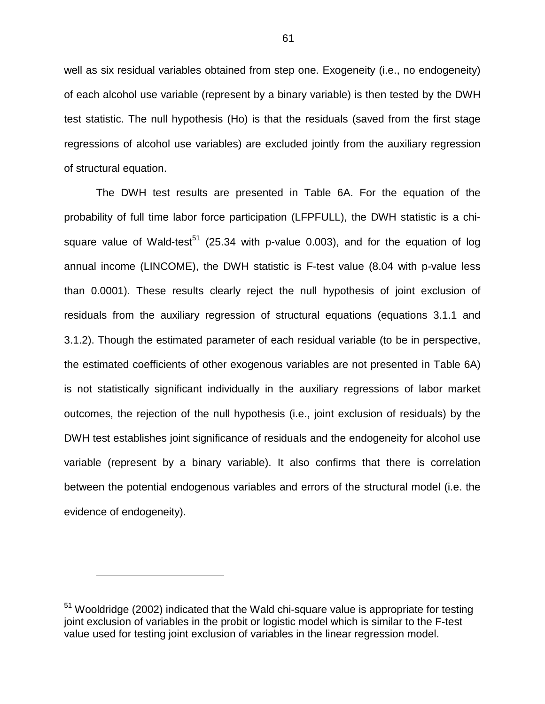well as six residual variables obtained from step one. Exogeneity (i.e., no endogeneity) of each alcohol use variable (represent by a binary variable) is then tested by the DWH test statistic. The null hypothesis (Ho) is that the residuals (saved from the first stage regressions of alcohol use variables) are excluded jointly from the auxiliary regression of structural equation.

The DWH test results are presented in Table 6A. For the equation of the probability of full time labor force participation (LFPFULL), the DWH statistic is a chisquare value of Wald-test<sup>51</sup> (25.34 with p-value 0.003), and for the equation of log annual income (LINCOME), the DWH statistic is F-test value (8.04 with p-value less than 0.0001). These results clearly reject the null hypothesis of joint exclusion of residuals from the auxiliary regression of structural equations (equations 3.1.1 and 3.1.2). Though the estimated parameter of each residual variable (to be in perspective, the estimated coefficients of other exogenous variables are not presented in Table 6A) is not statistically significant individually in the auxiliary regressions of labor market outcomes, the rejection of the null hypothesis (i.e., joint exclusion of residuals) by the DWH test establishes joint significance of residuals and the endogeneity for alcohol use variable (represent by a binary variable). It also confirms that there is correlation between the potential endogenous variables and errors of the structural model (i.e. the evidence of endogeneity).

1

<sup>&</sup>lt;sup>51</sup> Wooldridge (2002) indicated that the Wald chi-square value is appropriate for testing joint exclusion of variables in the probit or logistic model which is similar to the F-test value used for testing joint exclusion of variables in the linear regression model.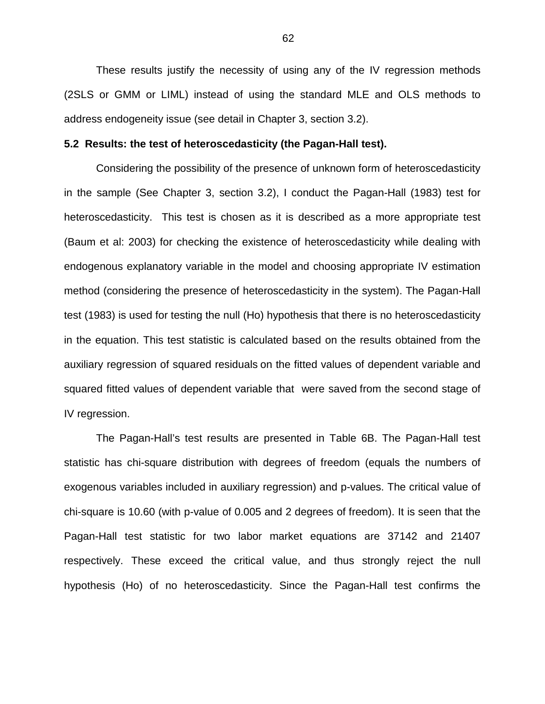These results justify the necessity of using any of the IV regression methods (2SLS or GMM or LIML) instead of using the standard MLE and OLS methods to address endogeneity issue (see detail in Chapter 3, section 3.2).

#### **5.2 Results: the test of heteroscedasticity (the Pagan-Hall test).**

Considering the possibility of the presence of unknown form of heteroscedasticity in the sample (See Chapter 3, section 3.2), I conduct the Pagan-Hall (1983) test for heteroscedasticity. This test is chosen as it is described as a more appropriate test (Baum et al: 2003) for checking the existence of heteroscedasticity while dealing with endogenous explanatory variable in the model and choosing appropriate IV estimation method (considering the presence of heteroscedasticity in the system). The Pagan-Hall test (1983) is used for testing the null (Ho) hypothesis that there is no heteroscedasticity in the equation. This test statistic is calculated based on the results obtained from the auxiliary regression of squared residuals on the fitted values of dependent variable and squared fitted values of dependent variable that were saved from the second stage of IV regression.

The Pagan-Hall's test results are presented in Table 6B. The Pagan-Hall test statistic has chi-square distribution with degrees of freedom (equals the numbers of exogenous variables included in auxiliary regression) and p-values. The critical value of chi-square is 10.60 (with p-value of 0.005 and 2 degrees of freedom). It is seen that the Pagan-Hall test statistic for two labor market equations are 37142 and 21407 respectively. These exceed the critical value, and thus strongly reject the null hypothesis (Ho) of no heteroscedasticity. Since the Pagan-Hall test confirms the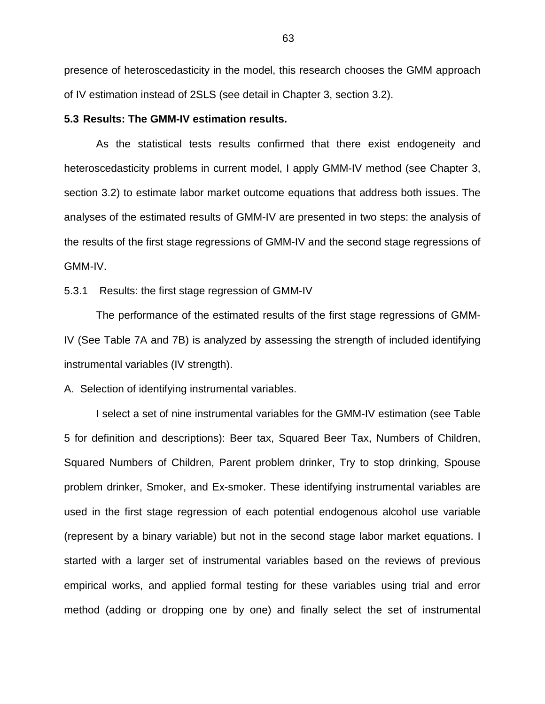presence of heteroscedasticity in the model, this research chooses the GMM approach of IV estimation instead of 2SLS (see detail in Chapter 3, section 3.2).

**5.3 Results: The GMM-IV estimation results.** 

As the statistical tests results confirmed that there exist endogeneity and heteroscedasticity problems in current model, I apply GMM-IV method (see Chapter 3, section 3.2) to estimate labor market outcome equations that address both issues. The analyses of the estimated results of GMM-IV are presented in two steps: the analysis of the results of the first stage regressions of GMM-IV and the second stage regressions of GMM-IV.

5.3.1 Results: the first stage regression of GMM-IV

The performance of the estimated results of the first stage regressions of GMM-IV (See Table 7A and 7B) is analyzed by assessing the strength of included identifying instrumental variables (IV strength).

A. Selection of identifying instrumental variables.

I select a set of nine instrumental variables for the GMM-IV estimation (see Table 5 for definition and descriptions): Beer tax, Squared Beer Tax, Numbers of Children, Squared Numbers of Children, Parent problem drinker, Try to stop drinking, Spouse problem drinker, Smoker, and Ex-smoker. These identifying instrumental variables are used in the first stage regression of each potential endogenous alcohol use variable (represent by a binary variable) but not in the second stage labor market equations. I started with a larger set of instrumental variables based on the reviews of previous empirical works, and applied formal testing for these variables using trial and error method (adding or dropping one by one) and finally select the set of instrumental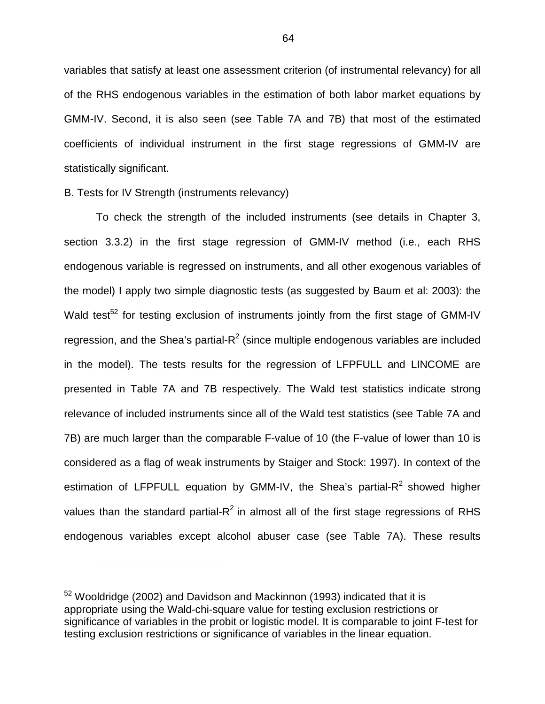variables that satisfy at least one assessment criterion (of instrumental relevancy) for all of the RHS endogenous variables in the estimation of both labor market equations by GMM-IV. Second, it is also seen (see Table 7A and 7B) that most of the estimated coefficients of individual instrument in the first stage regressions of GMM-IV are statistically significant.

## B. Tests for IV Strength (instruments relevancy)

1

To check the strength of the included instruments (see details in Chapter 3, section 3.3.2) in the first stage regression of GMM-IV method (i.e., each RHS endogenous variable is regressed on instruments, and all other exogenous variables of the model) I apply two simple diagnostic tests (as suggested by Baum et al: 2003): the Wald test<sup>52</sup> for testing exclusion of instruments jointly from the first stage of GMM-IV regression, and the Shea's partial- $R^2$  (since multiple endogenous variables are included in the model). The tests results for the regression of LFPFULL and LINCOME are presented in Table 7A and 7B respectively. The Wald test statistics indicate strong relevance of included instruments since all of the Wald test statistics (see Table 7A and 7B) are much larger than the comparable F-value of 10 (the F-value of lower than 10 is considered as a flag of weak instruments by Staiger and Stock: 1997). In context of the estimation of LFPFULL equation by GMM-IV, the Shea's partial- $R^2$  showed higher values than the standard partial- $R^2$  in almost all of the first stage regressions of RHS endogenous variables except alcohol abuser case (see Table 7A). These results

<sup>52</sup> Wooldridge (2002) and Davidson and Mackinnon (1993) indicated that it is appropriate using the Wald-chi-square value for testing exclusion restrictions or significance of variables in the probit or logistic model. It is comparable to joint F-test for testing exclusion restrictions or significance of variables in the linear equation.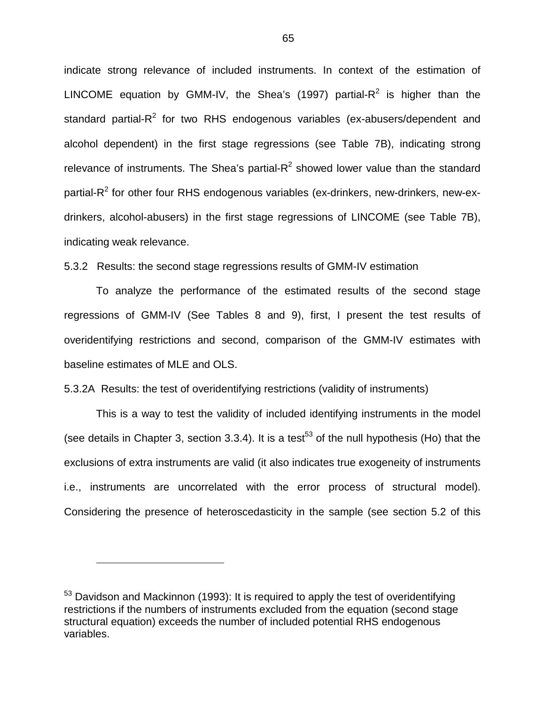indicate strong relevance of included instruments. In context of the estimation of LINCOME equation by GMM-IV, the Shea's (1997) partial-R<sup>2</sup> is higher than the standard partial-R<sup>2</sup> for two RHS endogenous variables (ex-abusers/dependent and alcohol dependent) in the first stage regressions (see Table 7B), indicating strong relevance of instruments. The Shea's partial- $R^2$  showed lower value than the standard partial-R<sup>2</sup> for other four RHS endogenous variables (ex-drinkers, new-drinkers, new-exdrinkers, alcohol-abusers) in the first stage regressions of LINCOME (see Table 7B), indicating weak relevance.

5.3.2 Results: the second stage regressions results of GMM-IV estimation

To analyze the performance of the estimated results of the second stage regressions of GMM-IV (See Tables 8 and 9), first, I present the test results of overidentifying restrictions and second, comparison of the GMM-IV estimates with baseline estimates of MLE and OLS.

5.3.2A Results: the test of overidentifying restrictions (validity of instruments)

This is a way to test the validity of included identifying instruments in the model (see details in Chapter 3, section 3.3.4). It is a test<sup>53</sup> of the null hypothesis (Ho) that the exclusions of extra instruments are valid (it also indicates true exogeneity of instruments i.e., instruments are uncorrelated with the error process of structural model). Considering the presence of heteroscedasticity in the sample (see section 5.2 of this

 $\overline{a}$ 

<sup>&</sup>lt;sup>53</sup> Davidson and Mackinnon (1993): It is required to apply the test of overidentifying restrictions if the numbers of instruments excluded from the equation (second stage structural equation) exceeds the number of included potential RHS endogenous variables.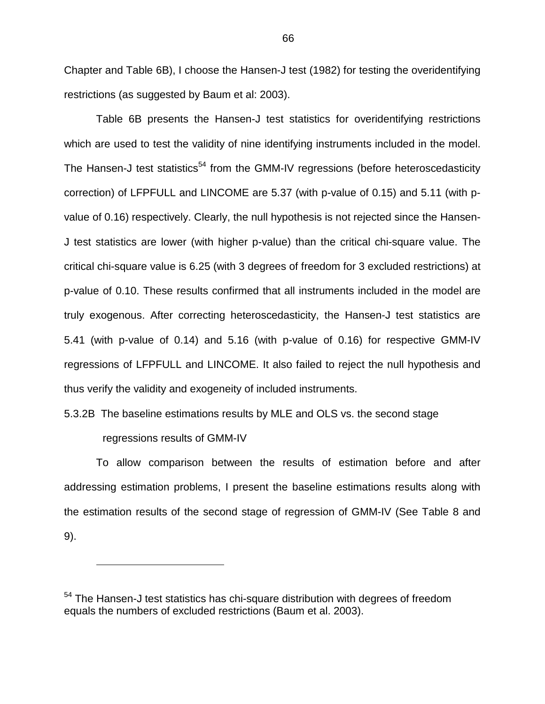Chapter and Table 6B), I choose the Hansen-J test (1982) for testing the overidentifying restrictions (as suggested by Baum et al: 2003).

Table 6B presents the Hansen-J test statistics for overidentifying restrictions which are used to test the validity of nine identifying instruments included in the model. The Hansen-J test statistics<sup>54</sup> from the GMM-IV regressions (before heteroscedasticity correction) of LFPFULL and LINCOME are 5.37 (with p-value of 0.15) and 5.11 (with pvalue of 0.16) respectively. Clearly, the null hypothesis is not rejected since the Hansen-J test statistics are lower (with higher p-value) than the critical chi-square value. The critical chi-square value is 6.25 (with 3 degrees of freedom for 3 excluded restrictions) at p-value of 0.10. These results confirmed that all instruments included in the model are truly exogenous. After correcting heteroscedasticity, the Hansen-J test statistics are 5.41 (with p-value of 0.14) and 5.16 (with p-value of 0.16) for respective GMM-IV regressions of LFPFULL and LINCOME. It also failed to reject the null hypothesis and thus verify the validity and exogeneity of included instruments.

5.3.2B The baseline estimations results by MLE and OLS vs. the second stage

regressions results of GMM-IV

1

To allow comparison between the results of estimation before and after addressing estimation problems, I present the baseline estimations results along with the estimation results of the second stage of regression of GMM-IV (See Table 8 and 9).

<sup>&</sup>lt;sup>54</sup> The Hansen-J test statistics has chi-square distribution with degrees of freedom equals the numbers of excluded restrictions (Baum et al. 2003).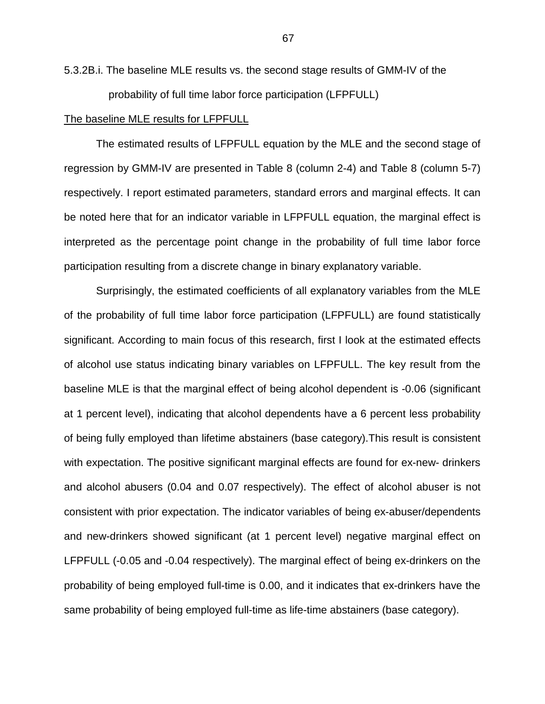5.3.2B.i. The baseline MLE results vs. the second stage results of GMM-IV of the probability of full time labor force participation (LFPFULL)

#### The baseline MLE results for LFPFULL

The estimated results of LFPFULL equation by the MLE and the second stage of regression by GMM-IV are presented in Table 8 (column 2-4) and Table 8 (column 5-7) respectively. I report estimated parameters, standard errors and marginal effects. It can be noted here that for an indicator variable in LFPFULL equation, the marginal effect is interpreted as the percentage point change in the probability of full time labor force participation resulting from a discrete change in binary explanatory variable.

Surprisingly, the estimated coefficients of all explanatory variables from the MLE of the probability of full time labor force participation (LFPFULL) are found statistically significant. According to main focus of this research, first I look at the estimated effects of alcohol use status indicating binary variables on LFPFULL. The key result from the baseline MLE is that the marginal effect of being alcohol dependent is -0.06 (significant at 1 percent level), indicating that alcohol dependents have a 6 percent less probability of being fully employed than lifetime abstainers (base category).This result is consistent with expectation. The positive significant marginal effects are found for ex-new- drinkers and alcohol abusers (0.04 and 0.07 respectively). The effect of alcohol abuser is not consistent with prior expectation. The indicator variables of being ex-abuser/dependents and new-drinkers showed significant (at 1 percent level) negative marginal effect on LFPFULL (-0.05 and -0.04 respectively). The marginal effect of being ex-drinkers on the probability of being employed full-time is 0.00, and it indicates that ex-drinkers have the same probability of being employed full-time as life-time abstainers (base category).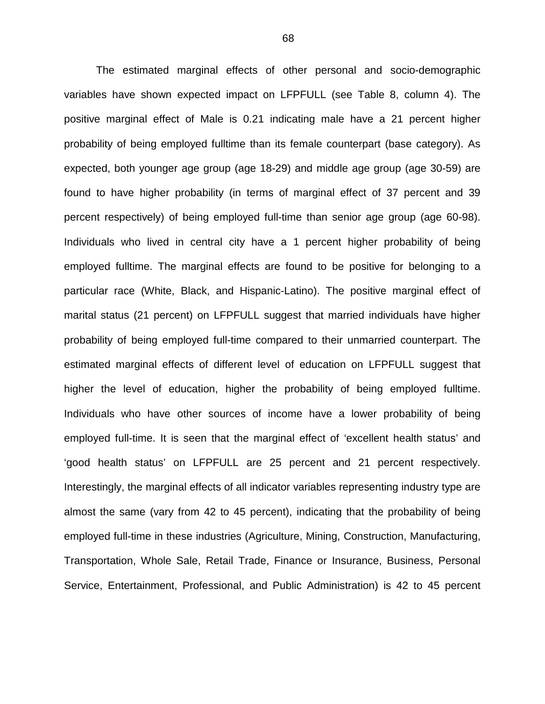The estimated marginal effects of other personal and socio-demographic variables have shown expected impact on LFPFULL (see Table 8, column 4). The positive marginal effect of Male is 0.21 indicating male have a 21 percent higher probability of being employed fulltime than its female counterpart (base category). As expected, both younger age group (age 18-29) and middle age group (age 30-59) are found to have higher probability (in terms of marginal effect of 37 percent and 39 percent respectively) of being employed full-time than senior age group (age 60-98). Individuals who lived in central city have a 1 percent higher probability of being employed fulltime. The marginal effects are found to be positive for belonging to a particular race (White, Black, and Hispanic-Latino). The positive marginal effect of marital status (21 percent) on LFPFULL suggest that married individuals have higher probability of being employed full-time compared to their unmarried counterpart. The estimated marginal effects of different level of education on LFPFULL suggest that higher the level of education, higher the probability of being employed fulltime. Individuals who have other sources of income have a lower probability of being employed full-time. It is seen that the marginal effect of 'excellent health status' and 'good health status' on LFPFULL are 25 percent and 21 percent respectively. Interestingly, the marginal effects of all indicator variables representing industry type are almost the same (vary from 42 to 45 percent), indicating that the probability of being employed full-time in these industries (Agriculture, Mining, Construction, Manufacturing, Transportation, Whole Sale, Retail Trade, Finance or Insurance, Business, Personal Service, Entertainment, Professional, and Public Administration) is 42 to 45 percent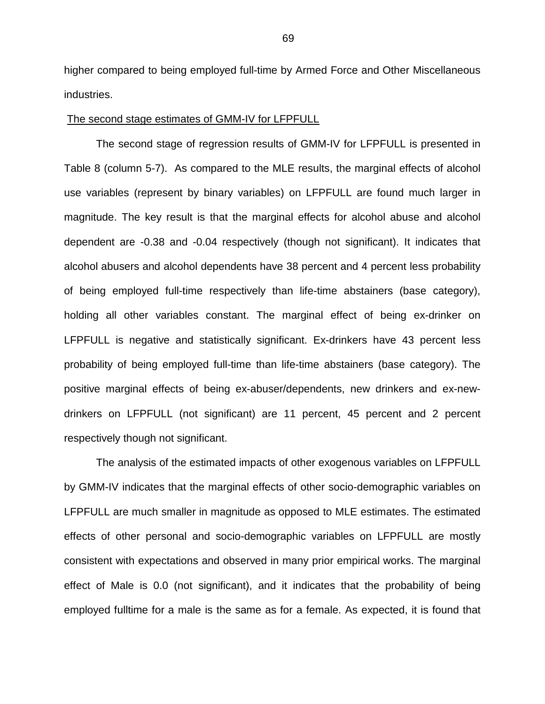higher compared to being employed full-time by Armed Force and Other Miscellaneous industries.

### The second stage estimates of GMM-IV for LFPFULL

The second stage of regression results of GMM-IV for LFPFULL is presented in Table 8 (column 5-7). As compared to the MLE results, the marginal effects of alcohol use variables (represent by binary variables) on LFPFULL are found much larger in magnitude. The key result is that the marginal effects for alcohol abuse and alcohol dependent are -0.38 and -0.04 respectively (though not significant). It indicates that alcohol abusers and alcohol dependents have 38 percent and 4 percent less probability of being employed full-time respectively than life-time abstainers (base category), holding all other variables constant. The marginal effect of being ex-drinker on LFPFULL is negative and statistically significant. Ex-drinkers have 43 percent less probability of being employed full-time than life-time abstainers (base category). The positive marginal effects of being ex-abuser/dependents, new drinkers and ex-newdrinkers on LFPFULL (not significant) are 11 percent, 45 percent and 2 percent respectively though not significant.

The analysis of the estimated impacts of other exogenous variables on LFPFULL by GMM-IV indicates that the marginal effects of other socio-demographic variables on LFPFULL are much smaller in magnitude as opposed to MLE estimates. The estimated effects of other personal and socio-demographic variables on LFPFULL are mostly consistent with expectations and observed in many prior empirical works. The marginal effect of Male is 0.0 (not significant), and it indicates that the probability of being employed fulltime for a male is the same as for a female. As expected, it is found that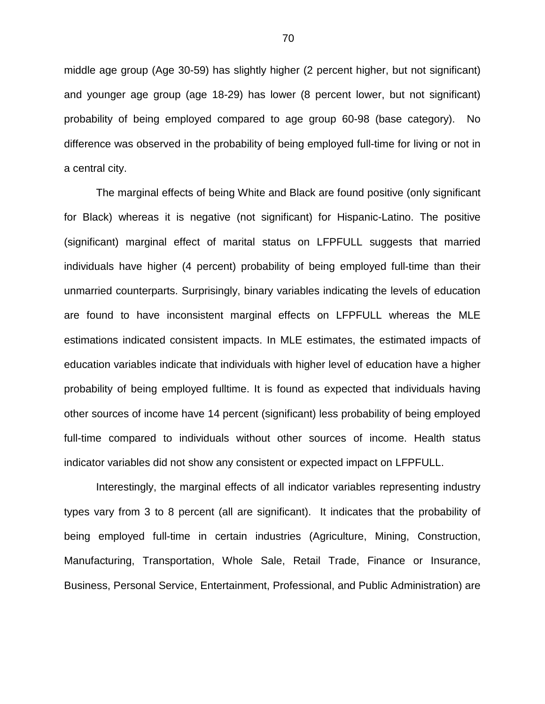middle age group (Age 30-59) has slightly higher (2 percent higher, but not significant) and younger age group (age 18-29) has lower (8 percent lower, but not significant) probability of being employed compared to age group 60-98 (base category). No difference was observed in the probability of being employed full-time for living or not in a central city.

The marginal effects of being White and Black are found positive (only significant for Black) whereas it is negative (not significant) for Hispanic-Latino. The positive (significant) marginal effect of marital status on LFPFULL suggests that married individuals have higher (4 percent) probability of being employed full-time than their unmarried counterparts. Surprisingly, binary variables indicating the levels of education are found to have inconsistent marginal effects on LFPFULL whereas the MLE estimations indicated consistent impacts. In MLE estimates, the estimated impacts of education variables indicate that individuals with higher level of education have a higher probability of being employed fulltime. It is found as expected that individuals having other sources of income have 14 percent (significant) less probability of being employed full-time compared to individuals without other sources of income. Health status indicator variables did not show any consistent or expected impact on LFPFULL.

Interestingly, the marginal effects of all indicator variables representing industry types vary from 3 to 8 percent (all are significant). It indicates that the probability of being employed full-time in certain industries (Agriculture, Mining, Construction, Manufacturing, Transportation, Whole Sale, Retail Trade, Finance or Insurance, Business, Personal Service, Entertainment, Professional, and Public Administration) are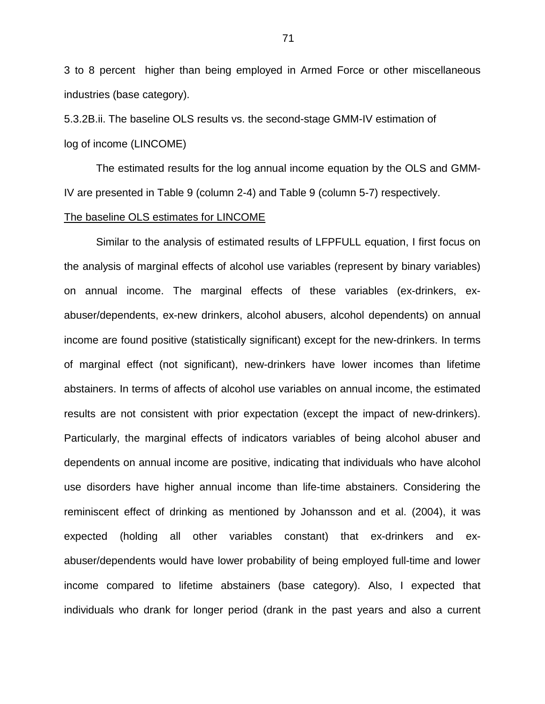3 to 8 percent higher than being employed in Armed Force or other miscellaneous industries (base category).

5.3.2B.ii. The baseline OLS results vs. the second-stage GMM-IV estimation of log of income (LINCOME)

The estimated results for the log annual income equation by the OLS and GMM-IV are presented in Table 9 (column 2-4) and Table 9 (column 5-7) respectively.

#### The baseline OLS estimates for LINCOME

Similar to the analysis of estimated results of LFPFULL equation, I first focus on the analysis of marginal effects of alcohol use variables (represent by binary variables) on annual income. The marginal effects of these variables (ex-drinkers, exabuser/dependents, ex-new drinkers, alcohol abusers, alcohol dependents) on annual income are found positive (statistically significant) except for the new-drinkers. In terms of marginal effect (not significant), new-drinkers have lower incomes than lifetime abstainers. In terms of affects of alcohol use variables on annual income, the estimated results are not consistent with prior expectation (except the impact of new-drinkers). Particularly, the marginal effects of indicators variables of being alcohol abuser and dependents on annual income are positive, indicating that individuals who have alcohol use disorders have higher annual income than life-time abstainers. Considering the reminiscent effect of drinking as mentioned by Johansson and et al. (2004), it was expected (holding all other variables constant) that ex-drinkers and exabuser/dependents would have lower probability of being employed full-time and lower income compared to lifetime abstainers (base category). Also, I expected that individuals who drank for longer period (drank in the past years and also a current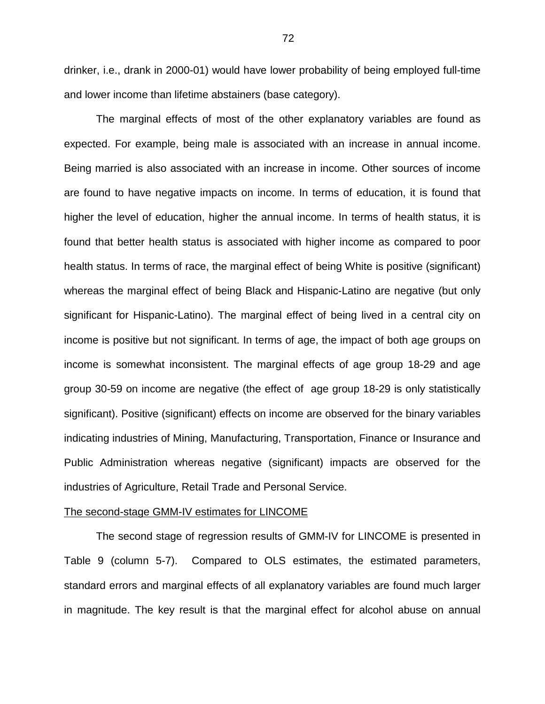drinker, i.e., drank in 2000-01) would have lower probability of being employed full-time and lower income than lifetime abstainers (base category).

The marginal effects of most of the other explanatory variables are found as expected. For example, being male is associated with an increase in annual income. Being married is also associated with an increase in income. Other sources of income are found to have negative impacts on income. In terms of education, it is found that higher the level of education, higher the annual income. In terms of health status, it is found that better health status is associated with higher income as compared to poor health status. In terms of race, the marginal effect of being White is positive (significant) whereas the marginal effect of being Black and Hispanic-Latino are negative (but only significant for Hispanic-Latino). The marginal effect of being lived in a central city on income is positive but not significant. In terms of age, the impact of both age groups on income is somewhat inconsistent. The marginal effects of age group 18-29 and age group 30-59 on income are negative (the effect of age group 18-29 is only statistically significant). Positive (significant) effects on income are observed for the binary variables indicating industries of Mining, Manufacturing, Transportation, Finance or Insurance and Public Administration whereas negative (significant) impacts are observed for the industries of Agriculture, Retail Trade and Personal Service.

#### The second-stage GMM-IV estimates for LINCOME

The second stage of regression results of GMM-IV for LINCOME is presented in Table 9 (column 5-7). Compared to OLS estimates, the estimated parameters, standard errors and marginal effects of all explanatory variables are found much larger in magnitude. The key result is that the marginal effect for alcohol abuse on annual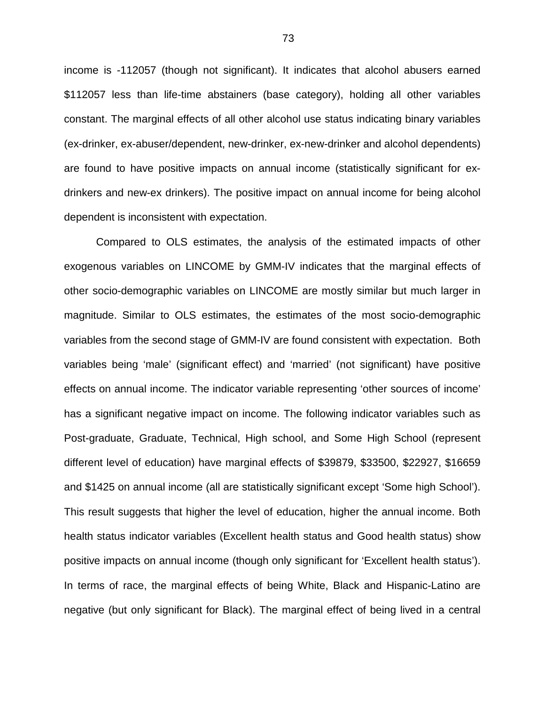income is -112057 (though not significant). It indicates that alcohol abusers earned \$112057 less than life-time abstainers (base category), holding all other variables constant. The marginal effects of all other alcohol use status indicating binary variables (ex-drinker, ex-abuser/dependent, new-drinker, ex-new-drinker and alcohol dependents) are found to have positive impacts on annual income (statistically significant for exdrinkers and new-ex drinkers). The positive impact on annual income for being alcohol dependent is inconsistent with expectation.

Compared to OLS estimates, the analysis of the estimated impacts of other exogenous variables on LINCOME by GMM-IV indicates that the marginal effects of other socio-demographic variables on LINCOME are mostly similar but much larger in magnitude. Similar to OLS estimates, the estimates of the most socio-demographic variables from the second stage of GMM-IV are found consistent with expectation. Both variables being 'male' (significant effect) and 'married' (not significant) have positive effects on annual income. The indicator variable representing 'other sources of income' has a significant negative impact on income. The following indicator variables such as Post-graduate, Graduate, Technical, High school, and Some High School (represent different level of education) have marginal effects of \$39879, \$33500, \$22927, \$16659 and \$1425 on annual income (all are statistically significant except 'Some high School'). This result suggests that higher the level of education, higher the annual income. Both health status indicator variables (Excellent health status and Good health status) show positive impacts on annual income (though only significant for 'Excellent health status'). In terms of race, the marginal effects of being White, Black and Hispanic-Latino are negative (but only significant for Black). The marginal effect of being lived in a central

73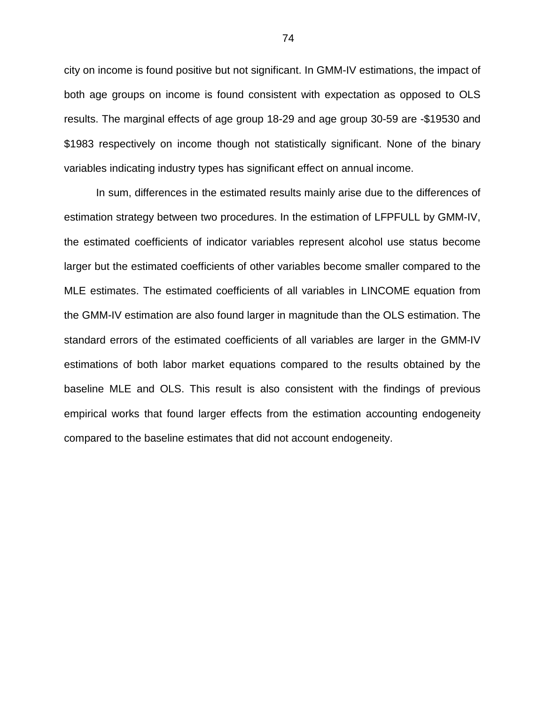city on income is found positive but not significant. In GMM-IV estimations, the impact of both age groups on income is found consistent with expectation as opposed to OLS results. The marginal effects of age group 18-29 and age group 30-59 are -\$19530 and \$1983 respectively on income though not statistically significant. None of the binary variables indicating industry types has significant effect on annual income.

In sum, differences in the estimated results mainly arise due to the differences of estimation strategy between two procedures. In the estimation of LFPFULL by GMM-IV, the estimated coefficients of indicator variables represent alcohol use status become larger but the estimated coefficients of other variables become smaller compared to the MLE estimates. The estimated coefficients of all variables in LINCOME equation from the GMM-IV estimation are also found larger in magnitude than the OLS estimation. The standard errors of the estimated coefficients of all variables are larger in the GMM-IV estimations of both labor market equations compared to the results obtained by the baseline MLE and OLS. This result is also consistent with the findings of previous empirical works that found larger effects from the estimation accounting endogeneity compared to the baseline estimates that did not account endogeneity.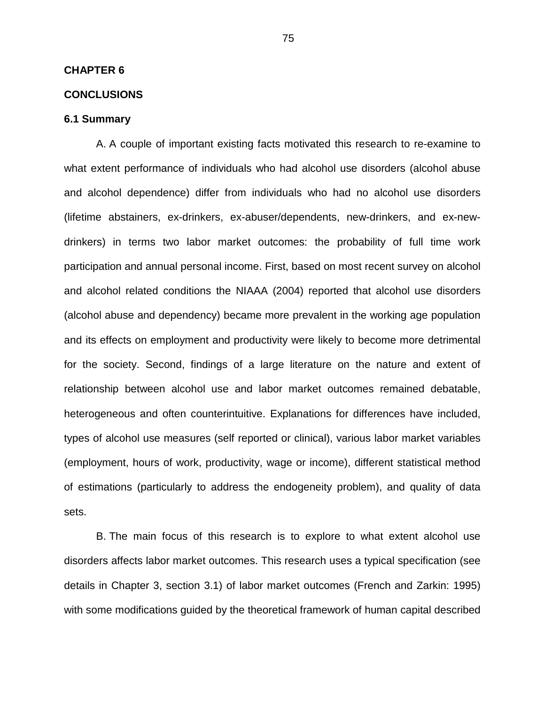#### **CHAPTER 6**

### **CONCLUSIONS**

### **6.1 Summary**

A. A couple of important existing facts motivated this research to re-examine to what extent performance of individuals who had alcohol use disorders (alcohol abuse and alcohol dependence) differ from individuals who had no alcohol use disorders (lifetime abstainers, ex-drinkers, ex-abuser/dependents, new-drinkers, and ex-newdrinkers) in terms two labor market outcomes: the probability of full time work participation and annual personal income. First, based on most recent survey on alcohol and alcohol related conditions the NIAAA (2004) reported that alcohol use disorders (alcohol abuse and dependency) became more prevalent in the working age population and its effects on employment and productivity were likely to become more detrimental for the society. Second, findings of a large literature on the nature and extent of relationship between alcohol use and labor market outcomes remained debatable, heterogeneous and often counterintuitive. Explanations for differences have included, types of alcohol use measures (self reported or clinical), various labor market variables (employment, hours of work, productivity, wage or income), different statistical method of estimations (particularly to address the endogeneity problem), and quality of data sets.

B. The main focus of this research is to explore to what extent alcohol use disorders affects labor market outcomes. This research uses a typical specification (see details in Chapter 3, section 3.1) of labor market outcomes (French and Zarkin: 1995) with some modifications guided by the theoretical framework of human capital described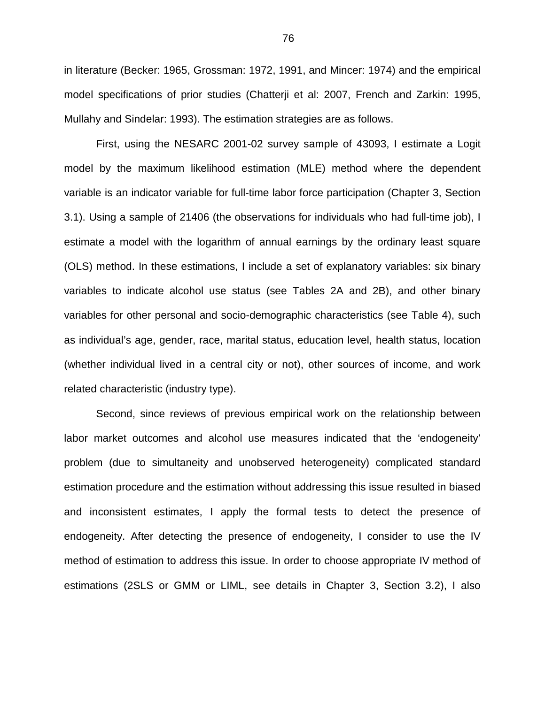in literature (Becker: 1965, Grossman: 1972, 1991, and Mincer: 1974) and the empirical model specifications of prior studies (Chatterji et al: 2007, French and Zarkin: 1995, Mullahy and Sindelar: 1993). The estimation strategies are as follows.

First, using the NESARC 2001-02 survey sample of 43093, I estimate a Logit model by the maximum likelihood estimation (MLE) method where the dependent variable is an indicator variable for full-time labor force participation (Chapter 3, Section 3.1). Using a sample of 21406 (the observations for individuals who had full-time job), I estimate a model with the logarithm of annual earnings by the ordinary least square (OLS) method. In these estimations, I include a set of explanatory variables: six binary variables to indicate alcohol use status (see Tables 2A and 2B), and other binary variables for other personal and socio-demographic characteristics (see Table 4), such as individual's age, gender, race, marital status, education level, health status, location (whether individual lived in a central city or not), other sources of income, and work related characteristic (industry type).

Second, since reviews of previous empirical work on the relationship between labor market outcomes and alcohol use measures indicated that the 'endogeneity' problem (due to simultaneity and unobserved heterogeneity) complicated standard estimation procedure and the estimation without addressing this issue resulted in biased and inconsistent estimates, I apply the formal tests to detect the presence of endogeneity. After detecting the presence of endogeneity, I consider to use the IV method of estimation to address this issue. In order to choose appropriate IV method of estimations (2SLS or GMM or LIML, see details in Chapter 3, Section 3.2), I also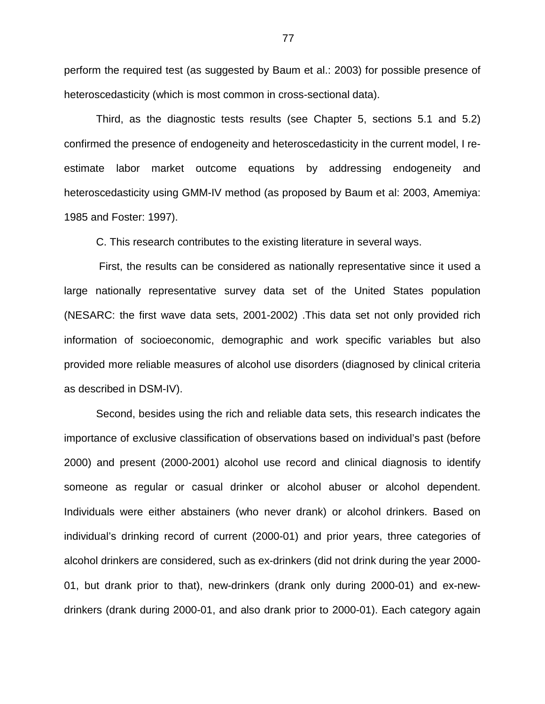perform the required test (as suggested by Baum et al.: 2003) for possible presence of heteroscedasticity (which is most common in cross-sectional data).

Third, as the diagnostic tests results (see Chapter 5, sections 5.1 and 5.2) confirmed the presence of endogeneity and heteroscedasticity in the current model, I reestimate labor market outcome equations by addressing endogeneity and heteroscedasticity using GMM-IV method (as proposed by Baum et al: 2003, Amemiya: 1985 and Foster: 1997).

C. This research contributes to the existing literature in several ways.

 First, the results can be considered as nationally representative since it used a large nationally representative survey data set of the United States population (NESARC: the first wave data sets, 2001-2002) .This data set not only provided rich information of socioeconomic, demographic and work specific variables but also provided more reliable measures of alcohol use disorders (diagnosed by clinical criteria as described in DSM-IV).

Second, besides using the rich and reliable data sets, this research indicates the importance of exclusive classification of observations based on individual's past (before 2000) and present (2000-2001) alcohol use record and clinical diagnosis to identify someone as regular or casual drinker or alcohol abuser or alcohol dependent. Individuals were either abstainers (who never drank) or alcohol drinkers. Based on individual's drinking record of current (2000-01) and prior years, three categories of alcohol drinkers are considered, such as ex-drinkers (did not drink during the year 2000- 01, but drank prior to that), new-drinkers (drank only during 2000-01) and ex-newdrinkers (drank during 2000-01, and also drank prior to 2000-01). Each category again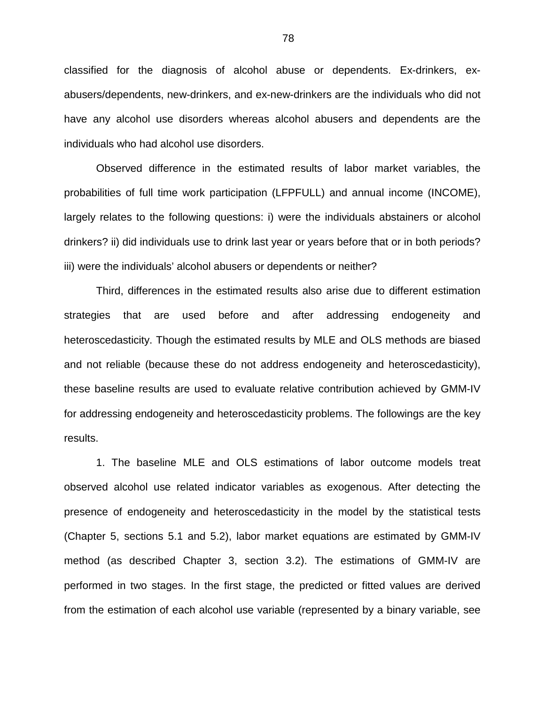classified for the diagnosis of alcohol abuse or dependents. Ex-drinkers, exabusers/dependents, new-drinkers, and ex-new-drinkers are the individuals who did not have any alcohol use disorders whereas alcohol abusers and dependents are the individuals who had alcohol use disorders.

Observed difference in the estimated results of labor market variables, the probabilities of full time work participation (LFPFULL) and annual income (INCOME), largely relates to the following questions: i) were the individuals abstainers or alcohol drinkers? ii) did individuals use to drink last year or years before that or in both periods? iii) were the individuals' alcohol abusers or dependents or neither?

Third, differences in the estimated results also arise due to different estimation strategies that are used before and after addressing endogeneity and heteroscedasticity. Though the estimated results by MLE and OLS methods are biased and not reliable (because these do not address endogeneity and heteroscedasticity), these baseline results are used to evaluate relative contribution achieved by GMM-IV for addressing endogeneity and heteroscedasticity problems. The followings are the key results.

1. The baseline MLE and OLS estimations of labor outcome models treat observed alcohol use related indicator variables as exogenous. After detecting the presence of endogeneity and heteroscedasticity in the model by the statistical tests (Chapter 5, sections 5.1 and 5.2), labor market equations are estimated by GMM-IV method (as described Chapter 3, section 3.2). The estimations of GMM-IV are performed in two stages. In the first stage, the predicted or fitted values are derived from the estimation of each alcohol use variable (represented by a binary variable, see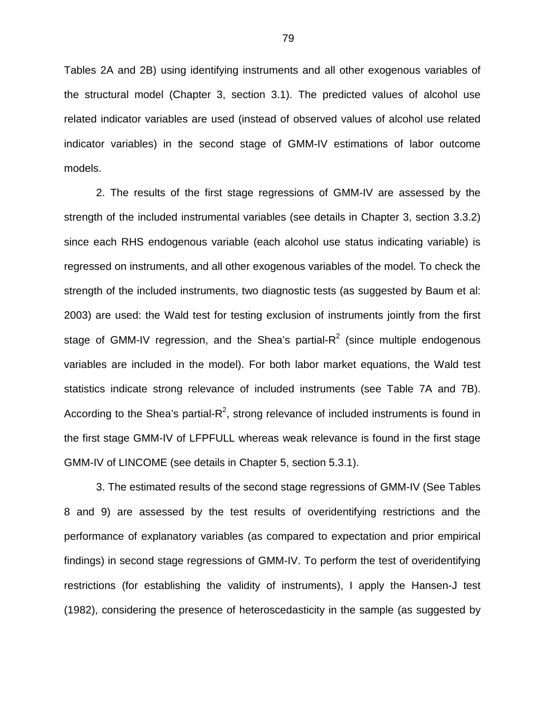Tables 2A and 2B) using identifying instruments and all other exogenous variables of the structural model (Chapter 3, section 3.1). The predicted values of alcohol use related indicator variables are used (instead of observed values of alcohol use related indicator variables) in the second stage of GMM-IV estimations of labor outcome models.

2. The results of the first stage regressions of GMM-IV are assessed by the strength of the included instrumental variables (see details in Chapter 3, section 3.3.2) since each RHS endogenous variable (each alcohol use status indicating variable) is regressed on instruments, and all other exogenous variables of the model. To check the strength of the included instruments, two diagnostic tests (as suggested by Baum et al: 2003) are used: the Wald test for testing exclusion of instruments jointly from the first stage of GMM-IV regression, and the Shea's partial-R<sup>2</sup> (since multiple endogenous variables are included in the model). For both labor market equations, the Wald test statistics indicate strong relevance of included instruments (see Table 7A and 7B). According to the Shea's partial-R<sup>2</sup>, strong relevance of included instruments is found in the first stage GMM-IV of LFPFULL whereas weak relevance is found in the first stage GMM-IV of LINCOME (see details in Chapter 5, section 5.3.1).

3. The estimated results of the second stage regressions of GMM-IV (See Tables 8 and 9) are assessed by the test results of overidentifying restrictions and the performance of explanatory variables (as compared to expectation and prior empirical findings) in second stage regressions of GMM-IV. To perform the test of overidentifying restrictions (for establishing the validity of instruments), I apply the Hansen-J test (1982), considering the presence of heteroscedasticity in the sample (as suggested by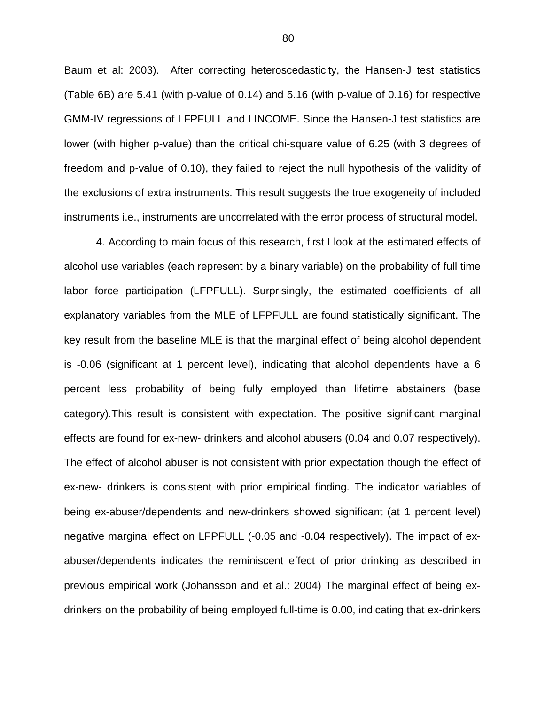Baum et al: 2003). After correcting heteroscedasticity, the Hansen-J test statistics (Table 6B) are 5.41 (with p-value of 0.14) and 5.16 (with p-value of 0.16) for respective GMM-IV regressions of LFPFULL and LINCOME. Since the Hansen-J test statistics are lower (with higher p-value) than the critical chi-square value of 6.25 (with 3 degrees of freedom and p-value of 0.10), they failed to reject the null hypothesis of the validity of the exclusions of extra instruments. This result suggests the true exogeneity of included instruments i.e., instruments are uncorrelated with the error process of structural model.

4. According to main focus of this research, first I look at the estimated effects of alcohol use variables (each represent by a binary variable) on the probability of full time labor force participation (LFPFULL). Surprisingly, the estimated coefficients of all explanatory variables from the MLE of LFPFULL are found statistically significant. The key result from the baseline MLE is that the marginal effect of being alcohol dependent is -0.06 (significant at 1 percent level), indicating that alcohol dependents have a 6 percent less probability of being fully employed than lifetime abstainers (base category).This result is consistent with expectation. The positive significant marginal effects are found for ex-new- drinkers and alcohol abusers (0.04 and 0.07 respectively). The effect of alcohol abuser is not consistent with prior expectation though the effect of ex-new- drinkers is consistent with prior empirical finding. The indicator variables of being ex-abuser/dependents and new-drinkers showed significant (at 1 percent level) negative marginal effect on LFPFULL (-0.05 and -0.04 respectively). The impact of exabuser/dependents indicates the reminiscent effect of prior drinking as described in previous empirical work (Johansson and et al.: 2004) The marginal effect of being exdrinkers on the probability of being employed full-time is 0.00, indicating that ex-drinkers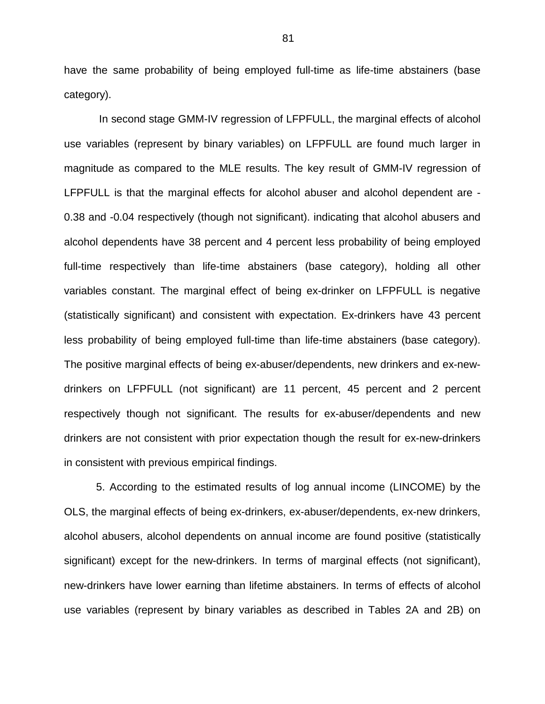have the same probability of being employed full-time as life-time abstainers (base category).

 In second stage GMM-IV regression of LFPFULL, the marginal effects of alcohol use variables (represent by binary variables) on LFPFULL are found much larger in magnitude as compared to the MLE results. The key result of GMM-IV regression of LFPFULL is that the marginal effects for alcohol abuser and alcohol dependent are - 0.38 and -0.04 respectively (though not significant). indicating that alcohol abusers and alcohol dependents have 38 percent and 4 percent less probability of being employed full-time respectively than life-time abstainers (base category), holding all other variables constant. The marginal effect of being ex-drinker on LFPFULL is negative (statistically significant) and consistent with expectation. Ex-drinkers have 43 percent less probability of being employed full-time than life-time abstainers (base category). The positive marginal effects of being ex-abuser/dependents, new drinkers and ex-newdrinkers on LFPFULL (not significant) are 11 percent, 45 percent and 2 percent respectively though not significant. The results for ex-abuser/dependents and new drinkers are not consistent with prior expectation though the result for ex-new-drinkers in consistent with previous empirical findings.

5. According to the estimated results of log annual income (LINCOME) by the OLS, the marginal effects of being ex-drinkers, ex-abuser/dependents, ex-new drinkers, alcohol abusers, alcohol dependents on annual income are found positive (statistically significant) except for the new-drinkers. In terms of marginal effects (not significant), new-drinkers have lower earning than lifetime abstainers. In terms of effects of alcohol use variables (represent by binary variables as described in Tables 2A and 2B) on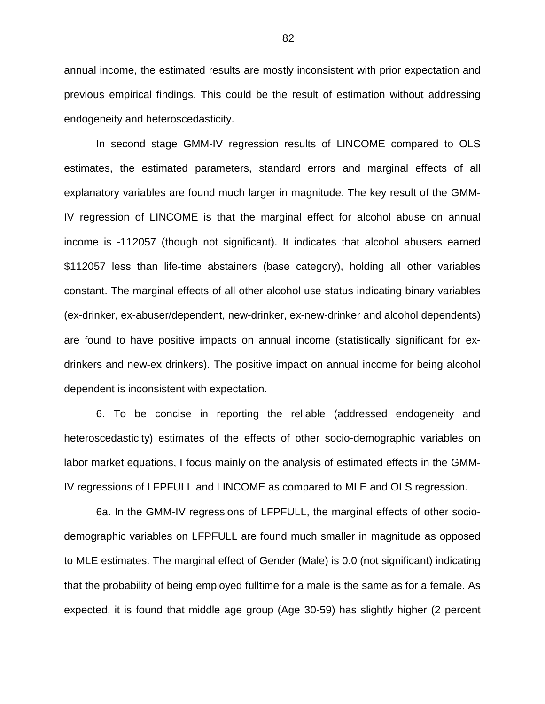annual income, the estimated results are mostly inconsistent with prior expectation and previous empirical findings. This could be the result of estimation without addressing endogeneity and heteroscedasticity.

In second stage GMM-IV regression results of LINCOME compared to OLS estimates, the estimated parameters, standard errors and marginal effects of all explanatory variables are found much larger in magnitude. The key result of the GMM-IV regression of LINCOME is that the marginal effect for alcohol abuse on annual income is -112057 (though not significant). It indicates that alcohol abusers earned \$112057 less than life-time abstainers (base category), holding all other variables constant. The marginal effects of all other alcohol use status indicating binary variables (ex-drinker, ex-abuser/dependent, new-drinker, ex-new-drinker and alcohol dependents) are found to have positive impacts on annual income (statistically significant for exdrinkers and new-ex drinkers). The positive impact on annual income for being alcohol dependent is inconsistent with expectation.

6. To be concise in reporting the reliable (addressed endogeneity and heteroscedasticity) estimates of the effects of other socio-demographic variables on labor market equations, I focus mainly on the analysis of estimated effects in the GMM-IV regressions of LFPFULL and LINCOME as compared to MLE and OLS regression.

6a. In the GMM-IV regressions of LFPFULL, the marginal effects of other sociodemographic variables on LFPFULL are found much smaller in magnitude as opposed to MLE estimates. The marginal effect of Gender (Male) is 0.0 (not significant) indicating that the probability of being employed fulltime for a male is the same as for a female. As expected, it is found that middle age group (Age 30-59) has slightly higher (2 percent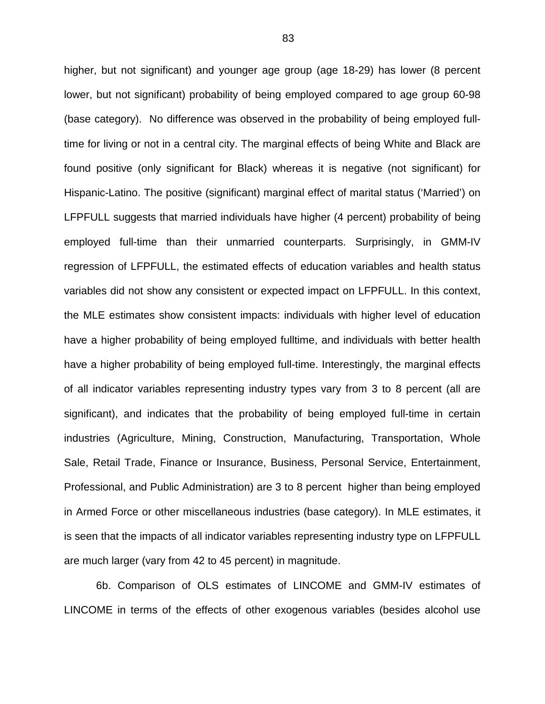higher, but not significant) and younger age group (age 18-29) has lower (8 percent lower, but not significant) probability of being employed compared to age group 60-98 (base category). No difference was observed in the probability of being employed fulltime for living or not in a central city. The marginal effects of being White and Black are found positive (only significant for Black) whereas it is negative (not significant) for Hispanic-Latino. The positive (significant) marginal effect of marital status ('Married') on LFPFULL suggests that married individuals have higher (4 percent) probability of being employed full-time than their unmarried counterparts. Surprisingly, in GMM-IV regression of LFPFULL, the estimated effects of education variables and health status variables did not show any consistent or expected impact on LFPFULL. In this context, the MLE estimates show consistent impacts: individuals with higher level of education have a higher probability of being employed fulltime, and individuals with better health have a higher probability of being employed full-time. Interestingly, the marginal effects of all indicator variables representing industry types vary from 3 to 8 percent (all are significant), and indicates that the probability of being employed full-time in certain industries (Agriculture, Mining, Construction, Manufacturing, Transportation, Whole Sale, Retail Trade, Finance or Insurance, Business, Personal Service, Entertainment, Professional, and Public Administration) are 3 to 8 percent higher than being employed in Armed Force or other miscellaneous industries (base category). In MLE estimates, it is seen that the impacts of all indicator variables representing industry type on LFPFULL are much larger (vary from 42 to 45 percent) in magnitude.

6b. Comparison of OLS estimates of LINCOME and GMM-IV estimates of LINCOME in terms of the effects of other exogenous variables (besides alcohol use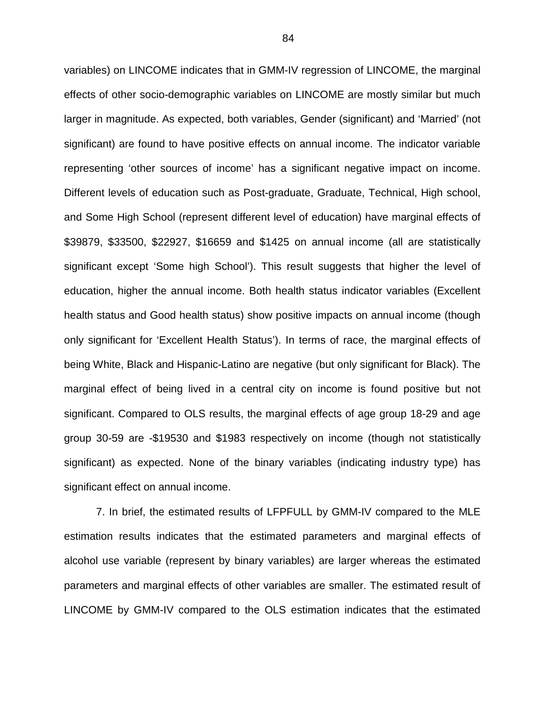variables) on LINCOME indicates that in GMM-IV regression of LINCOME, the marginal effects of other socio-demographic variables on LINCOME are mostly similar but much larger in magnitude. As expected, both variables, Gender (significant) and 'Married' (not significant) are found to have positive effects on annual income. The indicator variable representing 'other sources of income' has a significant negative impact on income. Different levels of education such as Post-graduate, Graduate, Technical, High school, and Some High School (represent different level of education) have marginal effects of \$39879, \$33500, \$22927, \$16659 and \$1425 on annual income (all are statistically significant except 'Some high School'). This result suggests that higher the level of education, higher the annual income. Both health status indicator variables (Excellent health status and Good health status) show positive impacts on annual income (though only significant for 'Excellent Health Status'). In terms of race, the marginal effects of being White, Black and Hispanic-Latino are negative (but only significant for Black). The marginal effect of being lived in a central city on income is found positive but not significant. Compared to OLS results, the marginal effects of age group 18-29 and age group 30-59 are -\$19530 and \$1983 respectively on income (though not statistically significant) as expected. None of the binary variables (indicating industry type) has significant effect on annual income.

7. In brief, the estimated results of LFPFULL by GMM-IV compared to the MLE estimation results indicates that the estimated parameters and marginal effects of alcohol use variable (represent by binary variables) are larger whereas the estimated parameters and marginal effects of other variables are smaller. The estimated result of LINCOME by GMM-IV compared to the OLS estimation indicates that the estimated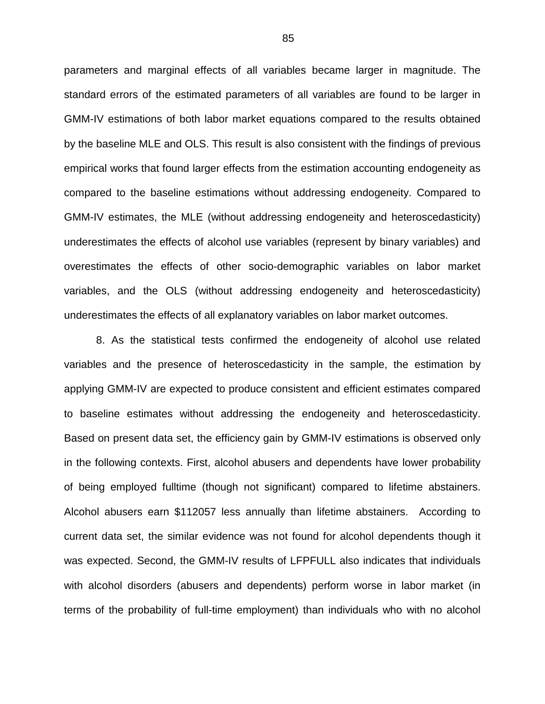parameters and marginal effects of all variables became larger in magnitude. The standard errors of the estimated parameters of all variables are found to be larger in GMM-IV estimations of both labor market equations compared to the results obtained by the baseline MLE and OLS. This result is also consistent with the findings of previous empirical works that found larger effects from the estimation accounting endogeneity as compared to the baseline estimations without addressing endogeneity. Compared to GMM-IV estimates, the MLE (without addressing endogeneity and heteroscedasticity) underestimates the effects of alcohol use variables (represent by binary variables) and overestimates the effects of other socio-demographic variables on labor market variables, and the OLS (without addressing endogeneity and heteroscedasticity) underestimates the effects of all explanatory variables on labor market outcomes.

8. As the statistical tests confirmed the endogeneity of alcohol use related variables and the presence of heteroscedasticity in the sample, the estimation by applying GMM-IV are expected to produce consistent and efficient estimates compared to baseline estimates without addressing the endogeneity and heteroscedasticity. Based on present data set, the efficiency gain by GMM-IV estimations is observed only in the following contexts. First, alcohol abusers and dependents have lower probability of being employed fulltime (though not significant) compared to lifetime abstainers. Alcohol abusers earn \$112057 less annually than lifetime abstainers. According to current data set, the similar evidence was not found for alcohol dependents though it was expected. Second, the GMM-IV results of LFPFULL also indicates that individuals with alcohol disorders (abusers and dependents) perform worse in labor market (in terms of the probability of full-time employment) than individuals who with no alcohol

85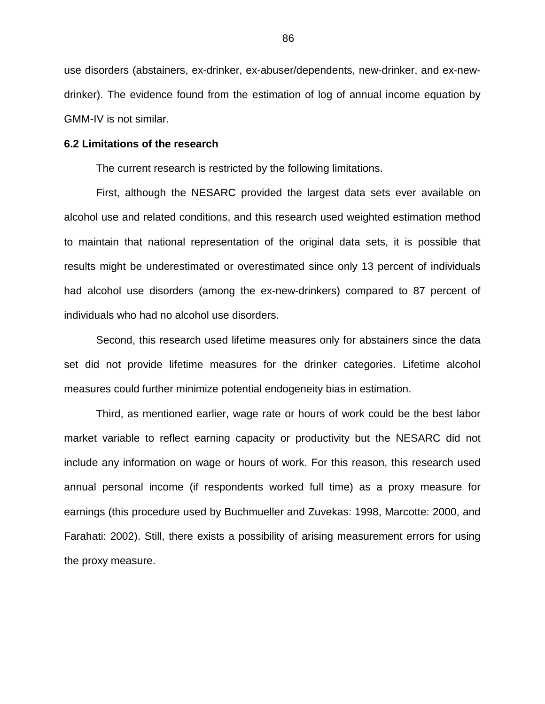use disorders (abstainers, ex-drinker, ex-abuser/dependents, new-drinker, and ex-newdrinker). The evidence found from the estimation of log of annual income equation by GMM-IV is not similar.

#### **6.2 Limitations of the research**

The current research is restricted by the following limitations.

First, although the NESARC provided the largest data sets ever available on alcohol use and related conditions, and this research used weighted estimation method to maintain that national representation of the original data sets, it is possible that results might be underestimated or overestimated since only 13 percent of individuals had alcohol use disorders (among the ex-new-drinkers) compared to 87 percent of individuals who had no alcohol use disorders.

Second, this research used lifetime measures only for abstainers since the data set did not provide lifetime measures for the drinker categories. Lifetime alcohol measures could further minimize potential endogeneity bias in estimation.

Third, as mentioned earlier, wage rate or hours of work could be the best labor market variable to reflect earning capacity or productivity but the NESARC did not include any information on wage or hours of work. For this reason, this research used annual personal income (if respondents worked full time) as a proxy measure for earnings (this procedure used by Buchmueller and Zuvekas: 1998, Marcotte: 2000, and Farahati: 2002). Still, there exists a possibility of arising measurement errors for using the proxy measure.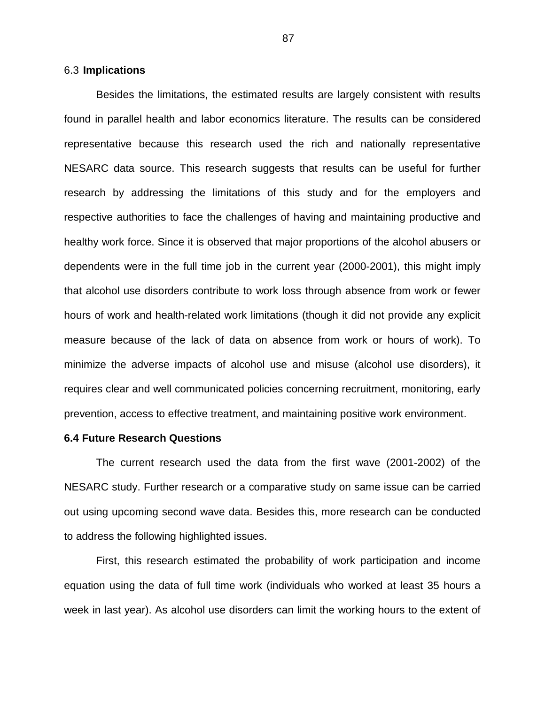### 6.3 **Implications**

Besides the limitations, the estimated results are largely consistent with results found in parallel health and labor economics literature. The results can be considered representative because this research used the rich and nationally representative NESARC data source. This research suggests that results can be useful for further research by addressing the limitations of this study and for the employers and respective authorities to face the challenges of having and maintaining productive and healthy work force. Since it is observed that major proportions of the alcohol abusers or dependents were in the full time job in the current year (2000-2001), this might imply that alcohol use disorders contribute to work loss through absence from work or fewer hours of work and health-related work limitations (though it did not provide any explicit measure because of the lack of data on absence from work or hours of work). To minimize the adverse impacts of alcohol use and misuse (alcohol use disorders), it requires clear and well communicated policies concerning recruitment, monitoring, early prevention, access to effective treatment, and maintaining positive work environment.

## **6.4 Future Research Questions**

The current research used the data from the first wave (2001-2002) of the NESARC study. Further research or a comparative study on same issue can be carried out using upcoming second wave data. Besides this, more research can be conducted to address the following highlighted issues.

First, this research estimated the probability of work participation and income equation using the data of full time work (individuals who worked at least 35 hours a week in last year). As alcohol use disorders can limit the working hours to the extent of

87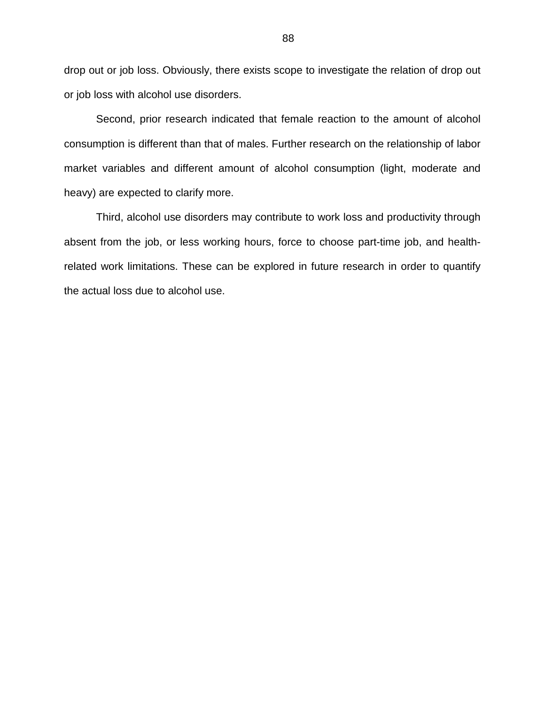drop out or job loss. Obviously, there exists scope to investigate the relation of drop out or job loss with alcohol use disorders.

Second, prior research indicated that female reaction to the amount of alcohol consumption is different than that of males. Further research on the relationship of labor market variables and different amount of alcohol consumption (light, moderate and heavy) are expected to clarify more.

Third, alcohol use disorders may contribute to work loss and productivity through absent from the job, or less working hours, force to choose part-time job, and healthrelated work limitations. These can be explored in future research in order to quantify the actual loss due to alcohol use.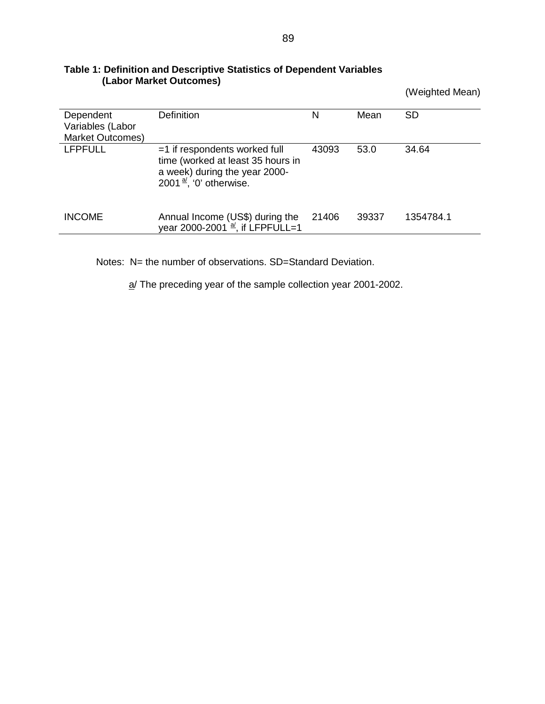|                                                   |                                                                                                                                              |       |       | (Weighted Mean) |
|---------------------------------------------------|----------------------------------------------------------------------------------------------------------------------------------------------|-------|-------|-----------------|
| Dependent<br>Variables (Labor<br>Market Outcomes) | <b>Definition</b>                                                                                                                            | Ν     | Mean  | <b>SD</b>       |
| <b>LFPFULL</b>                                    | $=1$ if respondents worked full<br>time (worked at least 35 hours in<br>a week) during the year 2000-<br>2001 $\frac{a}{b}$ , '0' otherwise. | 43093 | 53.0  | 34.64           |
| <b>INCOME</b>                                     | Annual Income (US\$) during the<br>year 2000-2001 $\frac{a}{b}$ , if LFPFULL=1                                                               | 21406 | 39337 | 1354784.1       |

### **Table 1: Definition and Descriptive Statistics of Dependent Variables (Labor Market Outcomes)**

Notes: N= the number of observations. SD=Standard Deviation.

a/ The preceding year of the sample collection year 2001-2002.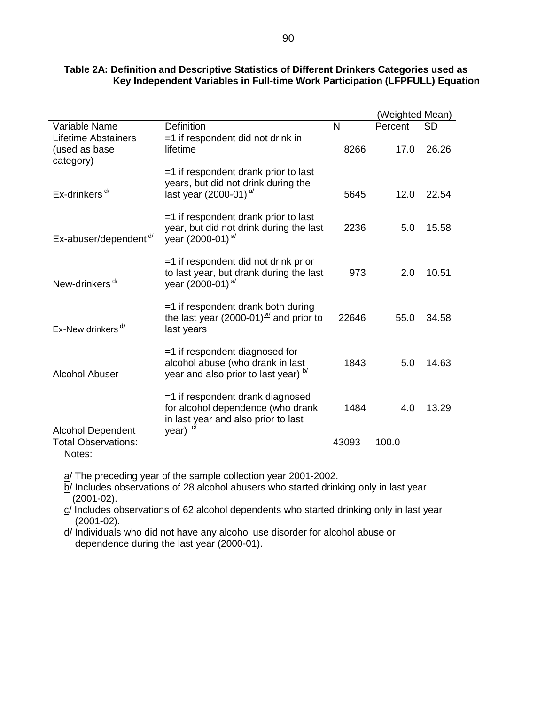|                                                          |                                                                                                                            |       | (Weighted Mean) |           |
|----------------------------------------------------------|----------------------------------------------------------------------------------------------------------------------------|-------|-----------------|-----------|
| Variable Name                                            | <b>Definition</b>                                                                                                          | N     | Percent         | <b>SD</b> |
| <b>Lifetime Abstainers</b><br>(used as base<br>category) | $=$ 1 if respondent did not drink in<br>lifetime                                                                           | 8266  | 17.0            | 26.26     |
| Ex-drinkers <sup>4/</sup>                                | $=$ 1 if respondent drank prior to last<br>years, but did not drink during the<br>last year $(2000-01)^{\frac{al}{}}$      | 5645  | 12.0            | 22.54     |
| Ex-abuser/dependent <sup>d/</sup>                        | $=$ 1 if respondent drank prior to last<br>year, but did not drink during the last<br>year (2000-01) $\frac{a}{2}$         | 2236  | 5.0             | 15.58     |
| New-drinkers <sup>d/</sup>                               | $=$ 1 if respondent did not drink prior<br>to last year, but drank during the last<br>year (2000-01) $\frac{a}{2}$         | 973   | 2.0             | 10.51     |
| Ex-New drinkers <sup>-d/</sup>                           | $=$ 1 if respondent drank both during<br>the last year (2000-01) $\frac{a}{2}$ and prior to<br>last years                  | 22646 | 55.0            | 34.58     |
| <b>Alcohol Abuser</b>                                    | =1 if respondent diagnosed for<br>alcohol abuse (who drank in last<br>year and also prior to last year) $\frac{b}{2}$      | 1843  | 5.0             | 14.63     |
| <b>Alcohol Dependent</b>                                 | $=$ 1 if respondent drank diagnosed<br>for alcohol dependence (who drank<br>in last year and also prior to last<br>year) d | 1484  | 4.0             | 13.29     |
| <b>Total Observations:</b>                               |                                                                                                                            | 43093 | 100.0           |           |

## **Table 2A: Definition and Descriptive Statistics of Different Drinkers Categories used as Key Independent Variables in Full-time Work Participation (LFPFULL) Equation**

Notes:

a/ The preceding year of the sample collection year 2001-2002.

 $b$ / Includes observations of 28 alcohol abusers who started drinking only in last year (2001-02).

c/ Includes observations of 62 alcohol dependents who started drinking only in last year (2001-02).

d/ Individuals who did not have any alcohol use disorder for alcohol abuse or dependence during the last year (2000-01).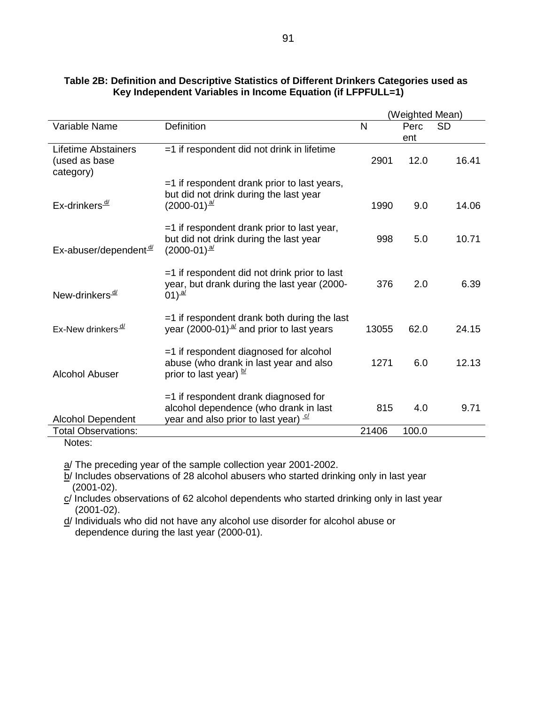|                                                   |                                                                                                                                  |       | (Weighted Mean) |           |  |  |
|---------------------------------------------------|----------------------------------------------------------------------------------------------------------------------------------|-------|-----------------|-----------|--|--|
| Variable Name                                     | <b>Definition</b>                                                                                                                | N     | Perc            | <b>SD</b> |  |  |
|                                                   |                                                                                                                                  |       | ent             |           |  |  |
| Lifetime Abstainers<br>(used as base<br>category) | =1 if respondent did not drink in lifetime                                                                                       | 2901  | 12.0            | 16.41     |  |  |
| Ex-drinkers $\frac{d}{ }$                         | =1 if respondent drank prior to last years,<br>but did not drink during the last year<br>$(2000-01)^{\frac{al}{}}$               | 1990  | 9.0             | 14.06     |  |  |
| Ex-abuser/dependent <sup>d/</sup>                 | =1 if respondent drank prior to last year,<br>but did not drink during the last year<br>$(2000-01)^{\frac{a}{c}}$                | 998   | 5.0             | 10.71     |  |  |
| New-drinkers <sup>d/</sup>                        | =1 if respondent did not drink prior to last<br>year, but drank during the last year (2000-<br>01) $\frac{a}{c}$                 | 376   | 2.0             | 6.39      |  |  |
| Ex-New drinkers <sup>_d/</sup>                    | $=$ 1 if respondent drank both during the last<br>year (2000-01) $\frac{a}{2}$ and prior to last years                           | 13055 | 62.0            | 24.15     |  |  |
| <b>Alcohol Abuser</b>                             | =1 if respondent diagnosed for alcohol<br>abuse (who drank in last year and also<br>prior to last year) b                        | 1271  | 6.0             | 12.13     |  |  |
| <b>Alcohol Dependent</b>                          | =1 if respondent drank diagnosed for<br>alcohol dependence (who drank in last<br>year and also prior to last year) $\frac{c}{c}$ | 815   | 4.0             | 9.71      |  |  |
| <b>Total Observations:</b>                        |                                                                                                                                  | 21406 | 100.0           |           |  |  |

### **Table 2B: Definition and Descriptive Statistics of Different Drinkers Categories used as Key Independent Variables in Income Equation (if LFPFULL=1)**

Notes:

a/ The preceding year of the sample collection year 2001-2002.

b/ Includes observations of 28 alcohol abusers who started drinking only in last year (2001-02).

c/ Includes observations of 62 alcohol dependents who started drinking only in last year (2001-02).

d/ Individuals who did not have any alcohol use disorder for alcohol abuse or dependence during the last year (2000-01).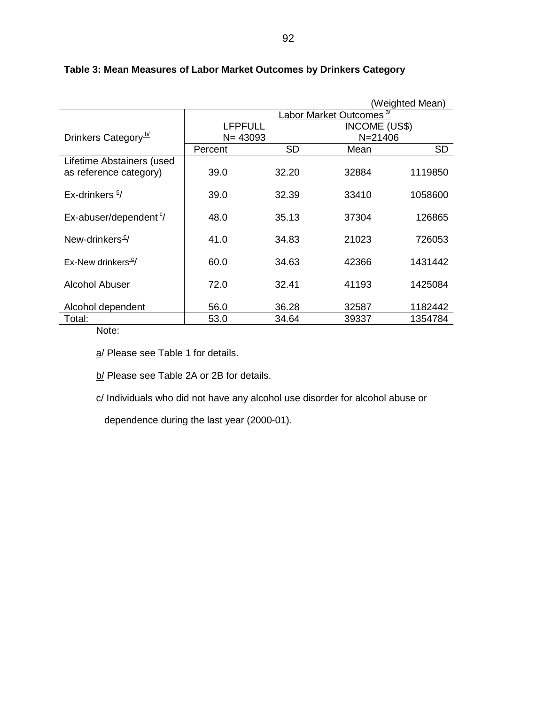| (Weighted Mean)                           |                |       |                                     |           |  |
|-------------------------------------------|----------------|-------|-------------------------------------|-----------|--|
|                                           |                |       | Labor Market Outcomes <sup>a/</sup> |           |  |
|                                           | <b>LFPFULL</b> |       | INCOME (US\$)<br>$N = 21406$        |           |  |
| Drinkers Category <sup>b/</sup>           | $N = 43093$    |       |                                     |           |  |
|                                           | Percent        | SD    | Mean                                | <b>SD</b> |  |
| Lifetime Abstainers (used                 |                |       |                                     |           |  |
| as reference category)                    | 39.0           | 32.20 | 32884                               | 1119850   |  |
|                                           |                |       |                                     |           |  |
| Ex-drinkers $\frac{6}{7}$                 | 39.0           | 32.39 | 33410                               | 1058600   |  |
|                                           |                |       |                                     |           |  |
| $Ex$ -abuser/dependent <sup>9</sup> /     | 48.0           | 35.13 | 37304                               | 126865    |  |
|                                           |                |       |                                     |           |  |
| New-drinkers <sup>c/</sup>                | 41.0           | 34.83 | 21023                               | 726053    |  |
|                                           |                |       |                                     |           |  |
| Ex-New drinkers <sup><math>C</math></sup> | 60.0           | 34.63 | 42366                               | 1431442   |  |
|                                           |                |       |                                     |           |  |
| Alcohol Abuser                            | 72.0           | 32.41 | 41193                               | 1425084   |  |
|                                           |                |       |                                     |           |  |
| Alcohol dependent                         | 56.0           | 36.28 | 32587                               | 1182442   |  |
| Total:                                    | 53.0           | 34.64 | 39337                               | 1354784   |  |

# **Table 3: Mean Measures of Labor Market Outcomes by Drinkers Category**

Note:

a/ Please see Table 1 for details.

b/ Please see Table 2A or 2B for details.

c/ Individuals who did not have any alcohol use disorder for alcohol abuse or

dependence during the last year (2000-01).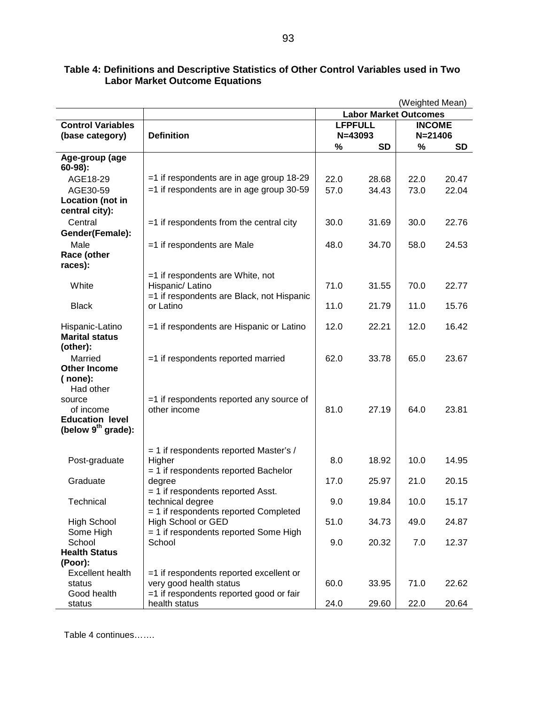|                                                |                                                               | (Weighted Mean)              |           |               |           |
|------------------------------------------------|---------------------------------------------------------------|------------------------------|-----------|---------------|-----------|
|                                                |                                                               | <b>Labor Market Outcomes</b> |           |               |           |
| <b>Control Variables</b>                       |                                                               | <b>LFPFULL</b>               |           | <b>INCOME</b> |           |
| (base category)                                | <b>Definition</b>                                             |                              | N=43093   | $N = 21406$   |           |
|                                                |                                                               | %                            | <b>SD</b> | %             | <b>SD</b> |
| Age-group (age                                 |                                                               |                              |           |               |           |
| $60-98$ ):                                     |                                                               |                              |           |               |           |
| AGE18-29                                       | =1 if respondents are in age group 18-29                      | 22.0                         | 28.68     | 22.0          | 20.47     |
| AGE30-59                                       | $=1$ if respondents are in age group 30-59                    | 57.0                         | 34.43     | 73.0          | 22.04     |
| Location (not in                               |                                                               |                              |           |               |           |
| central city):                                 |                                                               |                              |           |               |           |
| Central                                        | $=$ 1 if respondents from the central city                    | 30.0                         | 31.69     | 30.0          | 22.76     |
| Gender(Female):                                |                                                               |                              |           |               |           |
| Male                                           | =1 if respondents are Male                                    | 48.0                         | 34.70     | 58.0          | 24.53     |
| Race (other                                    |                                                               |                              |           |               |           |
| races):                                        |                                                               |                              |           |               |           |
|                                                | $=1$ if respondents are White, not                            |                              |           |               |           |
| White                                          | Hispanic/ Latino<br>=1 if respondents are Black, not Hispanic | 71.0                         | 31.55     | 70.0          | 22.77     |
| <b>Black</b>                                   | or Latino                                                     | 11.0                         | 21.79     | 11.0          | 15.76     |
|                                                |                                                               |                              |           |               |           |
| Hispanic-Latino                                | =1 if respondents are Hispanic or Latino                      | 12.0                         | 22.21     | 12.0          | 16.42     |
| <b>Marital status</b>                          |                                                               |                              |           |               |           |
| (other):                                       |                                                               |                              |           |               |           |
| Married                                        | =1 if respondents reported married                            | 62.0                         | 33.78     | 65.0          | 23.67     |
| <b>Other Income</b>                            |                                                               |                              |           |               |           |
| ( none):                                       |                                                               |                              |           |               |           |
| Had other                                      |                                                               |                              |           |               |           |
| source                                         | =1 if respondents reported any source of                      |                              |           |               |           |
| of income                                      | other income                                                  | 81.0                         | 27.19     | 64.0          | 23.81     |
| <b>Education level</b><br>(below $9th$ grade): |                                                               |                              |           |               |           |
|                                                |                                                               |                              |           |               |           |
|                                                | $=$ 1 if respondents reported Master's /                      |                              |           |               |           |
| Post-graduate                                  | Higher                                                        | 8.0                          | 18.92     | 10.0          | 14.95     |
|                                                | $=$ 1 if respondents reported Bachelor                        |                              |           |               |           |
| Graduate                                       | degree                                                        | 17.0                         | 25.97     | 21.0          | 20.15     |
|                                                | $=$ 1 if respondents reported Asst.                           |                              |           |               |           |
| Technical                                      | technical degree                                              | 9.0                          | 19.84     | 10.0          | 15.17     |
|                                                | = 1 if respondents reported Completed                         |                              |           |               |           |
| <b>High School</b>                             | High School or GED                                            | 51.0                         | 34.73     | 49.0          | 24.87     |
| Some High                                      | $=$ 1 if respondents reported Some High                       | 9.0                          |           |               |           |
| School<br><b>Health Status</b>                 | School                                                        |                              | 20.32     | 7.0           | 12.37     |
| (Poor):                                        |                                                               |                              |           |               |           |
| <b>Excellent health</b>                        | =1 if respondents reported excellent or                       |                              |           |               |           |
| status                                         | very good health status                                       | 60.0                         | 33.95     | 71.0          | 22.62     |
| Good health                                    | =1 if respondents reported good or fair                       |                              |           |               |           |
| status                                         | health status                                                 | 24.0                         | 29.60     | 22.0          | 20.64     |

### **Table 4: Definitions and Descriptive Statistics of Other Control Variables used in Two Labor Market Outcome Equations**

Table 4 continues…….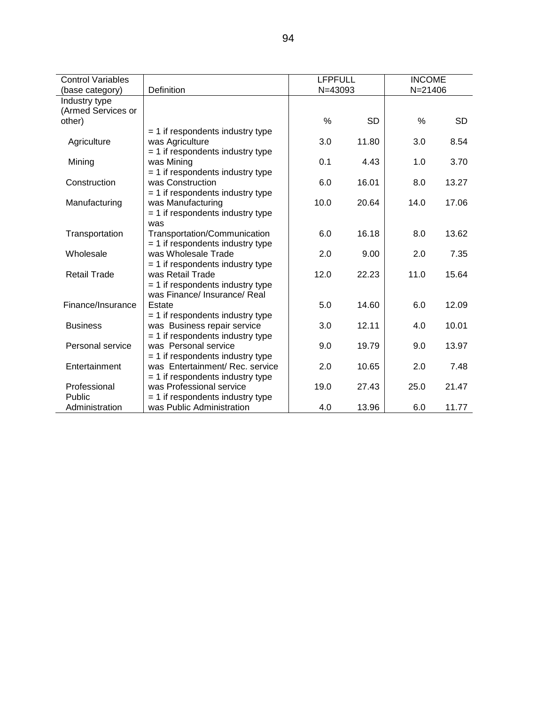| <b>Control Variables</b> |                                    | <b>LFPFULL</b> |           | <b>INCOME</b> |           |
|--------------------------|------------------------------------|----------------|-----------|---------------|-----------|
| (base category)          | Definition                         | N=43093        |           | $N = 21406$   |           |
| Industry type            |                                    |                |           |               |           |
| (Armed Services or       |                                    |                |           |               |           |
| other)                   |                                    | $\frac{0}{0}$  | <b>SD</b> | %             | <b>SD</b> |
|                          | $=$ 1 if respondents industry type |                |           |               |           |
| Agriculture              | was Agriculture                    | 3.0            | 11.80     | 3.0           | 8.54      |
|                          | $= 1$ if respondents industry type |                |           |               |           |
| Mining                   | was Mining                         | 0.1            | 4.43      | 1.0           | 3.70      |
|                          | $= 1$ if respondents industry type |                |           |               |           |
| Construction             | was Construction                   | 6.0            | 16.01     | 8.0           | 13.27     |
|                          | $=$ 1 if respondents industry type |                |           |               |           |
| Manufacturing            | was Manufacturing                  | 10.0           | 20.64     | 14.0          | 17.06     |
|                          | $= 1$ if respondents industry type |                |           |               |           |
|                          | was                                |                |           |               |           |
| Transportation           | Transportation/Communication       | 6.0            | 16.18     | 8.0           | 13.62     |
|                          | $= 1$ if respondents industry type |                |           |               |           |
| Wholesale                | was Wholesale Trade                | 2.0            | 9.00      | 2.0           | 7.35      |
|                          | $=$ 1 if respondents industry type |                |           |               |           |
| <b>Retail Trade</b>      | was Retail Trade                   | 12.0           | 22.23     | 11.0          | 15.64     |
|                          | $= 1$ if respondents industry type |                |           |               |           |
|                          | was Finance/ Insurance/ Real       |                |           |               |           |
| Finance/Insurance        | Estate                             | 5.0            | 14.60     | 6.0           | 12.09     |
|                          | $=$ 1 if respondents industry type |                |           |               |           |
| <b>Business</b>          | was Business repair service        | 3.0            | 12.11     | 4.0           | 10.01     |
|                          | $= 1$ if respondents industry type |                |           |               |           |
| Personal service         | was Personal service               | 9.0            | 19.79     | 9.0           | 13.97     |
|                          | $= 1$ if respondents industry type |                |           |               |           |
| Entertainment            | was Entertainment/ Rec. service    | 2.0            | 10.65     | 2.0           | 7.48      |
|                          | $=$ 1 if respondents industry type |                |           |               |           |
| Professional             | was Professional service           | 19.0           | 27.43     | 25.0          | 21.47     |
| Public                   | $= 1$ if respondents industry type |                |           |               |           |
| Administration           | was Public Administration          | 4.0            | 13.96     | 6.0           | 11.77     |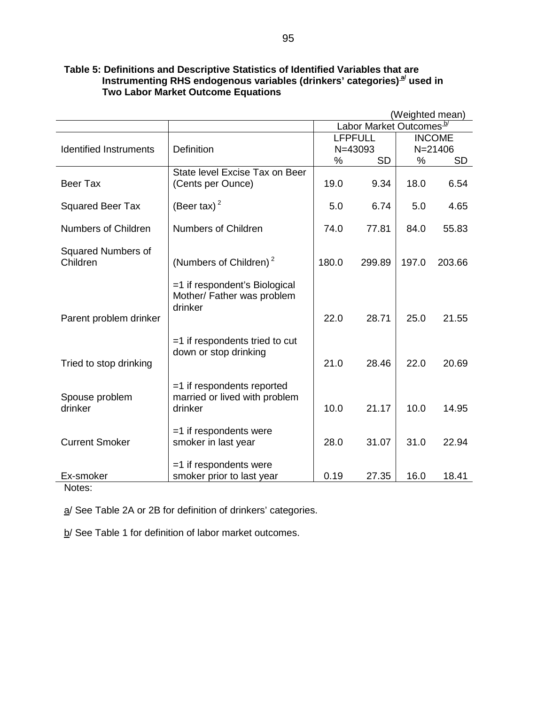|                               |                                                               | (Weighted mean)                     |           |               |             |
|-------------------------------|---------------------------------------------------------------|-------------------------------------|-----------|---------------|-------------|
|                               |                                                               | Labor Market Outcomes <sup>b/</sup> |           |               |             |
|                               |                                                               | <b>LFPFULL</b>                      |           | <b>INCOME</b> |             |
| <b>Identified Instruments</b> | <b>Definition</b>                                             |                                     | N=43093   |               | $N = 21406$ |
|                               |                                                               | %                                   | <b>SD</b> | %             | <b>SD</b>   |
| <b>Beer Tax</b>               | State level Excise Tax on Beer<br>(Cents per Ounce)           | 19.0                                | 9.34      | 18.0          | 6.54        |
| <b>Squared Beer Tax</b>       | (Beer tax) $2$                                                | 5.0                                 | 6.74      | 5.0           | 4.65        |
| <b>Numbers of Children</b>    | <b>Numbers of Children</b>                                    | 74.0                                | 77.81     | 84.0          | 55.83       |
| <b>Squared Numbers of</b>     |                                                               |                                     |           |               |             |
| Children                      | (Numbers of Children) $2$                                     | 180.0                               | 299.89    | 197.0         | 203.66      |
|                               | =1 if respondent's Biological<br>Mother/ Father was problem   |                                     |           |               |             |
| Parent problem drinker        | drinker                                                       | 22.0                                | 28.71     | 25.0          | 21.55       |
|                               | $=$ 1 if respondents tried to cut<br>down or stop drinking    |                                     |           |               |             |
| Tried to stop drinking        |                                                               | 21.0                                | 28.46     | 22.0          | 20.69       |
| Spouse problem                | $=1$ if respondents reported<br>married or lived with problem |                                     |           |               |             |
| drinker                       | drinker                                                       | 10.0                                | 21.17     | 10.0          | 14.95       |
| <b>Current Smoker</b>         | $=1$ if respondents were<br>smoker in last year               | 28.0                                | 31.07     | 31.0          | 22.94       |
| Ex-smoker<br>$N = 1$          | $=1$ if respondents were<br>smoker prior to last year         | 0.19                                | 27.35     | 16.0          | 18.41       |

# **Table 5: Definitions and Descriptive Statistics of Identified Variables that are**  Instrumenting RHS endogenous variables (drinkers' categories)<sup>a/</sup> used in  **Two Labor Market Outcome Equations**

Notes:

a/ See Table 2A or 2B for definition of drinkers' categories.

b/ See Table 1 for definition of labor market outcomes.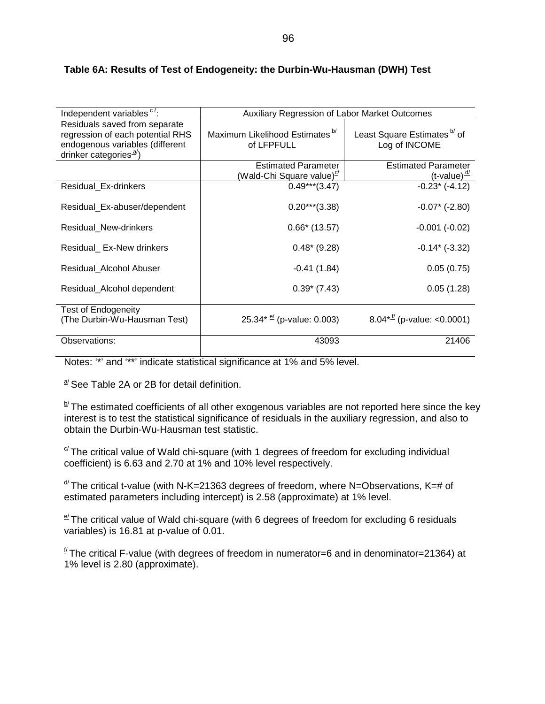| Independent variables <sup>c/</sup> :          | Auxiliary Regression of Labor Market Outcomes |                                              |
|------------------------------------------------|-----------------------------------------------|----------------------------------------------|
| Residuals saved from separate                  |                                               |                                              |
| regression of each potential RHS               | Maximum Likelihood Estimates <sup>b/</sup>    | Least Square Estimates <sup>b/</sup> of      |
| endogenous variables (different                | of LFPFULL                                    | Log of INCOME                                |
| drinker categories <sup><math>a</math></sup> ) |                                               |                                              |
|                                                | <b>Estimated Parameter</b>                    | <b>Estimated Parameter</b>                   |
|                                                | (Wald-Chi Square value) <sup>©/</sup>         | $(t$ -value) $\frac{d}{dt}$                  |
| Residual_Ex-drinkers                           | $0.49***$ (3.47)                              | $-0.23$ * $(-4.12)$                          |
|                                                |                                               |                                              |
| Residual_Ex-abuser/dependent                   | $0.20***$ (3.38)                              | $-0.07$ * ( $-2.80$ )                        |
|                                                |                                               |                                              |
| Residual_New-drinkers                          | $0.66*$ (13.57)                               | $-0.001(-0.02)$                              |
| Residual Ex-New drinkers                       | $0.48*(9.28)$                                 | $-0.14$ ( $-3.32$ )                          |
|                                                |                                               |                                              |
| Residual_Alcohol Abuser                        | $-0.41(1.84)$                                 | 0.05(0.75)                                   |
|                                                |                                               |                                              |
| Residual_Alcohol dependent                     | $0.39* (7.43)$                                | 0.05(1.28)                                   |
|                                                |                                               |                                              |
| <b>Test of Endogeneity</b>                     |                                               |                                              |
| (The Durbin-Wu-Hausman Test)                   | $25.34* \frac{e}{2}$ (p-value: 0.003)         | $8.04 \times \frac{1}{1}$ (p-value: <0.0001) |
|                                                |                                               |                                              |
| Observations:                                  | 43093                                         | 21406                                        |
|                                                |                                               |                                              |

#### **Table 6A: Results of Test of Endogeneity: the Durbin-Wu-Hausman (DWH) Test**

Notes: '\*' and '\*\*' indicate statistical significance at 1% and 5% level.

 $a/2$  See Table 2A or 2B for detail definition.

 $\mathbb{D}$  The estimated coefficients of all other exogenous variables are not reported here since the key interest is to test the statistical significance of residuals in the auxiliary regression, and also to obtain the Durbin-Wu-Hausman test statistic.

 $\degree$  The critical value of Wald chi-square (with 1 degrees of freedom for excluding individual coefficient) is 6.63 and 2.70 at 1% and 10% level respectively.

 $d$  The critical t-value (with N-K=21363 degrees of freedom, where N=Observations, K=# of estimated parameters including intercept) is 2.58 (approximate) at 1% level.

 $\epsilon$  The critical value of Wald chi-square (with 6 degrees of freedom for excluding 6 residuals variables) is 16.81 at p-value of 0.01.

 $\frac{f}{f}$  The critical F-value (with degrees of freedom in numerator=6 and in denominator=21364) at 1% level is 2.80 (approximate).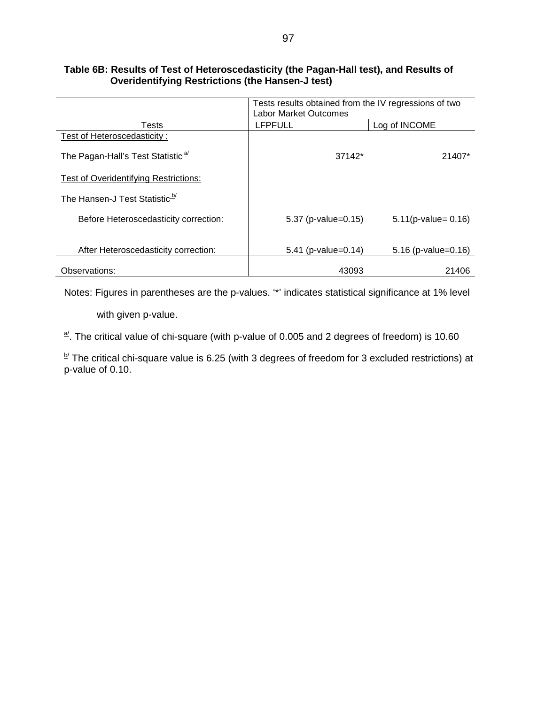#### **Table 6B: Results of Test of Heteroscedasticity (the Pagan-Hall test), and Results of Overidentifying Restrictions (the Hansen-J test)**

|                                               | Tests results obtained from the IV regressions of two<br><b>Labor Market Outcomes</b> |                        |  |  |
|-----------------------------------------------|---------------------------------------------------------------------------------------|------------------------|--|--|
| Tests                                         | <b>LFPFULL</b>                                                                        | Log of INCOME          |  |  |
| Test of Heteroscedasticity:                   |                                                                                       |                        |  |  |
| The Pagan-Hall's Test Statistic <sup>a/</sup> | 37142*                                                                                | 21407*                 |  |  |
| Test of Overidentifying Restrictions:         |                                                                                       |                        |  |  |
| The Hansen-J Test Statistic <sup>b/</sup>     |                                                                                       |                        |  |  |
| Before Heteroscedasticity correction:         | 5.37 (p-value=0.15)                                                                   | $5.11(p-value = 0.16)$ |  |  |
|                                               |                                                                                       |                        |  |  |
| After Heteroscedasticity correction:          | 5.41 (p-value=0.14)                                                                   | $5.16$ (p-value=0.16)  |  |  |
| Observations:                                 | 43093                                                                                 | 21406                  |  |  |

Notes: Figures in parentheses are the p-values. '\*' indicates statistical significance at 1% level

with given p-value.

 $\frac{a}{b}$ . The critical value of chi-square (with p-value of 0.005 and 2 degrees of freedom) is 10.60

 $\frac{b}{r}$  The critical chi-square value is 6.25 (with 3 degrees of freedom for 3 excluded restrictions) at p-value of 0.10.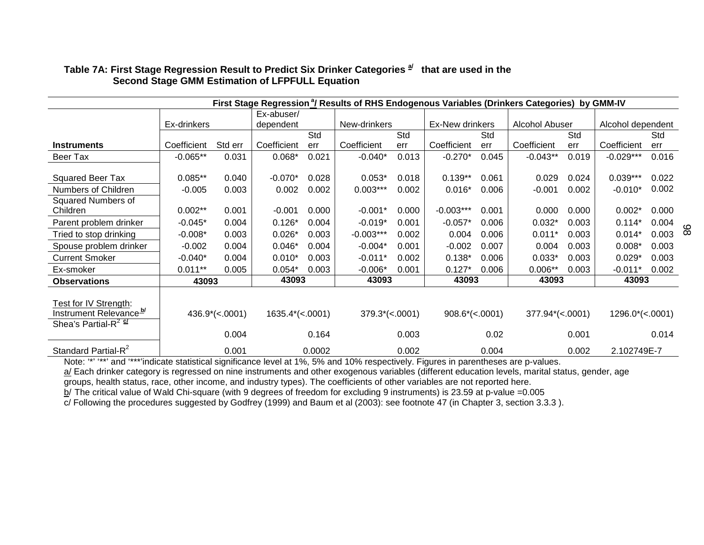| First Stage Regression <sup>a</sup> / Results of RHS Endogenous Variables (Drinkers Categories) by GMM-IV |             |                   |                           |        |                          |       |                   |       |                           |       |                           |       |
|-----------------------------------------------------------------------------------------------------------|-------------|-------------------|---------------------------|--------|--------------------------|-------|-------------------|-------|---------------------------|-------|---------------------------|-------|
|                                                                                                           |             |                   | Ex-abuser/                |        |                          |       |                   |       |                           |       |                           |       |
|                                                                                                           | Ex-drinkers |                   | dependent                 |        | New-drinkers             |       | Ex-New drinkers   |       | Alcohol Abuser            |       | Alcohol dependent         |       |
|                                                                                                           |             |                   |                           | Std    |                          | Std   |                   | Std   |                           | Std   |                           | Std   |
| <b>Instruments</b>                                                                                        | Coefficient | Std err           | Coefficient               | err    | Coefficient              | err   | Coefficient       | err   | Coefficient               | err   | Coefficient               | err   |
| Beer Tax                                                                                                  | $-0.065**$  | 0.031             | $0.068*$                  | 0.021  | $-0.040*$                | 0.013 | $-0.270*$         | 0.045 | $-0.043**$                | 0.019 | $-0.029***$               | 0.016 |
|                                                                                                           |             |                   |                           |        |                          |       |                   |       |                           |       |                           |       |
| Squared Beer Tax                                                                                          | $0.085**$   | 0.040             | $-0.070*$                 | 0.028  | $0.053*$                 | 0.018 | $0.139**$         | 0.061 | 0.029                     | 0.024 | $0.039***$                | 0.022 |
| Numbers of Children                                                                                       | $-0.005$    | 0.003             | 0.002                     | 0.002  | $0.003***$               | 0.002 | $0.016*$          | 0.006 | $-0.001$                  | 0.002 | $-0.010*$                 | 0.002 |
| Squared Numbers of                                                                                        |             |                   |                           |        |                          |       |                   |       |                           |       |                           |       |
| Children                                                                                                  | $0.002**$   | 0.001             | $-0.001$                  | 0.000  | $-0.001*$                | 0.000 | $-0.003***$       | 0.001 | 0.000                     | 0.000 | $0.002*$                  | 0.000 |
| Parent problem drinker                                                                                    | $-0.045*$   | 0.004             | $0.126*$                  | 0.004  | $-0.019*$                | 0.001 | $-0.057*$         | 0.006 | $0.032*$                  | 0.003 | $0.114*$                  | 0.004 |
| Tried to stop drinking                                                                                    | $-0.008*$   | 0.003             | $0.026*$                  | 0.003  | $-0.003***$              | 0.002 | 0.004             | 0.006 | $0.011*$                  | 0.003 | $0.014*$                  | 0.003 |
| Spouse problem drinker                                                                                    | $-0.002$    | 0.004             | $0.046*$                  | 0.004  | $-0.004*$                | 0.001 | $-0.002$          | 0.007 | 0.004                     | 0.003 | $0.008*$                  | 0.003 |
| <b>Current Smoker</b>                                                                                     | $-0.040*$   | 0.004             | $0.010*$                  | 0.003  | $-0.011*$                | 0.002 | $0.138*$          | 0.006 | $0.033*$                  | 0.003 | $0.029*$                  | 0.003 |
| Ex-smoker                                                                                                 | $0.011**$   | 0.005             | $0.054*$                  | 0.003  | $-0.006*$                | 0.001 | $0.127*$          | 0.006 | $0.006**$                 | 0.003 | $-0.011*$                 | 0.002 |
| <b>Observations</b>                                                                                       | 43093       |                   | 43093                     |        | 43093                    |       | 43093             |       | 43093                     |       | 43093                     |       |
|                                                                                                           |             |                   |                           |        |                          |       |                   |       |                           |       |                           |       |
| Test for IV Strength:                                                                                     |             |                   |                           |        |                          |       |                   |       |                           |       |                           |       |
| Instrument Relevance <sup>b/</sup>                                                                        |             | $436.9^*(<.0001)$ | $1635.4^{\ast} (< .0001)$ |        | $379.3^{\ast} (< .0001)$ |       | $908.6^*(<.0001)$ |       | $377.94^{\ast} (< .0001)$ |       | $1296.0^{\ast} (< .0001)$ |       |
| Shea's Partial-R <sup>2 el</sup>                                                                          |             |                   |                           |        |                          |       |                   |       |                           |       |                           |       |
|                                                                                                           |             | 0.004             |                           | 0.164  |                          | 0.003 |                   | 0.02  |                           | 0.001 |                           | 0.014 |
| Standard Partial-R <sup>2</sup>                                                                           |             | 0.001             |                           | 0.0002 |                          | 0.002 |                   | 0.004 |                           | 0.002 | 2.102749E-7               |       |

98

# Table 7A: First Stage Regression Result to Predict Six Drinker Categories<sup> a/</sup> that are used in the  **Second Stage GMM Estimation of LFPFULL Equation**

Note: '\*' '\*\*' and '\*\*\*'indicate statistical significance level at 1%, 5% and 10% respectively. Figures in parentheses are p-values.

a/ Each drinker category is regressed on nine instruments and other exogenous variables (different education levels, marital status, gender, age

groups, health status, race, other income, and industry types). The coefficients of other variables are not reported here.

b/ The critical value of Wald Chi-square (with 9 degrees of freedom for excluding 9 instruments) is 23.59 at p-value =0.005

c/ Following the procedures suggested by Godfrey (1999) and Baum et al (2003): see footnote 47 (in Chapter 3, section 3.3.3 ).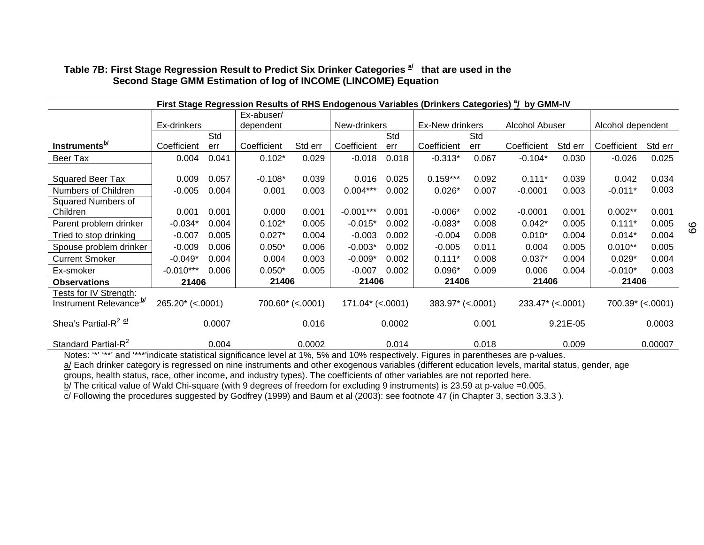| First Stage Regression Results of RHS Endogenous Variables (Drinkers Categories) <sup>a</sup> / by GMM-IV |                   |        |             |                     |                    |              |                     |                 |                     |                |                     |         |
|-----------------------------------------------------------------------------------------------------------|-------------------|--------|-------------|---------------------|--------------------|--------------|---------------------|-----------------|---------------------|----------------|---------------------|---------|
|                                                                                                           |                   |        | Ex-abuser/  |                     |                    |              |                     |                 |                     |                |                     |         |
|                                                                                                           | Ex-drinkers       |        | dependent   |                     |                    | New-drinkers |                     | Ex-New drinkers |                     | Alcohol Abuser | Alcohol dependent   |         |
|                                                                                                           |                   | Std    |             |                     |                    | Std          |                     | Std             |                     |                |                     |         |
| Instruments <sup>b/</sup>                                                                                 | Coefficient       | err    | Coefficient | Std err             | Coefficient        | err          | Coefficient         | err             | Coefficient         | Std err        | Coefficient         | Std err |
| Beer Tax                                                                                                  | 0.004             | 0.041  | $0.102*$    | 0.029               | $-0.018$           | 0.018        | $-0.313*$           | 0.067           | $-0.104*$           | 0.030          | $-0.026$            | 0.025   |
|                                                                                                           |                   |        |             |                     |                    |              |                     |                 |                     |                |                     |         |
| <b>Squared Beer Tax</b>                                                                                   | 0.009             | 0.057  | $-0.108*$   | 0.039               | 0.016              | 0.025        | $0.159***$          | 0.092           | $0.111*$            | 0.039          | 0.042               | 0.034   |
| Numbers of Children                                                                                       | $-0.005$          | 0.004  | 0.001       | 0.003               | $0.004***$         | 0.002        | $0.026*$            | 0.007           | $-0.0001$           | 0.003          | $-0.011*$           | 0.003   |
| Squared Numbers of                                                                                        |                   |        |             |                     |                    |              |                     |                 |                     |                |                     |         |
| Children                                                                                                  | 0.001             | 0.001  | 0.000       | 0.001               | $-0.001***$        | 0.001        | $-0.006*$           | 0.002           | $-0.0001$           | 0.001          | $0.002**$           | 0.001   |
| Parent problem drinker                                                                                    | $-0.034*$         | 0.004  | $0.102*$    | 0.005               | $-0.015*$          | 0.002        | $-0.083*$           | 0.008           | $0.042*$            | 0.005          | $0.111*$            | 0.005   |
| Tried to stop drinking                                                                                    | $-0.007$          | 0.005  | $0.027*$    | 0.004               | $-0.003$           | 0.002        | $-0.004$            | 0.008           | $0.010*$            | 0.004          | $0.014*$            | 0.004   |
| Spouse problem drinker                                                                                    | $-0.009$          | 0.006  | $0.050*$    | 0.006               | $-0.003*$          | 0.002        | $-0.005$            | 0.011           | 0.004               | 0.005          | $0.010**$           | 0.005   |
| <b>Current Smoker</b>                                                                                     | $-0.049*$         | 0.004  | 0.004       | 0.003               | $-0.009*$          | 0.002        | $0.111*$            | 0.008           | $0.037*$            | 0.004          | $0.029*$            | 0.004   |
| Ex-smoker                                                                                                 | $-0.010***$       | 0.006  | $0.050*$    | 0.005               | $-0.007$           | 0.002        | $0.096*$            | 0.009           | 0.006               | 0.004          | $-0.010*$           | 0.003   |
| <b>Observations</b>                                                                                       | 21406             |        | 21406       |                     | 21406              |              | 21406               |                 | 21406               |                | 21406               |         |
| Tests for IV Strength:                                                                                    |                   |        |             |                     |                    |              |                     |                 |                     |                |                     |         |
| Instrument Relevance <sup>b/</sup>                                                                        | $265.20*(<.0001)$ |        |             | $700.60^*$ (<.0001) | $171.04*$ (<.0001) |              | $383.97^*$ (<.0001) |                 | $233.47^*$ (<.0001) |                | $700.39^*$ (<.0001) |         |
| Shea's Partial-R <sup>2 <math>\frac{\alpha}{2}</math></sup>                                               |                   | 0.0007 |             | 0.016               |                    | 0.0002       |                     | 0.001           |                     | $9.21E-05$     |                     | 0.0003  |
| Standard Partial-R <sup>2</sup>                                                                           |                   | 0.004  |             | 0.0002              |                    | 0.014        |                     | 0.018           |                     | 0.009          |                     | 0.00007 |

99

### Table 7B: First Stage Regression Result to Predict Six Drinker Categories  $\frac{a}{2}$  that are used in the  **Second Stage GMM Estimation of log of INCOME (LINCOME) Equation**

Notes: '\*' '\*\*' and '\*\*\*'indicate statistical significance level at 1%, 5% and 10% respectively. Figures in parentheses are p-values.

a/ Each drinker category is regressed on nine instruments and other exogenous variables (different education levels, marital status, gender, age

groups, health status, race, other income, and industry types). The coefficients of other variables are not reported here.

b/ The critical value of Wald Chi-square (with 9 degrees of freedom for excluding 9 instruments) is 23.59 at p-value =0.005.

c/ Following the procedures suggested by Godfrey (1999) and Baum et al (2003): see footnote 47 (in Chapter 3, section 3.3.3 ).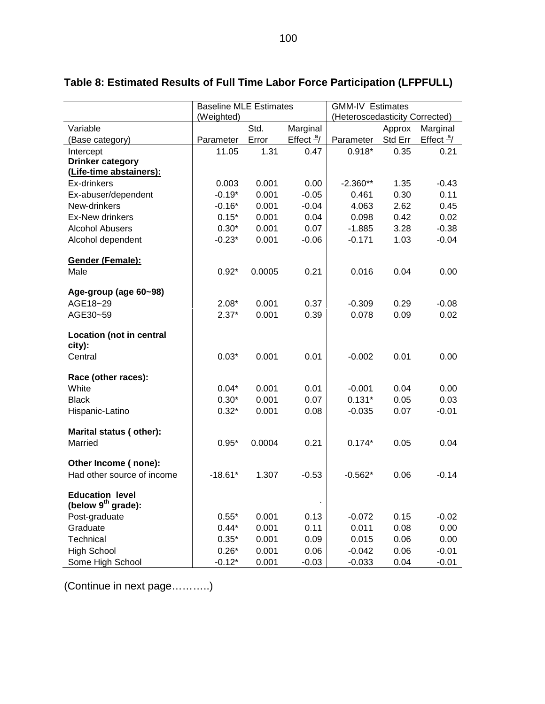| (Weighted)<br>(Heteroscedasticity Corrected)<br>Variable<br>Marginal<br>Std.<br>Approx<br>Marginal<br>Effect $\frac{a}{ }$<br>Std Err<br>Effect $\frac{a}{ }$<br>Error<br>(Base category)<br>Parameter<br>Parameter<br>11.05<br>$0.918*$<br>0.35<br>1.31<br>0.47<br>0.21<br>Intercept<br><b>Drinker category</b><br>(Life-time abstainers):<br>0.003<br>0.001<br>0.00<br>1.35<br>Ex-drinkers<br>$-2.360**$<br>$-0.43$<br>$-0.19*$<br>0.001<br>$-0.05$<br>0.30<br>0.11<br>Ex-abuser/dependent<br>0.461<br>New-drinkers<br>$-0.16*$<br>0.001<br>$-0.04$<br>2.62<br>0.45<br>4.063<br>Ex-New drinkers<br>0.001<br>0.02<br>$0.15*$<br>0.04<br>0.098<br>0.42<br>$0.30*$<br>0.001<br>0.07<br>3.28<br>$-0.38$<br><b>Alcohol Abusers</b><br>$-1.885$<br>$-0.23*$<br>0.001<br>Alcohol dependent<br>$-0.06$<br>$-0.171$<br>1.03<br>$-0.04$ | <b>Baseline MLE Estimates</b> |  | <b>GMM-IV Estimates</b> |  |  |
|---------------------------------------------------------------------------------------------------------------------------------------------------------------------------------------------------------------------------------------------------------------------------------------------------------------------------------------------------------------------------------------------------------------------------------------------------------------------------------------------------------------------------------------------------------------------------------------------------------------------------------------------------------------------------------------------------------------------------------------------------------------------------------------------------------------------------------|-------------------------------|--|-------------------------|--|--|
|                                                                                                                                                                                                                                                                                                                                                                                                                                                                                                                                                                                                                                                                                                                                                                                                                                 |                               |  |                         |  |  |
|                                                                                                                                                                                                                                                                                                                                                                                                                                                                                                                                                                                                                                                                                                                                                                                                                                 |                               |  |                         |  |  |
|                                                                                                                                                                                                                                                                                                                                                                                                                                                                                                                                                                                                                                                                                                                                                                                                                                 |                               |  |                         |  |  |
|                                                                                                                                                                                                                                                                                                                                                                                                                                                                                                                                                                                                                                                                                                                                                                                                                                 |                               |  |                         |  |  |
|                                                                                                                                                                                                                                                                                                                                                                                                                                                                                                                                                                                                                                                                                                                                                                                                                                 |                               |  |                         |  |  |
|                                                                                                                                                                                                                                                                                                                                                                                                                                                                                                                                                                                                                                                                                                                                                                                                                                 |                               |  |                         |  |  |
|                                                                                                                                                                                                                                                                                                                                                                                                                                                                                                                                                                                                                                                                                                                                                                                                                                 |                               |  |                         |  |  |
|                                                                                                                                                                                                                                                                                                                                                                                                                                                                                                                                                                                                                                                                                                                                                                                                                                 |                               |  |                         |  |  |
|                                                                                                                                                                                                                                                                                                                                                                                                                                                                                                                                                                                                                                                                                                                                                                                                                                 |                               |  |                         |  |  |
|                                                                                                                                                                                                                                                                                                                                                                                                                                                                                                                                                                                                                                                                                                                                                                                                                                 |                               |  |                         |  |  |
|                                                                                                                                                                                                                                                                                                                                                                                                                                                                                                                                                                                                                                                                                                                                                                                                                                 |                               |  |                         |  |  |
|                                                                                                                                                                                                                                                                                                                                                                                                                                                                                                                                                                                                                                                                                                                                                                                                                                 |                               |  |                         |  |  |
|                                                                                                                                                                                                                                                                                                                                                                                                                                                                                                                                                                                                                                                                                                                                                                                                                                 |                               |  |                         |  |  |
| Gender (Female):                                                                                                                                                                                                                                                                                                                                                                                                                                                                                                                                                                                                                                                                                                                                                                                                                |                               |  |                         |  |  |
| $0.92*$<br>0.21<br>Male<br>0.0005<br>0.016<br>0.04<br>0.00                                                                                                                                                                                                                                                                                                                                                                                                                                                                                                                                                                                                                                                                                                                                                                      |                               |  |                         |  |  |
|                                                                                                                                                                                                                                                                                                                                                                                                                                                                                                                                                                                                                                                                                                                                                                                                                                 |                               |  |                         |  |  |
| Age-group (age 60~98)                                                                                                                                                                                                                                                                                                                                                                                                                                                                                                                                                                                                                                                                                                                                                                                                           |                               |  |                         |  |  |
| AGE18~29<br>$2.08*$<br>0.001<br>0.37<br>0.29<br>$-0.08$<br>$-0.309$                                                                                                                                                                                                                                                                                                                                                                                                                                                                                                                                                                                                                                                                                                                                                             |                               |  |                         |  |  |
| AGE30~59<br>$2.37*$<br>0.001<br>0.39<br>0.078<br>0.09<br>0.02                                                                                                                                                                                                                                                                                                                                                                                                                                                                                                                                                                                                                                                                                                                                                                   |                               |  |                         |  |  |
| <b>Location (not in central</b>                                                                                                                                                                                                                                                                                                                                                                                                                                                                                                                                                                                                                                                                                                                                                                                                 |                               |  |                         |  |  |
| city):                                                                                                                                                                                                                                                                                                                                                                                                                                                                                                                                                                                                                                                                                                                                                                                                                          |                               |  |                         |  |  |
| $0.03*$<br>0.001<br>0.01<br>0.01<br>Central<br>$-0.002$<br>0.00                                                                                                                                                                                                                                                                                                                                                                                                                                                                                                                                                                                                                                                                                                                                                                 |                               |  |                         |  |  |
|                                                                                                                                                                                                                                                                                                                                                                                                                                                                                                                                                                                                                                                                                                                                                                                                                                 |                               |  |                         |  |  |
| Race (other races):                                                                                                                                                                                                                                                                                                                                                                                                                                                                                                                                                                                                                                                                                                                                                                                                             |                               |  |                         |  |  |
| White<br>$0.04*$<br>0.001<br>0.01<br>0.00<br>$-0.001$<br>0.04                                                                                                                                                                                                                                                                                                                                                                                                                                                                                                                                                                                                                                                                                                                                                                   |                               |  |                         |  |  |
| $0.30*$<br>0.001<br>0.07<br>$0.131*$<br>0.05<br>0.03<br><b>Black</b>                                                                                                                                                                                                                                                                                                                                                                                                                                                                                                                                                                                                                                                                                                                                                            |                               |  |                         |  |  |
| $0.32*$<br>0.001<br>0.08<br>$-0.035$<br>0.07<br>$-0.01$<br>Hispanic-Latino                                                                                                                                                                                                                                                                                                                                                                                                                                                                                                                                                                                                                                                                                                                                                      |                               |  |                         |  |  |
|                                                                                                                                                                                                                                                                                                                                                                                                                                                                                                                                                                                                                                                                                                                                                                                                                                 |                               |  |                         |  |  |
| Marital status (other):                                                                                                                                                                                                                                                                                                                                                                                                                                                                                                                                                                                                                                                                                                                                                                                                         |                               |  |                         |  |  |
| Married<br>$0.95*$<br>0.21<br>0.0004<br>$0.174*$<br>0.05<br>0.04                                                                                                                                                                                                                                                                                                                                                                                                                                                                                                                                                                                                                                                                                                                                                                |                               |  |                         |  |  |
|                                                                                                                                                                                                                                                                                                                                                                                                                                                                                                                                                                                                                                                                                                                                                                                                                                 |                               |  |                         |  |  |
| Other Income (none):                                                                                                                                                                                                                                                                                                                                                                                                                                                                                                                                                                                                                                                                                                                                                                                                            |                               |  |                         |  |  |
| Had other source of income<br>1.307<br>$-18.61*$<br>$-0.53$<br>$-0.562*$<br>0.06<br>$-0.14$                                                                                                                                                                                                                                                                                                                                                                                                                                                                                                                                                                                                                                                                                                                                     |                               |  |                         |  |  |
| <b>Education level</b>                                                                                                                                                                                                                                                                                                                                                                                                                                                                                                                                                                                                                                                                                                                                                                                                          |                               |  |                         |  |  |
| (below $9th$ grade):                                                                                                                                                                                                                                                                                                                                                                                                                                                                                                                                                                                                                                                                                                                                                                                                            |                               |  |                         |  |  |
| Post-graduate<br>0.001<br>0.13<br>0.15<br>$0.55*$<br>$-0.072$<br>$-0.02$                                                                                                                                                                                                                                                                                                                                                                                                                                                                                                                                                                                                                                                                                                                                                        |                               |  |                         |  |  |
| Graduate<br>$0.44*$<br>0.001<br>0.11<br>0.011<br>0.08<br>0.00                                                                                                                                                                                                                                                                                                                                                                                                                                                                                                                                                                                                                                                                                                                                                                   |                               |  |                         |  |  |
| Technical<br>0.06<br>0.00<br>$0.35*$<br>0.001<br>0.09<br>0.015                                                                                                                                                                                                                                                                                                                                                                                                                                                                                                                                                                                                                                                                                                                                                                  |                               |  |                         |  |  |
| <b>High School</b><br>$0.26*$<br>0.06<br>$-0.01$<br>0.001<br>0.06<br>$-0.042$                                                                                                                                                                                                                                                                                                                                                                                                                                                                                                                                                                                                                                                                                                                                                   |                               |  |                         |  |  |
| Some High School<br>$-0.12*$<br>0.001<br>0.04<br>$-0.03$<br>$-0.033$<br>$-0.01$                                                                                                                                                                                                                                                                                                                                                                                                                                                                                                                                                                                                                                                                                                                                                 |                               |  |                         |  |  |

# **Table 8: Estimated Results of Full Time Labor Force Participation (LFPFULL)**

(Continue in next page………..)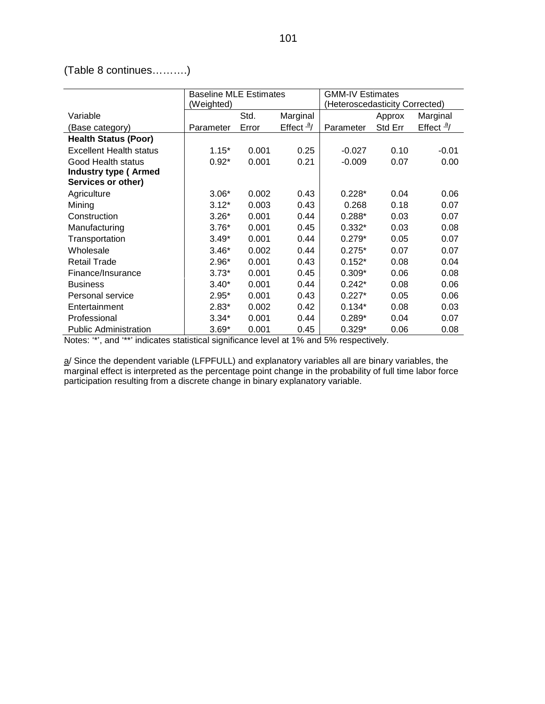(Table 8 continues……….)

|                                | <b>Baseline MLE Estimates</b> |       |                      | <b>GMM-IV Estimates</b>        |         |                      |
|--------------------------------|-------------------------------|-------|----------------------|--------------------------------|---------|----------------------|
|                                | (Weighted)                    |       |                      | (Heteroscedasticity Corrected) |         |                      |
| Variable                       |                               | Std.  | Marginal             |                                | Approx  | Marginal             |
| (Base category)                | Parameter                     | Error | Effect $\frac{a}{ }$ | Parameter                      | Std Err | Effect $\frac{a}{ }$ |
| <b>Health Status (Poor)</b>    |                               |       |                      |                                |         |                      |
| <b>Excellent Health status</b> | $1.15*$                       | 0.001 | 0.25                 | $-0.027$                       | 0.10    | $-0.01$              |
| Good Health status             | $0.92*$                       | 0.001 | 0.21                 | $-0.009$                       | 0.07    | 0.00                 |
| <b>Industry type (Armed</b>    |                               |       |                      |                                |         |                      |
| Services or other)             |                               |       |                      |                                |         |                      |
| Agriculture                    | $3.06*$                       | 0.002 | 0.43                 | $0.228*$                       | 0.04    | 0.06                 |
| Mining                         | $3.12*$                       | 0.003 | 0.43                 | 0.268                          | 0.18    | 0.07                 |
| Construction                   | $3.26*$                       | 0.001 | 0.44                 | $0.288*$                       | 0.03    | 0.07                 |
| Manufacturing                  | $3.76*$                       | 0.001 | 0.45                 | $0.332*$                       | 0.03    | 0.08                 |
| Transportation                 | $3.49*$                       | 0.001 | 0.44                 | $0.279*$                       | 0.05    | 0.07                 |
| Wholesale                      | $3.46*$                       | 0.002 | 0.44                 | $0.275*$                       | 0.07    | 0.07                 |
| <b>Retail Trade</b>            | $2.96*$                       | 0.001 | 0.43                 | $0.152*$                       | 0.08    | 0.04                 |
| Finance/Insurance              | $3.73*$                       | 0.001 | 0.45                 | $0.309*$                       | 0.06    | 0.08                 |
| <b>Business</b>                | $3.40*$                       | 0.001 | 0.44                 | $0.242*$                       | 0.08    | 0.06                 |
| Personal service               | $2.95*$                       | 0.001 | 0.43                 | $0.227*$                       | 0.05    | 0.06                 |
| Entertainment                  | $2.83*$                       | 0.002 | 0.42                 | $0.134*$                       | 0.08    | 0.03                 |
| Professional                   | $3.34*$                       | 0.001 | 0.44                 | $0.289*$                       | 0.04    | 0.07                 |
| <b>Public Administration</b>   | $3.69*$                       | 0.001 | 0.45                 | $0.329*$                       | 0.06    | 0.08                 |

Notes: '\*', and '\*\*' indicates statistical significance level at 1% and 5% respectively.

a/ Since the dependent variable (LFPFULL) and explanatory variables all are binary variables, the marginal effect is interpreted as the percentage point change in the probability of full time labor force participation resulting from a discrete change in binary explanatory variable.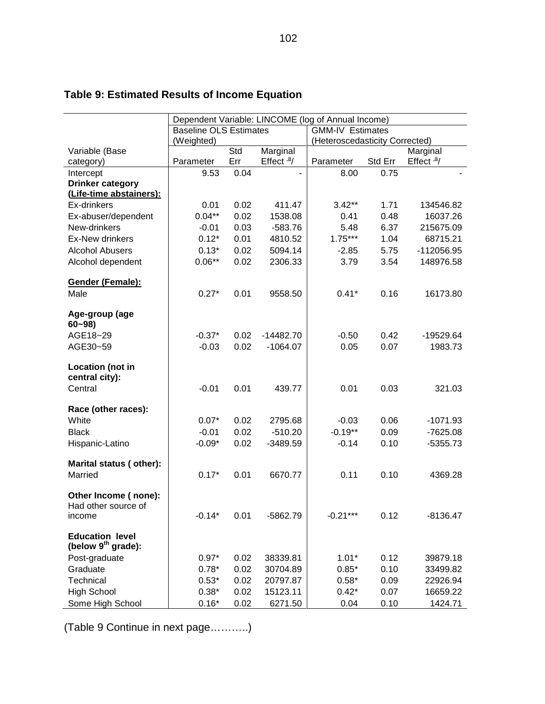|                         | Dependent Variable: LINCOME (log of Annual Income) |      |                             |                                |         |                             |
|-------------------------|----------------------------------------------------|------|-----------------------------|--------------------------------|---------|-----------------------------|
|                         | <b>Baseline OLS Estimates</b>                      |      |                             | <b>GMM-IV Estimates</b>        |         |                             |
|                         | (Weighted)                                         |      |                             | (Heteroscedasticity Corrected) |         |                             |
| Variable (Base          |                                                    | Std  | Marginal                    |                                |         | Marginal                    |
| category)               | Parameter                                          | Err  | Effect $\frac{a}{\sqrt{a}}$ | Parameter                      | Std Err | Effect $\frac{a}{\sqrt{a}}$ |
| Intercept               | 9.53                                               | 0.04 |                             | 8.00                           | 0.75    |                             |
| <b>Drinker category</b> |                                                    |      |                             |                                |         |                             |
| (Life-time abstainers): |                                                    |      |                             |                                |         |                             |
| Ex-drinkers             | 0.01                                               | 0.02 | 411.47                      | $3.42**$                       | 1.71    | 134546.82                   |
| Ex-abuser/dependent     | $0.04***$                                          | 0.02 | 1538.08                     | 0.41<br>5.48                   | 0.48    | 16037.26                    |
| New-drinkers            | $-0.01$                                            | 0.03 | $-583.76$                   |                                | 6.37    | 215675.09                   |
| <b>Ex-New drinkers</b>  | $0.12*$                                            | 0.01 | 4810.52                     | $1.75***$                      | 1.04    | 68715.21                    |
| <b>Alcohol Abusers</b>  | $0.13*$                                            | 0.02 | 5094.14                     | $-2.85$                        | 5.75    | -112056.95                  |
| Alcohol dependent       | $0.06***$                                          | 0.02 | 2306.33                     | 3.79                           | 3.54    | 148976.58                   |
| Gender (Female):        |                                                    |      |                             |                                |         |                             |
| Male                    | $0.27*$                                            | 0.01 | 9558.50                     | $0.41*$                        | 0.16    | 16173.80                    |
|                         |                                                    |      |                             |                                |         |                             |
| Age-group (age          |                                                    |      |                             |                                |         |                             |
| $60 - 98$               |                                                    |      |                             |                                |         |                             |
| AGE18~29                | $-0.37*$                                           | 0.02 | $-14482.70$                 | $-0.50$                        | 0.42    | -19529.64                   |
| AGE30~59                | $-0.03$                                            | 0.02 | $-1064.07$                  | 0.05                           | 0.07    | 1983.73                     |
|                         |                                                    |      |                             |                                |         |                             |
| Location (not in        |                                                    |      |                             |                                |         |                             |
| central city):          |                                                    |      |                             |                                |         |                             |
| Central                 | $-0.01$                                            | 0.01 | 439.77                      | 0.01                           | 0.03    | 321.03                      |
|                         |                                                    |      |                             |                                |         |                             |
| Race (other races):     | $0.07*$                                            |      |                             |                                | 0.06    |                             |
| White                   |                                                    | 0.02 | 2795.68                     | $-0.03$                        |         | $-1071.93$                  |
| <b>Black</b>            | $-0.01$                                            | 0.02 | $-510.20$                   | $-0.19**$                      | 0.09    | $-7625.08$                  |
| Hispanic-Latino         | $-0.09*$                                           | 0.02 | $-3489.59$                  | $-0.14$                        | 0.10    | $-5355.73$                  |
| Marital status (other): |                                                    |      |                             |                                |         |                             |
| Married                 | $0.17*$                                            | 0.01 | 6670.77                     | 0.11                           | 0.10    | 4369.28                     |
|                         |                                                    |      |                             |                                |         |                             |
| Other Income (none):    |                                                    |      |                             |                                |         |                             |
| Had other source of     |                                                    |      |                             |                                |         |                             |
| income                  | $-0.14*$                                           | 0.01 | -5862.79                    | $-0.21***$                     | 0.12    | $-8136.47$                  |
|                         |                                                    |      |                             |                                |         |                             |
| <b>Education level</b>  |                                                    |      |                             |                                |         |                             |
| (below $9th$ grade):    |                                                    |      |                             |                                |         |                             |
| Post-graduate           | $0.97*$                                            | 0.02 | 38339.81                    | $1.01*$                        | 0.12    | 39879.18                    |
| Graduate                | $0.78*$                                            | 0.02 | 30704.89                    | $0.85*$                        | 0.10    | 33499.82                    |
| Technical               | $0.53*$                                            | 0.02 | 20797.87                    | $0.58*$                        | 0.09    | 22926.94                    |
| <b>High School</b>      | $0.38*$                                            | 0.02 | 15123.11                    | $0.42*$                        | 0.07    | 16659.22                    |
| Some High School        | $0.16*$                                            | 0.02 | 6271.50                     | 0.04                           | 0.10    | 1424.71                     |

# **Table 9: Estimated Results of Income Equation**

(Table 9 Continue in next page………..)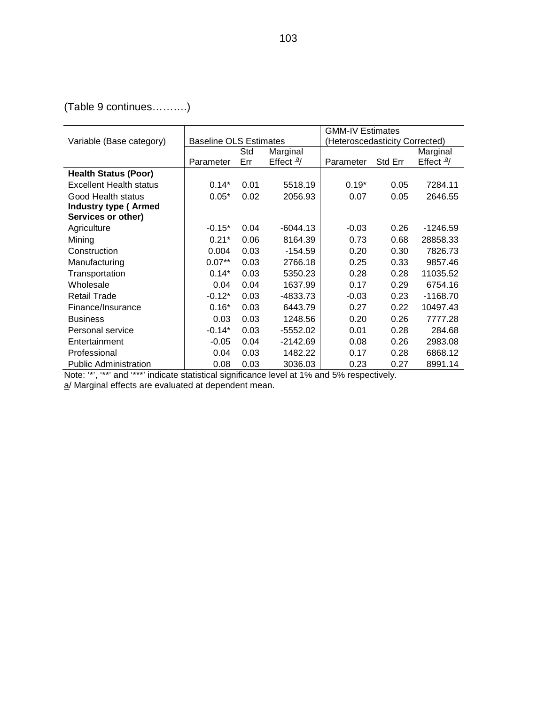(Table 9 continues……….)

|                                |                               |      |                      | <b>GMM-IV Estimates</b>        |         |                      |
|--------------------------------|-------------------------------|------|----------------------|--------------------------------|---------|----------------------|
| Variable (Base category)       | <b>Baseline OLS Estimates</b> |      |                      | (Heteroscedasticity Corrected) |         |                      |
|                                |                               | Std  | Marginal             |                                |         | Marginal             |
|                                | Parameter                     | Err  | Effect $\frac{a}{ }$ | Parameter                      | Std Err | Effect $\frac{a}{ }$ |
| <b>Health Status (Poor)</b>    |                               |      |                      |                                |         |                      |
| <b>Excellent Health status</b> | $0.14*$                       | 0.01 | 5518.19              | $0.19*$                        | 0.05    | 7284.11              |
| Good Health status             | $0.05*$                       | 0.02 | 2056.93              | 0.07                           | 0.05    | 2646.55              |
| <b>Industry type (Armed</b>    |                               |      |                      |                                |         |                      |
| Services or other)             |                               |      |                      |                                |         |                      |
| Agriculture                    | $-0.15*$                      | 0.04 | $-6044.13$           | $-0.03$                        | 0.26    | $-1246.59$           |
| Mining                         | $0.21*$                       | 0.06 | 8164.39              | 0.73                           | 0.68    | 28858.33             |
| Construction                   | 0.004                         | 0.03 | $-154.59$            | 0.20                           | 0.30    | 7826.73              |
| Manufacturing                  | $0.07**$                      | 0.03 | 2766.18              | 0.25                           | 0.33    | 9857.46              |
| Transportation                 | $0.14*$                       | 0.03 | 5350.23              | 0.28                           | 0.28    | 11035.52             |
| Wholesale                      | 0.04                          | 0.04 | 1637.99              | 0.17                           | 0.29    | 6754.16              |
| <b>Retail Trade</b>            | $-0.12*$                      | 0.03 | -4833.73             | $-0.03$                        | 0.23    | $-1168.70$           |
| Finance/Insurance              | $0.16*$                       | 0.03 | 6443.79              | 0.27                           | 0.22    | 10497.43             |
| <b>Business</b>                | 0.03                          | 0.03 | 1248.56              | 0.20                           | 0.26    | 7777.28              |
| Personal service               | $-0.14*$                      | 0.03 | $-5552.02$           | 0.01                           | 0.28    | 284.68               |
| Entertainment                  | $-0.05$                       | 0.04 | $-2142.69$           | 0.08                           | 0.26    | 2983.08              |
| Professional                   | 0.04                          | 0.03 | 1482.22              | 0.17                           | 0.28    | 6868.12              |
| <b>Public Administration</b>   | 0.08                          | 0.03 | 3036.03              | 0.23                           | 0.27    | 8991.14              |

Note: '\*', '\*\*' and '\*\*\*' indicate statistical significance level at 1% and 5% respectively.

a/ Marginal effects are evaluated at dependent mean.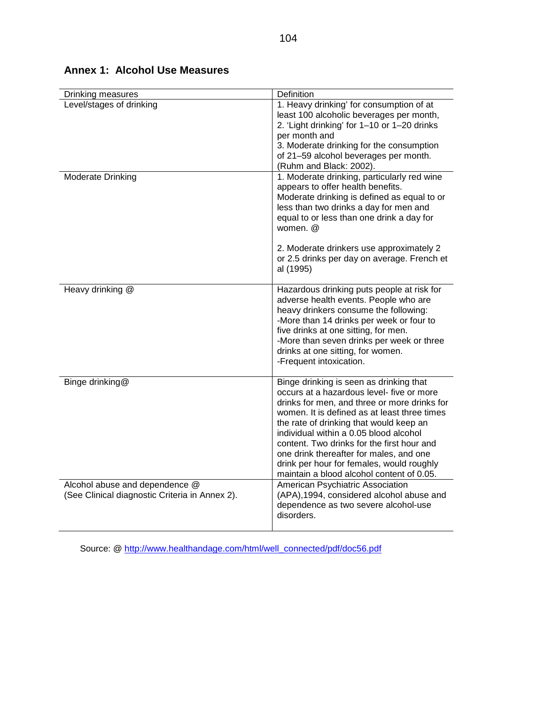| Drinking measures                                                                | Definition                                                                                                                                                                                                                                                                                                                                                                                                                                                   |
|----------------------------------------------------------------------------------|--------------------------------------------------------------------------------------------------------------------------------------------------------------------------------------------------------------------------------------------------------------------------------------------------------------------------------------------------------------------------------------------------------------------------------------------------------------|
| Level/stages of drinking                                                         | 1. Heavy drinking' for consumption of at<br>least 100 alcoholic beverages per month,<br>2. 'Light drinking' for 1-10 or 1-20 drinks<br>per month and<br>3. Moderate drinking for the consumption<br>of 21-59 alcohol beverages per month.<br>(Ruhm and Black: 2002).                                                                                                                                                                                         |
| <b>Moderate Drinking</b>                                                         | 1. Moderate drinking, particularly red wine<br>appears to offer health benefits.<br>Moderate drinking is defined as equal to or<br>less than two drinks a day for men and<br>equal to or less than one drink a day for<br>women. $@$<br>2. Moderate drinkers use approximately 2<br>or 2.5 drinks per day on average. French et<br>al (1995)                                                                                                                 |
| Heavy drinking @                                                                 | Hazardous drinking puts people at risk for<br>adverse health events. People who are<br>heavy drinkers consume the following:<br>-More than 14 drinks per week or four to<br>five drinks at one sitting, for men.<br>-More than seven drinks per week or three<br>drinks at one sitting, for women.<br>-Frequent intoxication.                                                                                                                                |
| Binge drinking@                                                                  | Binge drinking is seen as drinking that<br>occurs at a hazardous level- five or more<br>drinks for men, and three or more drinks for<br>women. It is defined as at least three times<br>the rate of drinking that would keep an<br>individual within a 0.05 blood alcohol<br>content. Two drinks for the first hour and<br>one drink thereafter for males, and one<br>drink per hour for females, would roughly<br>maintain a blood alcohol content of 0.05. |
| Alcohol abuse and dependence @<br>(See Clinical diagnostic Criteria in Annex 2). | American Psychiatric Association<br>(APA), 1994, considered alcohol abuse and<br>dependence as two severe alcohol-use<br>disorders.                                                                                                                                                                                                                                                                                                                          |

# **Annex 1: Alcohol Use Measures**

Source: @ http://www.healthandage.com/html/well\_connected/pdf/doc56.pdf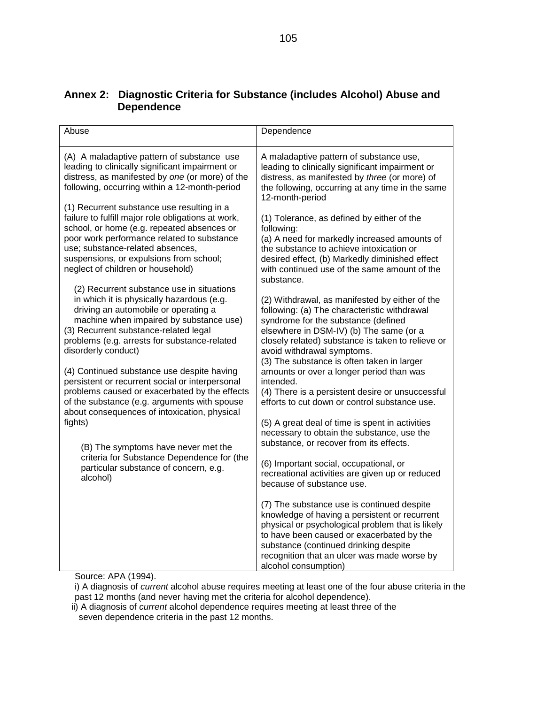| Abuse                                                                                                                                                                                                                                                                                                                                                                                                                                                                                                                                                                                                                                                                                            | Dependence                                                                                                                                                                                                                                                                                                                                                                                                                                                                                                                                                                                                                                                                                                                                            |
|--------------------------------------------------------------------------------------------------------------------------------------------------------------------------------------------------------------------------------------------------------------------------------------------------------------------------------------------------------------------------------------------------------------------------------------------------------------------------------------------------------------------------------------------------------------------------------------------------------------------------------------------------------------------------------------------------|-------------------------------------------------------------------------------------------------------------------------------------------------------------------------------------------------------------------------------------------------------------------------------------------------------------------------------------------------------------------------------------------------------------------------------------------------------------------------------------------------------------------------------------------------------------------------------------------------------------------------------------------------------------------------------------------------------------------------------------------------------|
| (A) A maladaptive pattern of substance use<br>leading to clinically significant impairment or<br>distress, as manifested by one (or more) of the<br>following, occurring within a 12-month-period                                                                                                                                                                                                                                                                                                                                                                                                                                                                                                | A maladaptive pattern of substance use,<br>leading to clinically significant impairment or<br>distress, as manifested by three (or more) of<br>the following, occurring at any time in the same<br>12-month-period                                                                                                                                                                                                                                                                                                                                                                                                                                                                                                                                    |
| (1) Recurrent substance use resulting in a<br>failure to fulfill major role obligations at work,<br>school, or home (e.g. repeated absences or<br>poor work performance related to substance<br>use; substance-related absences,<br>suspensions, or expulsions from school;<br>neglect of children or household)                                                                                                                                                                                                                                                                                                                                                                                 | (1) Tolerance, as defined by either of the<br>following:<br>(a) A need for markedly increased amounts of<br>the substance to achieve intoxication or<br>desired effect, (b) Markedly diminished effect<br>with continued use of the same amount of the<br>substance.                                                                                                                                                                                                                                                                                                                                                                                                                                                                                  |
| (2) Recurrent substance use in situations<br>in which it is physically hazardous (e.g.<br>driving an automobile or operating a<br>machine when impaired by substance use)<br>(3) Recurrent substance-related legal<br>problems (e.g. arrests for substance-related<br>disorderly conduct)<br>(4) Continued substance use despite having<br>persistent or recurrent social or interpersonal<br>problems caused or exacerbated by the effects<br>of the substance (e.g. arguments with spouse<br>about consequences of intoxication, physical<br>fights)<br>(B) The symptoms have never met the<br>criteria for Substance Dependence for (the<br>particular substance of concern, e.g.<br>alcohol) | (2) Withdrawal, as manifested by either of the<br>following: (a) The characteristic withdrawal<br>syndrome for the substance (defined<br>elsewhere in DSM-IV) (b) The same (or a<br>closely related) substance is taken to relieve or<br>avoid withdrawal symptoms.<br>(3) The substance is often taken in larger<br>amounts or over a longer period than was<br>intended.<br>(4) There is a persistent desire or unsuccessful<br>efforts to cut down or control substance use.<br>(5) A great deal of time is spent in activities<br>necessary to obtain the substance, use the<br>substance, or recover from its effects.<br>(6) Important social, occupational, or<br>recreational activities are given up or reduced<br>because of substance use. |
|                                                                                                                                                                                                                                                                                                                                                                                                                                                                                                                                                                                                                                                                                                  | (7) The substance use is continued despite<br>knowledge of having a persistent or recurrent<br>physical or psychological problem that is likely<br>to have been caused or exacerbated by the<br>substance (continued drinking despite<br>recognition that an ulcer was made worse by<br>alcohol consumption)                                                                                                                                                                                                                                                                                                                                                                                                                                          |

# **Annex 2: Diagnostic Criteria for Substance (includes Alcohol) Abuse and Dependence**

Source: APA (1994).

i) A diagnosis of *current* alcohol abuse requires meeting at least one of the four abuse criteria in the past 12 months (and never having met the criteria for alcohol dependence).

ii) A diagnosis of *current* alcohol dependence requires meeting at least three of the seven dependence criteria in the past 12 months.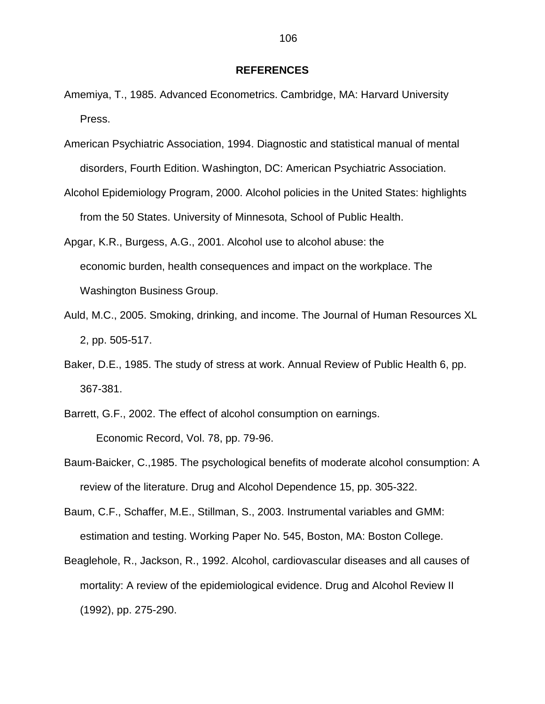#### **REFERENCES**

- Amemiya, T., 1985. Advanced Econometrics. Cambridge, MA: Harvard University Press.
- American Psychiatric Association, 1994. Diagnostic and statistical manual of mental disorders, Fourth Edition. Washington, DC: American Psychiatric Association.
- Alcohol Epidemiology Program, 2000. Alcohol policies in the United States: highlights from the 50 States. University of Minnesota, School of Public Health.
- Apgar, K.R., Burgess, A.G., 2001. Alcohol use to alcohol abuse: the economic burden, health consequences and impact on the workplace. The Washington Business Group.
- Auld, M.C., 2005. Smoking, drinking, and income. The Journal of Human Resources XL 2, pp. 505-517.
- Baker, D.E., 1985. The study of stress at work. Annual Review of Public Health 6, pp. 367-381.
- Barrett, G.F., 2002. The effect of alcohol consumption on earnings. Economic Record, Vol. 78, pp. 79-96.
- Baum-Baicker, C.,1985. The psychological benefits of moderate alcohol consumption: A review of the literature. Drug and Alcohol Dependence 15, pp. 305-322.
- Baum, C.F., Schaffer, M.E., Stillman, S., 2003. Instrumental variables and GMM: estimation and testing. Working Paper No. 545, Boston, MA: Boston College.
- Beaglehole, R., Jackson, R., 1992. Alcohol, cardiovascular diseases and all causes of mortality: A review of the epidemiological evidence. Drug and Alcohol Review II (1992), pp. 275-290.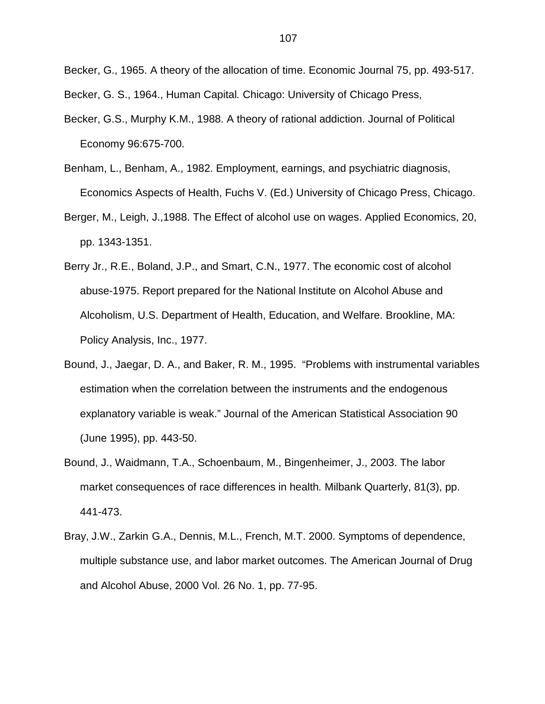Becker, G., 1965. A theory of the allocation of time. Economic Journal 75, pp. 493-517.

Becker, G. S., 1964., Human Capital. Chicago: University of Chicago Press,

- Becker, G.S., Murphy K.M., 1988. A theory of rational addiction. Journal of Political Economy 96:675-700.
- Benham, L., Benham, A., 1982. Employment, earnings, and psychiatric diagnosis, Economics Aspects of Health, Fuchs V. (Ed.) University of Chicago Press, Chicago.
- Berger, M., Leigh, J.,1988. The Effect of alcohol use on wages. Applied Economics, 20, pp. 1343-1351.
- Berry Jr., R.E., Boland, J.P., and Smart, C.N., 1977. The economic cost of alcohol abuse-1975. Report prepared for the National Institute on Alcohol Abuse and Alcoholism, U.S. Department of Health, Education, and Welfare. Brookline, MA: Policy Analysis, Inc., 1977.
- Bound, J., Jaegar, D. A., and Baker, R. M., 1995. "Problems with instrumental variables estimation when the correlation between the instruments and the endogenous explanatory variable is weak." Journal of the American Statistical Association 90 (June 1995), pp. 443-50.
- Bound, J., Waidmann, T.A., Schoenbaum, M., Bingenheimer, J., 2003. The labor market consequences of race differences in health. Milbank Quarterly, 81(3), pp. 441-473.
- Bray, J.W., Zarkin G.A., Dennis, M.L., French, M.T. 2000. Symptoms of dependence, multiple substance use, and labor market outcomes. The American Journal of Drug and Alcohol Abuse, 2000 Vol. 26 No. 1, pp. 77-95.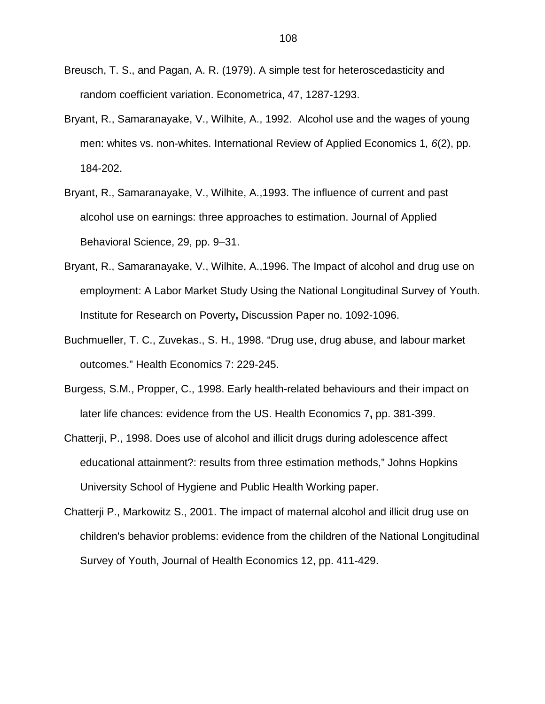- Breusch, T. S., and Pagan, A. R. (1979). A simple test for heteroscedasticity and random coefficient variation. Econometrica, 47, 1287-1293.
- Bryant, R., Samaranayake, V., Wilhite, A., 1992. Alcohol use and the wages of young men: whites vs. non-whites. International Review of Applied Economics 1,  $6(2)$ , pp. 184-202.
- Bryant, R., Samaranayake, V., Wilhite, A.,1993. The influence of current and past alcohol use on earnings: three approaches to estimation. Journal of Applied Behavioral Science, 29, pp. 9–31.
- Bryant, R., Samaranayake, V., Wilhite, A.,1996. The Impact of alcohol and drug use on employment: A Labor Market Study Using the National Longitudinal Survey of Youth. Institute for Research on Poverty**,** Discussion Paper no. 1092-1096.
- Buchmueller, T. C., Zuvekas., S. H., 1998. "Drug use, drug abuse, and labour market outcomes." Health Economics 7: 229-245.
- Burgess, S.M., Propper, C., 1998. Early health-related behaviours and their impact on later life chances: evidence from the US. Health Economics 7**,** pp. 381-399.
- Chatterji, P., 1998. Does use of alcohol and illicit drugs during adolescence affect educational attainment?: results from three estimation methods," Johns Hopkins University School of Hygiene and Public Health Working paper.
- Chatterji P., Markowitz S., 2001. The impact of maternal alcohol and illicit drug use on children's behavior problems: evidence from the children of the National Longitudinal Survey of Youth, Journal of Health Economics 12, pp. 411-429.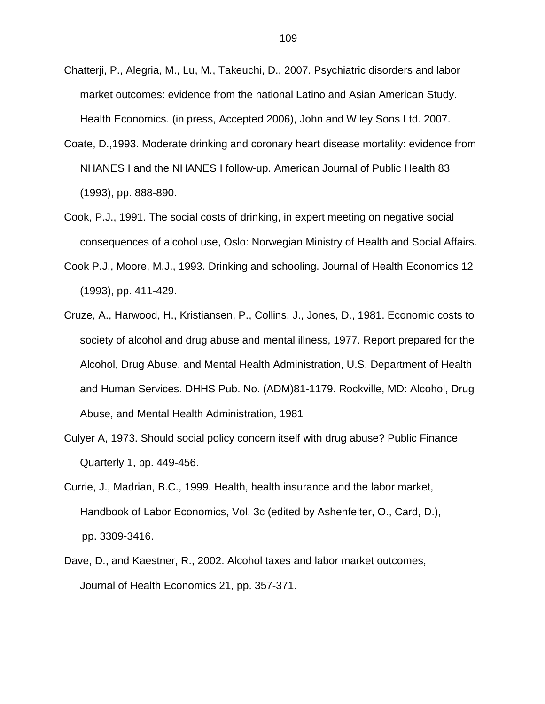- Chatterji, P., Alegria, M., Lu, M., Takeuchi, D., 2007. Psychiatric disorders and labor market outcomes: evidence from the national Latino and Asian American Study. Health Economics. (in press, Accepted 2006), John and Wiley Sons Ltd. 2007.
- Coate, D.,1993. Moderate drinking and coronary heart disease mortality: evidence from NHANES I and the NHANES I follow-up. American Journal of Public Health 83 (1993), pp. 888-890.
- Cook, P.J., 1991. The social costs of drinking, in expert meeting on negative social consequences of alcohol use, Oslo: Norwegian Ministry of Health and Social Affairs.
- Cook P.J., Moore, M.J., 1993. Drinking and schooling. Journal of Health Economics 12 (1993), pp. 411-429.
- Cruze, A., Harwood, H., Kristiansen, P., Collins, J., Jones, D., 1981. Economic costs to society of alcohol and drug abuse and mental illness, 1977. Report prepared for the Alcohol, Drug Abuse, and Mental Health Administration, U.S. Department of Health and Human Services. DHHS Pub. No. (ADM)81-1179. Rockville, MD: Alcohol, Drug Abuse, and Mental Health Administration, 1981
- Culyer A, 1973. Should social policy concern itself with drug abuse? Public Finance Quarterly 1, pp. 449-456.
- Currie, J., Madrian, B.C., 1999. Health, health insurance and the labor market, Handbook of Labor Economics, Vol. 3c (edited by Ashenfelter, O., Card, D.), pp. 3309-3416.
- Dave, D., and Kaestner, R., 2002. Alcohol taxes and labor market outcomes, Journal of Health Economics 21, pp. 357-371.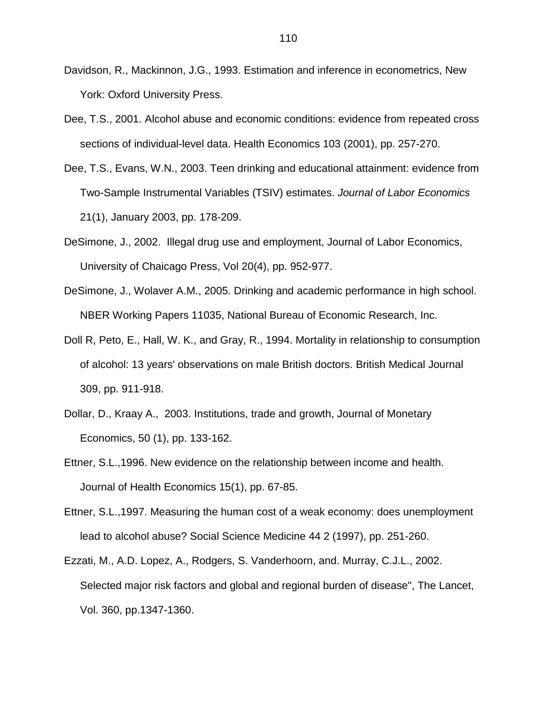- Davidson, R., Mackinnon, J.G., 1993. Estimation and inference in econometrics, New York: Oxford University Press.
- Dee, T.S., 2001. Alcohol abuse and economic conditions: evidence from repeated cross sections of individual-level data. Health Economics 103 (2001), pp. 257-270.
- Dee, T.S., Evans, W.N., 2003. Teen drinking and educational attainment: evidence from Two-Sample Instrumental Variables (TSIV) estimates. Journal of Labor Economics 21(1), January 2003, pp. 178-209.
- DeSimone, J., 2002. Illegal drug use and employment, Journal of Labor Economics, University of Chaicago Press, Vol 20(4), pp. 952-977.
- DeSimone, J., Wolaver A.M., 2005. Drinking and academic performance in high school. NBER Working Papers 11035, National Bureau of Economic Research, Inc.
- Doll R, Peto, E., Hall, W. K., and Gray, R., 1994. Mortality in relationship to consumption of alcohol: 13 years' observations on male British doctors. British Medical Journal 309, pp. 911-918.
- Dollar, D., Kraay A., 2003. Institutions, trade and growth, Journal of Monetary Economics, 50 (1), pp. 133-162.
- Ettner, S.L.,1996. New evidence on the relationship between income and health. Journal of Health Economics 15(1), pp. 67-85.
- Ettner, S.L.,1997. Measuring the human cost of a weak economy: does unemployment lead to alcohol abuse? Social Science Medicine 44 2 (1997), pp. 251-260.
- Ezzati, M., A.D. Lopez, A., Rodgers, S. Vanderhoorn, and. Murray, C.J.L., 2002. Selected major risk factors and global and regional burden of disease", The Lancet, Vol. 360, pp.1347-1360.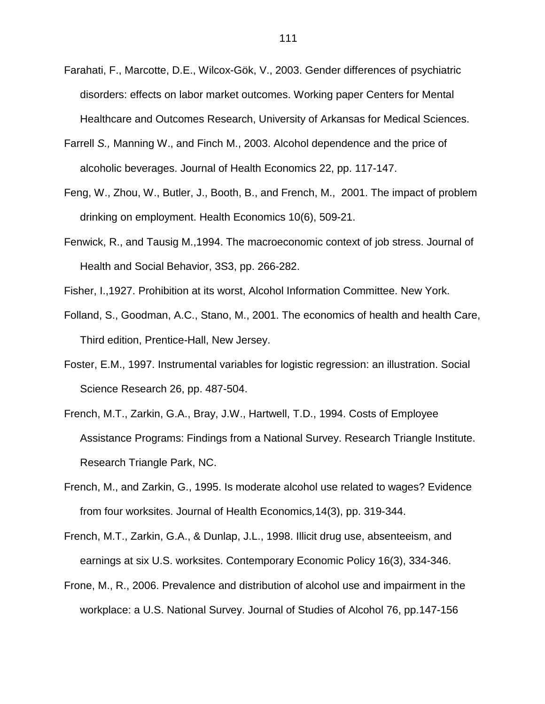- Farahati, F., Marcotte, D.E., Wilcox-Gök, V., 2003. Gender differences of psychiatric disorders: effects on labor market outcomes. Working paper Centers for Mental Healthcare and Outcomes Research, University of Arkansas for Medical Sciences.
- Farrell S., Manning W., and Finch M., 2003. Alcohol dependence and the price of alcoholic beverages. Journal of Health Economics 22, pp. 117-147.
- Feng, W., Zhou, W., Butler, J., Booth, B., and French, M., 2001. The impact of problem drinking on employment. Health Economics 10(6), 509-21.
- Fenwick, R., and Tausig M.,1994. The macroeconomic context of job stress. Journal of Health and Social Behavior, 3S3, pp. 266-282.
- Fisher, I.,1927. Prohibition at its worst, Alcohol Information Committee. New York.
- Folland, S., Goodman, A.C., Stano, M., 2001. The economics of health and health Care, Third edition, Prentice-Hall, New Jersey.
- Foster, E.M., 1997. Instrumental variables for logistic regression: an illustration. Social Science Research 26, pp. 487-504.
- French, M.T., Zarkin, G.A., Bray, J.W., Hartwell, T.D., 1994. Costs of Employee Assistance Programs: Findings from a National Survey. Research Triangle Institute. Research Triangle Park, NC.
- French, M., and Zarkin, G., 1995. Is moderate alcohol use related to wages? Evidence from four worksites. Journal of Health Economics,14(3), pp. 319-344.
- French, M.T., Zarkin, G.A., & Dunlap, J.L., 1998. Illicit drug use, absenteeism, and earnings at six U.S. worksites. Contemporary Economic Policy 16(3), 334-346.
- Frone, M., R., 2006. Prevalence and distribution of alcohol use and impairment in the workplace: a U.S. National Survey. Journal of Studies of Alcohol 76, pp.147-156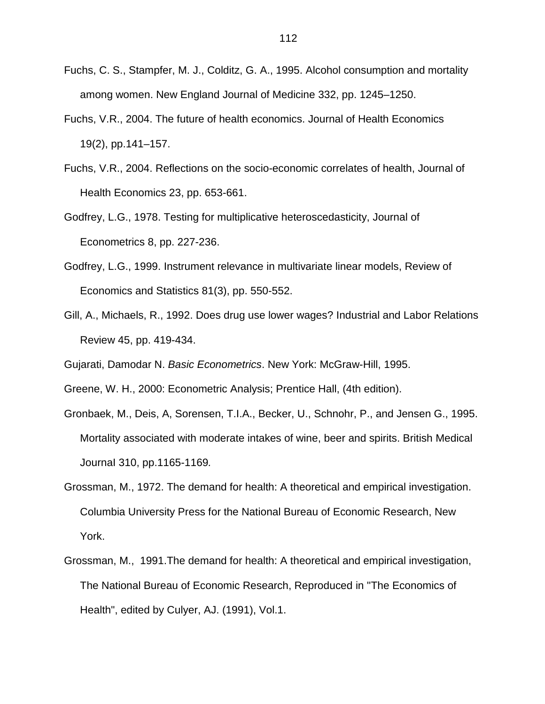- Fuchs, C. S., Stampfer, M. J., Colditz, G. A., 1995. Alcohol consumption and mortality among women. New England Journal of Medicine 332, pp. 1245–1250.
- Fuchs, V.R., 2004. The future of health economics. Journal of Health Economics 19(2), pp.141–157.
- Fuchs, V.R., 2004. Reflections on the socio-economic correlates of health, Journal of Health Economics 23, pp. 653-661.
- Godfrey, L.G., 1978. Testing for multiplicative heteroscedasticity, Journal of Econometrics 8, pp. 227-236.
- Godfrey, L.G., 1999. Instrument relevance in multivariate linear models, Review of Economics and Statistics 81(3), pp. 550-552.
- Gill, A., Michaels, R., 1992. Does drug use lower wages? Industrial and Labor Relations Review 45, pp. 419-434.

Gujarati, Damodar N. Basic Econometrics. New York: McGraw-Hill, 1995.

Greene, W. H., 2000: Econometric Analysis; Prentice Hall, (4th edition).

- Gronbaek, M., Deis, A, Sorensen, T.I.A., Becker, U., Schnohr, P., and Jensen G., 1995. Mortality associated with moderate intakes of wine, beer and spirits. British Medical JournaI 310, pp.1165-1169.
- Grossman, M., 1972. The demand for health: A theoretical and empirical investigation. Columbia University Press for the National Bureau of Economic Research, New York.
- Grossman, M., 1991.The demand for health: A theoretical and empirical investigation, The National Bureau of Economic Research, Reproduced in ''The Economics of Health", edited by Culyer, AJ. (1991), Vol.1.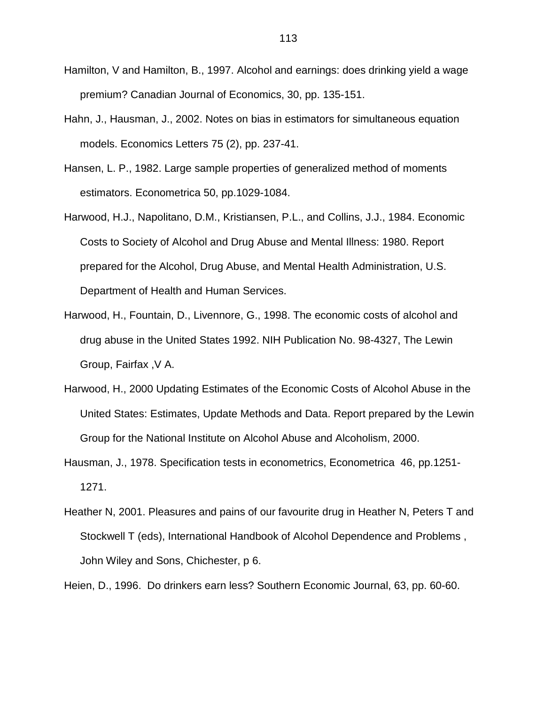- Hamilton, V and Hamilton, B., 1997. Alcohol and earnings: does drinking yield a wage premium? Canadian Journal of Economics, 30, pp. 135-151.
- Hahn, J., Hausman, J., 2002. Notes on bias in estimators for simultaneous equation models. Economics Letters 75 (2), pp. 237-41.
- Hansen, L. P., 1982. Large sample properties of generalized method of moments estimators. Econometrica 50, pp.1029-1084.
- Harwood, H.J., Napolitano, D.M., Kristiansen, P.L., and Collins, J.J., 1984. Economic Costs to Society of Alcohol and Drug Abuse and Mental Illness: 1980. Report prepared for the Alcohol, Drug Abuse, and Mental Health Administration, U.S. Department of Health and Human Services.
- Harwood, H., Fountain, D., Livennore, G., 1998. The economic costs of alcohol and drug abuse in the United States 1992. NIH Publication No. 98-4327, The Lewin Group, Fairfax ,V A.
- Harwood, H., 2000 Updating Estimates of the Economic Costs of Alcohol Abuse in the United States: Estimates, Update Methods and Data. Report prepared by the Lewin Group for the National Institute on Alcohol Abuse and Alcoholism, 2000.
- Hausman, J., 1978. Specification tests in econometrics, Econometrica 46, pp.1251- 1271.
- Heather N, 2001. Pleasures and pains of our favourite drug in Heather N, Peters T and Stockwell T (eds), International Handbook of Alcohol Dependence and Problems , John Wiley and Sons, Chichester, p 6.

Heien, D., 1996. Do drinkers earn less? Southern Economic Journal, 63, pp. 60-60.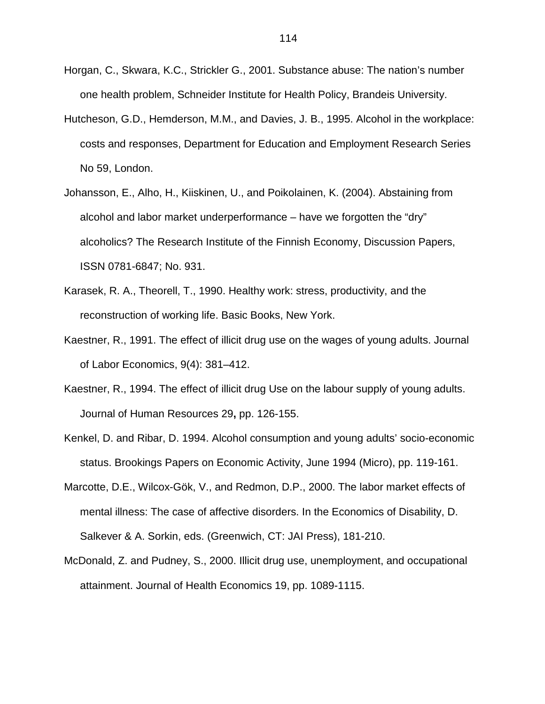- Horgan, C., Skwara, K.C., Strickler G., 2001. Substance abuse: The nation's number one health problem, Schneider Institute for Health Policy, Brandeis University.
- Hutcheson, G.D., Hemderson, M.M., and Davies, J. B., 1995. Alcohol in the workplace: costs and responses, Department for Education and Employment Research Series No 59, London.
- Johansson, E., Alho, H., Kiiskinen, U., and Poikolainen, K. (2004). Abstaining from alcohol and labor market underperformance – have we forgotten the "dry" alcoholics? The Research Institute of the Finnish Economy, Discussion Papers, ISSN 0781-6847; No. 931.
- Karasek, R. A., Theorell, T., 1990. Healthy work: stress, productivity, and the reconstruction of working life. Basic Books, New York.
- Kaestner, R., 1991. The effect of illicit drug use on the wages of young adults. Journal of Labor Economics, 9(4): 381–412.
- Kaestner, R., 1994. The effect of illicit drug Use on the labour supply of young adults. Journal of Human Resources 29**,** pp. 126-155.
- Kenkel, D. and Ribar, D. 1994. Alcohol consumption and young adults' socio-economic status. Brookings Papers on Economic Activity, June 1994 (Micro), pp. 119-161.
- Marcotte, D.E., Wilcox-Gök, V., and Redmon, D.P., 2000. The labor market effects of mental illness: The case of affective disorders. In the Economics of Disability, D. Salkever & A. Sorkin, eds. (Greenwich, CT: JAI Press), 181-210.
- McDonald, Z. and Pudney, S., 2000. Illicit drug use, unemployment, and occupational attainment. Journal of Health Economics 19, pp. 1089-1115.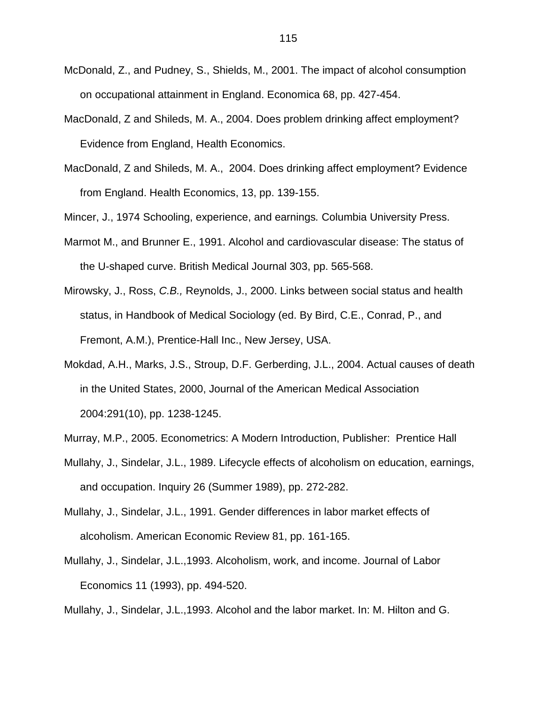- McDonald, Z., and Pudney, S., Shields, M., 2001. The impact of alcohol consumption on occupational attainment in England. Economica 68, pp. 427-454.
- MacDonald, Z and Shileds, M. A., 2004. Does problem drinking affect employment? Evidence from England, Health Economics.
- MacDonald, Z and Shileds, M. A., 2004. Does drinking affect employment? Evidence from England. Health Economics, 13, pp. 139-155.

Mincer, J., 1974 Schooling, experience, and earnings. Columbia University Press.

- Marmot M., and Brunner E., 1991. Alcohol and cardiovascular disease: The status of the U-shaped curve. British Medical Journal 303, pp. 565-568.
- Mirowsky, J., Ross, C.B., Reynolds, J., 2000. Links between social status and health status, in Handbook of Medical Sociology (ed. By Bird, C.E., Conrad, P., and Fremont, A.M.), Prentice-Hall Inc., New Jersey, USA.
- Mokdad, A.H., Marks, J.S., Stroup, D.F. Gerberding, J.L., 2004. Actual causes of death in the United States, 2000, Journal of the American Medical Association 2004:291(10), pp. 1238-1245.
- Murray, M.P., 2005. Econometrics: A Modern Introduction, Publisher: Prentice Hall
- Mullahy, J., Sindelar, J.L., 1989. Lifecycle effects of alcoholism on education, earnings, and occupation. Inquiry 26 (Summer 1989), pp. 272-282.
- Mullahy, J., Sindelar, J.L., 1991. Gender differences in labor market effects of alcoholism. American Economic Review 81, pp. 161-165.
- Mullahy, J., Sindelar, J.L.,1993. Alcoholism, work, and income. Journal of Labor Economics 11 (1993), pp. 494-520.

Mullahy, J., Sindelar, J.L.,1993. Alcohol and the labor market. In: M. Hilton and G.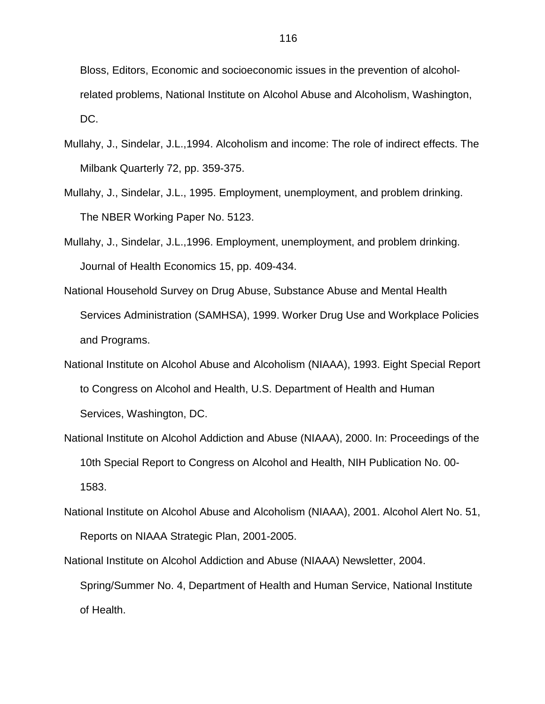Bloss, Editors, Economic and socioeconomic issues in the prevention of alcoholrelated problems, National Institute on Alcohol Abuse and Alcoholism, Washington, DC.

- Mullahy, J., Sindelar, J.L.,1994. Alcoholism and income: The role of indirect effects. The Milbank Quarterly 72, pp. 359-375.
- Mullahy, J., Sindelar, J.L., 1995. Employment, unemployment, and problem drinking. The NBER Working Paper No. 5123.
- Mullahy, J., Sindelar, J.L.,1996. Employment, unemployment, and problem drinking. Journal of Health Economics 15, pp. 409-434.
- National Household Survey on Drug Abuse, Substance Abuse and Mental Health Services Administration (SAMHSA), 1999. Worker Drug Use and Workplace Policies and Programs.
- National Institute on Alcohol Abuse and Alcoholism (NIAAA), 1993. Eight Special Report to Congress on Alcohol and Health, U.S. Department of Health and Human Services, Washington, DC.
- National Institute on Alcohol Addiction and Abuse (NIAAA), 2000. In: Proceedings of the 10th Special Report to Congress on Alcohol and Health, NIH Publication No. 00- 1583.
- National Institute on Alcohol Abuse and Alcoholism (NIAAA), 2001. Alcohol Alert No. 51, Reports on NIAAA Strategic Plan, 2001-2005.
- National Institute on Alcohol Addiction and Abuse (NIAAA) Newsletter, 2004. Spring/Summer No. 4, Department of Health and Human Service, National Institute of Health.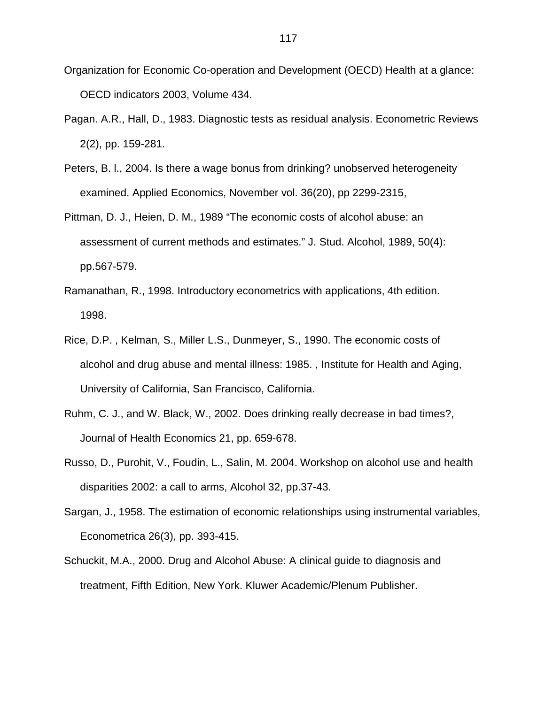- Organization for Economic Co-operation and Development (OECD) Health at a glance: OECD indicators 2003, Volume 434.
- Pagan. A.R., Hall, D., 1983. Diagnostic tests as residual analysis. Econometric Reviews 2(2), pp. 159-281.
- Peters, B. l., 2004. Is there a wage bonus from drinking? unobserved heterogeneity examined. Applied Economics, November vol. 36(20), pp 2299-2315,
- Pittman, D. J., Heien, D. M., 1989 "The economic costs of alcohol abuse: an assessment of current methods and estimates." J. Stud. Alcohol, 1989, 50(4): pp.567-579.
- Ramanathan, R., 1998. Introductory econometrics with applications, 4th edition. 1998.
- Rice, D.P. , Kelman, S., Miller L.S., Dunmeyer, S., 1990. The economic costs of alcohol and drug abuse and mental illness: 1985. , Institute for Health and Aging, University of California, San Francisco, California.
- Ruhm, C. J., and W. Black, W., 2002. Does drinking really decrease in bad times?, Journal of Health Economics 21, pp. 659-678.
- Russo, D., Purohit, V., Foudin, L., Salin, M. 2004. Workshop on alcohol use and health disparities 2002: a call to arms, Alcohol 32, pp.37-43.
- Sargan, J., 1958. The estimation of economic relationships using instrumental variables, Econometrica 26(3), pp. 393-415.
- Schuckit, M.A., 2000. Drug and Alcohol Abuse: A clinical guide to diagnosis and treatment, Fifth Edition, New York. Kluwer Academic/Plenum Publisher.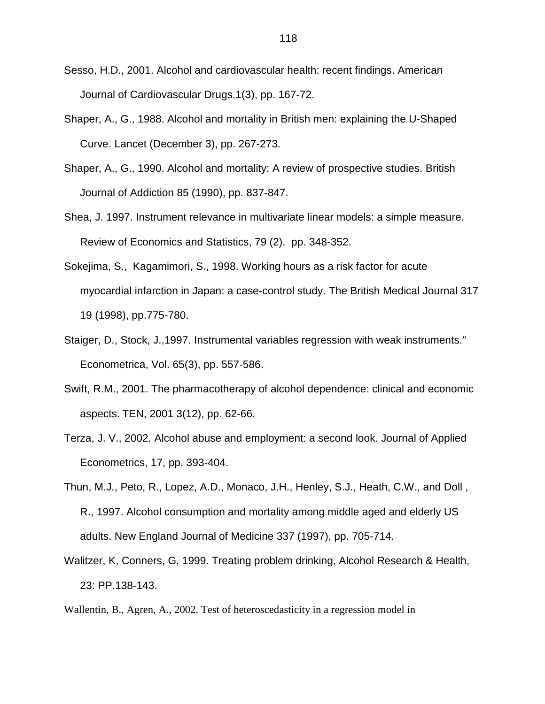- Sesso, H.D., 2001. Alcohol and cardiovascular health: recent findings. American Journal of Cardiovascular Drugs.1(3), pp. 167-72.
- Shaper, A., G., 1988. Alcohol and mortality in British men: explaining the U-Shaped Curve. Lancet (December 3), pp. 267-273.
- Shaper, A., G., 1990. Alcohol and mortality: A review of prospective studies. British Journal of Addiction 85 (1990), pp. 837-847.
- Shea, J. 1997. Instrument relevance in multivariate linear models: a simple measure. Review of Economics and Statistics, 79 (2). pp. 348-352.
- Sokejima, S., Kagamimori, S., 1998. Working hours as a risk factor for acute myocardial infarction in Japan: a case-control study. The British Medical Journal 317 19 (1998), pp.775-780.
- Staiger, D., Stock, J.,1997. Instrumental variables regression with weak instruments." Econometrica, Vol. 65(3), pp. 557-586.
- Swift, R.M., 2001. The pharmacotherapy of alcohol dependence: clinical and economic aspects. TEN, 2001 3(12), pp. 62-66.
- Terza, J. V., 2002. Alcohol abuse and employment: a second look. Journal of Applied Econometrics, 17, pp. 393-404.
- Thun, M.J., Peto, R., Lopez, A.D., Monaco, J.H., Henley, S.J., Heath, C.W., and Doll , R., 1997. Alcohol consumption and mortality among middle aged and elderly US adults. New England Journal of Medicine 337 (1997), pp. 705-714.
- Walitzer, K, Conners, G, 1999. Treating problem drinking, Alcohol Research & Health, 23: PP.138-143.
- Wallentin, B., Agren, A., 2002. Test of heteroscedasticity in a regression model in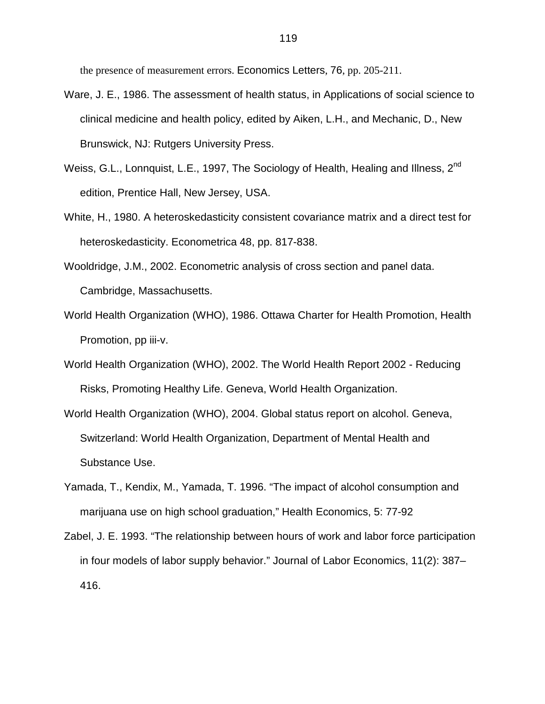the presence of measurement errors. Economics Letters, 76, pp. 205-211.

- Ware, J. E., 1986. The assessment of health status, in Applications of social science to clinical medicine and health policy, edited by Aiken, L.H., and Mechanic, D., New Brunswick, NJ: Rutgers University Press.
- Weiss, G.L., Lonnquist, L.E., 1997, The Sociology of Health, Healing and Illness, 2<sup>nd</sup> edition, Prentice Hall, New Jersey, USA.
- White, H., 1980. A heteroskedasticity consistent covariance matrix and a direct test for heteroskedasticity. Econometrica 48, pp. 817-838.
- Wooldridge, J.M., 2002. Econometric analysis of cross section and panel data. Cambridge, Massachusetts.
- World Health Organization (WHO), 1986. Ottawa Charter for Health Promotion, Health Promotion, pp iii-v.
- World Health Organization (WHO), 2002. The World Health Report 2002 Reducing Risks, Promoting Healthy Life. Geneva, World Health Organization.
- World Health Organization (WHO), 2004. Global status report on alcohol. Geneva, Switzerland: World Health Organization, Department of Mental Health and Substance Use.
- Yamada, T., Kendix, M., Yamada, T. 1996. "The impact of alcohol consumption and marijuana use on high school graduation," Health Economics, 5: 77-92
- Zabel, J. E. 1993. "The relationship between hours of work and labor force participation in four models of labor supply behavior." Journal of Labor Economics, 11(2): 387– 416.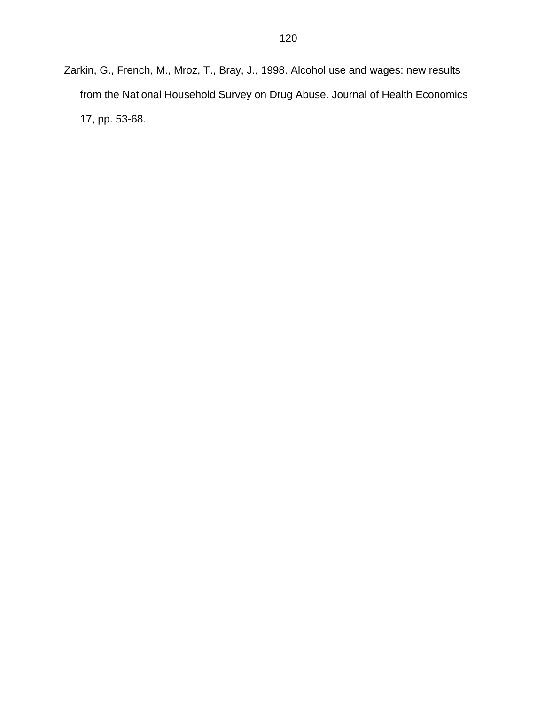Zarkin, G., French, M., Mroz, T., Bray, J., 1998. Alcohol use and wages: new results from the National Household Survey on Drug Abuse. Journal of Health Economics 17, pp. 53-68.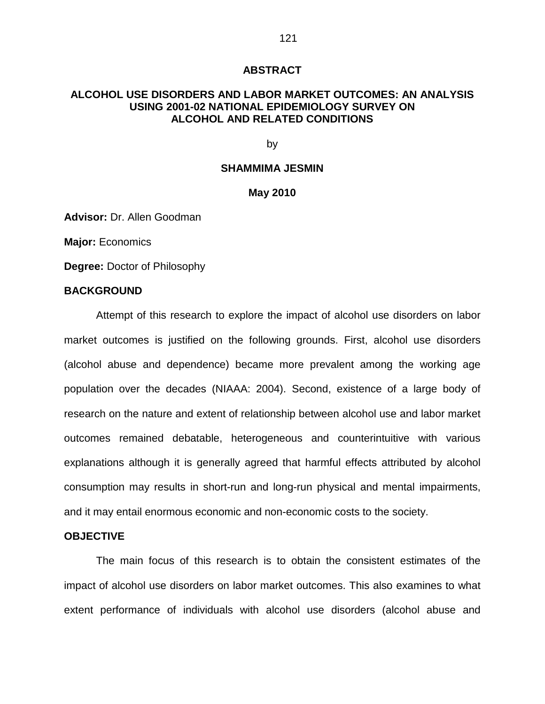#### **ABSTRACT**

#### **ALCOHOL USE DISORDERS AND LABOR MARKET OUTCOMES: AN ANALYSIS USING 2001-02 NATIONAL EPIDEMIOLOGY SURVEY ON ALCOHOL AND RELATED CONDITIONS**

#### by

#### **SHAMMIMA JESMIN**

#### **May 2010**

**Advisor:** Dr. Allen Goodman

**Major:** Economics

**Degree:** Doctor of Philosophy

#### **BACKGROUND**

Attempt of this research to explore the impact of alcohol use disorders on labor market outcomes is justified on the following grounds. First, alcohol use disorders (alcohol abuse and dependence) became more prevalent among the working age population over the decades (NIAAA: 2004). Second, existence of a large body of research on the nature and extent of relationship between alcohol use and labor market outcomes remained debatable, heterogeneous and counterintuitive with various explanations although it is generally agreed that harmful effects attributed by alcohol consumption may results in short-run and long-run physical and mental impairments, and it may entail enormous economic and non-economic costs to the society.

#### **OBJECTIVE**

The main focus of this research is to obtain the consistent estimates of the impact of alcohol use disorders on labor market outcomes. This also examines to what extent performance of individuals with alcohol use disorders (alcohol abuse and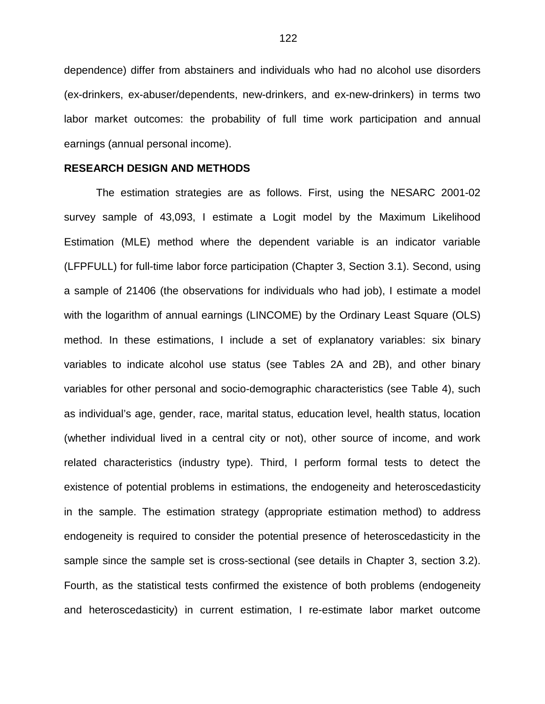dependence) differ from abstainers and individuals who had no alcohol use disorders (ex-drinkers, ex-abuser/dependents, new-drinkers, and ex-new-drinkers) in terms two labor market outcomes: the probability of full time work participation and annual earnings (annual personal income).

#### **RESEARCH DESIGN AND METHODS**

The estimation strategies are as follows. First, using the NESARC 2001-02 survey sample of 43,093, I estimate a Logit model by the Maximum Likelihood Estimation (MLE) method where the dependent variable is an indicator variable (LFPFULL) for full-time labor force participation (Chapter 3, Section 3.1). Second, using a sample of 21406 (the observations for individuals who had job), I estimate a model with the logarithm of annual earnings (LINCOME) by the Ordinary Least Square (OLS) method. In these estimations, I include a set of explanatory variables: six binary variables to indicate alcohol use status (see Tables 2A and 2B), and other binary variables for other personal and socio-demographic characteristics (see Table 4), such as individual's age, gender, race, marital status, education level, health status, location (whether individual lived in a central city or not), other source of income, and work related characteristics (industry type). Third, I perform formal tests to detect the existence of potential problems in estimations, the endogeneity and heteroscedasticity in the sample. The estimation strategy (appropriate estimation method) to address endogeneity is required to consider the potential presence of heteroscedasticity in the sample since the sample set is cross-sectional (see details in Chapter 3, section 3.2). Fourth, as the statistical tests confirmed the existence of both problems (endogeneity and heteroscedasticity) in current estimation, I re-estimate labor market outcome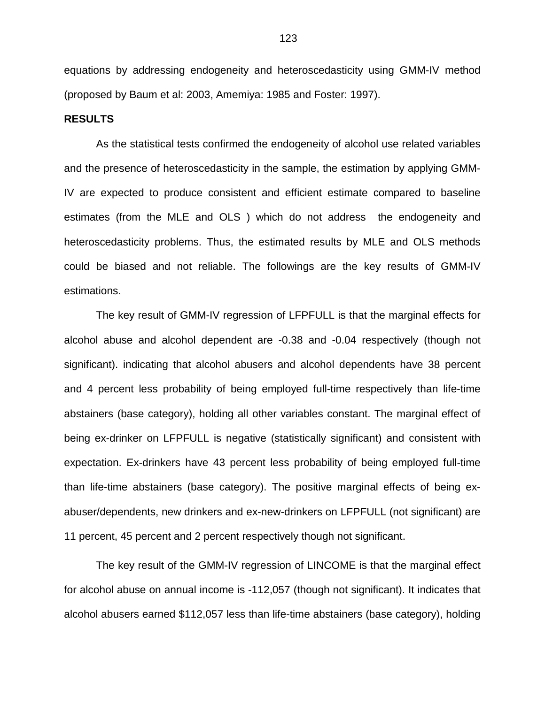equations by addressing endogeneity and heteroscedasticity using GMM-IV method (proposed by Baum et al: 2003, Amemiya: 1985 and Foster: 1997).

#### **RESULTS**

As the statistical tests confirmed the endogeneity of alcohol use related variables and the presence of heteroscedasticity in the sample, the estimation by applying GMM-IV are expected to produce consistent and efficient estimate compared to baseline estimates (from the MLE and OLS ) which do not address the endogeneity and heteroscedasticity problems. Thus, the estimated results by MLE and OLS methods could be biased and not reliable. The followings are the key results of GMM-IV estimations.

The key result of GMM-IV regression of LFPFULL is that the marginal effects for alcohol abuse and alcohol dependent are -0.38 and -0.04 respectively (though not significant). indicating that alcohol abusers and alcohol dependents have 38 percent and 4 percent less probability of being employed full-time respectively than life-time abstainers (base category), holding all other variables constant. The marginal effect of being ex-drinker on LFPFULL is negative (statistically significant) and consistent with expectation. Ex-drinkers have 43 percent less probability of being employed full-time than life-time abstainers (base category). The positive marginal effects of being exabuser/dependents, new drinkers and ex-new-drinkers on LFPFULL (not significant) are 11 percent, 45 percent and 2 percent respectively though not significant.

The key result of the GMM-IV regression of LINCOME is that the marginal effect for alcohol abuse on annual income is -112,057 (though not significant). It indicates that alcohol abusers earned \$112,057 less than life-time abstainers (base category), holding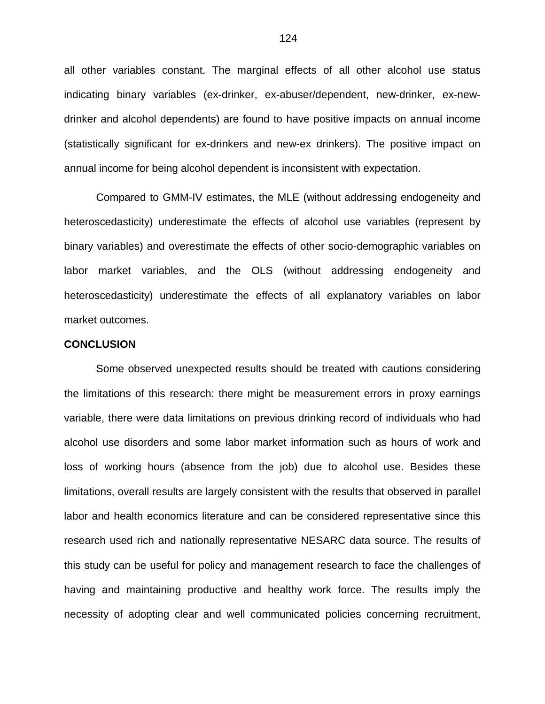all other variables constant. The marginal effects of all other alcohol use status indicating binary variables (ex-drinker, ex-abuser/dependent, new-drinker, ex-newdrinker and alcohol dependents) are found to have positive impacts on annual income (statistically significant for ex-drinkers and new-ex drinkers). The positive impact on annual income for being alcohol dependent is inconsistent with expectation.

Compared to GMM-IV estimates, the MLE (without addressing endogeneity and heteroscedasticity) underestimate the effects of alcohol use variables (represent by binary variables) and overestimate the effects of other socio-demographic variables on labor market variables, and the OLS (without addressing endogeneity and heteroscedasticity) underestimate the effects of all explanatory variables on labor market outcomes.

#### **CONCLUSION**

Some observed unexpected results should be treated with cautions considering the limitations of this research: there might be measurement errors in proxy earnings variable, there were data limitations on previous drinking record of individuals who had alcohol use disorders and some labor market information such as hours of work and loss of working hours (absence from the job) due to alcohol use. Besides these limitations, overall results are largely consistent with the results that observed in parallel labor and health economics literature and can be considered representative since this research used rich and nationally representative NESARC data source. The results of this study can be useful for policy and management research to face the challenges of having and maintaining productive and healthy work force. The results imply the necessity of adopting clear and well communicated policies concerning recruitment,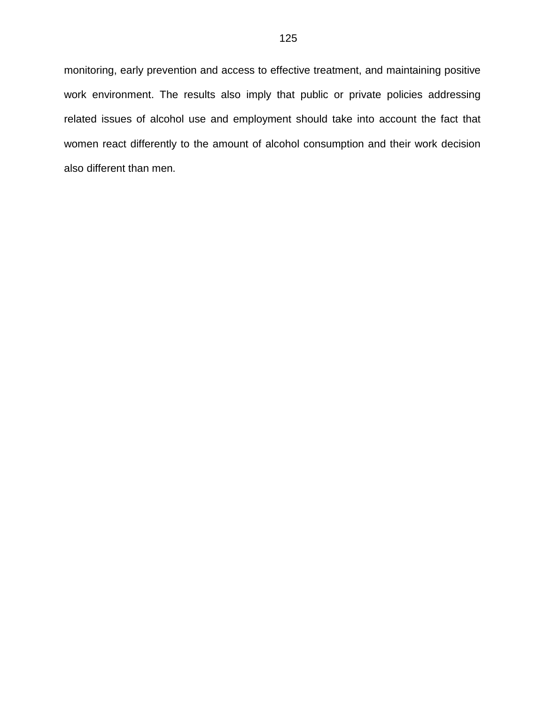monitoring, early prevention and access to effective treatment, and maintaining positive work environment. The results also imply that public or private policies addressing related issues of alcohol use and employment should take into account the fact that women react differently to the amount of alcohol consumption and their work decision also different than men.